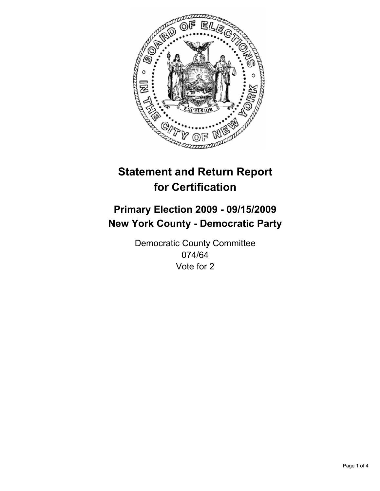

# **Primary Election 2009 - 09/15/2009 New York County - Democratic Party**

Democratic County Committee 074/64 Vote for 2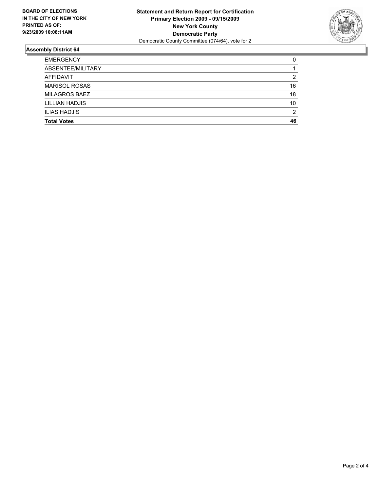

| <b>Total Votes</b>   | 46 |
|----------------------|----|
| <b>ILIAS HADJIS</b>  | 2  |
| LILLIAN HADJIS       | 10 |
| <b>MILAGROS BAEZ</b> | 18 |
| <b>MARISOL ROSAS</b> | 16 |
| AFFIDAVIT            | 2  |
| ABSENTEE/MILITARY    |    |
| <b>EMERGENCY</b>     | 0  |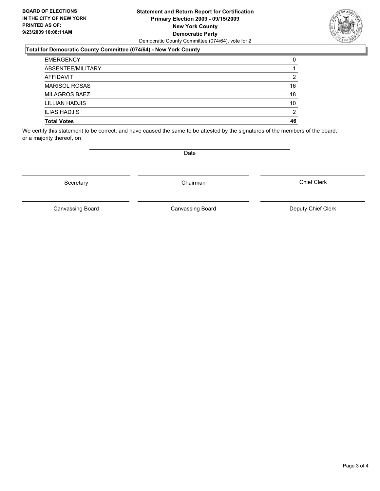#### **Statement and Return Report for Certification Primary Election 2009 - 09/15/2009 New York County Democratic Party** Democratic County Committee (074/64), vote for 2

### **Total for Democratic County Committee (074/64) - New York County**

| <b>EMERGENCY</b>     | 0  |
|----------------------|----|
| ABSENTEE/MILITARY    |    |
| AFFIDAVIT            | 2  |
| <b>MARISOL ROSAS</b> | 16 |
| <b>MILAGROS BAEZ</b> | 18 |
| LILLIAN HADJIS       | 10 |
| <b>ILIAS HADJIS</b>  | 2  |
| <b>Total Votes</b>   | 46 |

We certify this statement to be correct, and have caused the same to be attested by the signatures of the members of the board, or a majority thereof, on

**Date** 

Canvassing Board

Canvassing Board Canvassing Board Canvassing Canvassing Board Deputy Chief Clerk

Chief Clerk



Secretary **Chairman**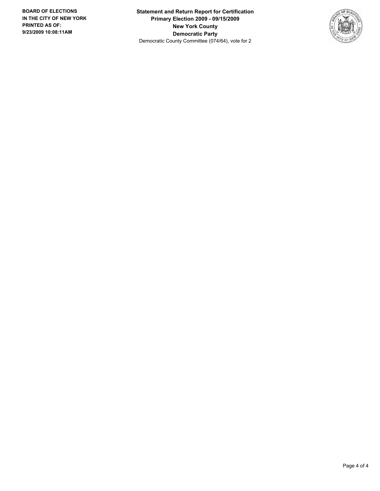**Statement and Return Report for Certification Primary Election 2009 - 09/15/2009 New York County Democratic Party** Democratic County Committee (074/64), vote for 2

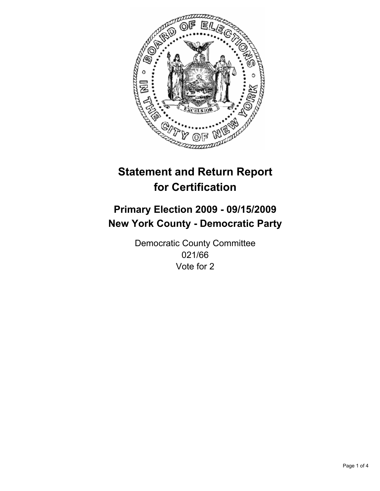

# **Primary Election 2009 - 09/15/2009 New York County - Democratic Party**

Democratic County Committee 021/66 Vote for 2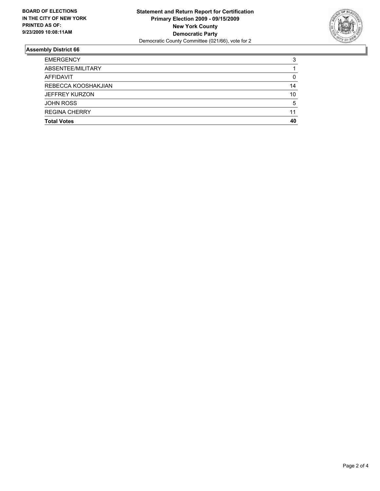

| <b>EMERGENCY</b>      | 3  |
|-----------------------|----|
| ABSENTEE/MILITARY     |    |
| <b>AFFIDAVIT</b>      | 0  |
| REBECCA KOOSHAKJIAN   | 14 |
| <b>JEFFREY KURZON</b> | 10 |
| <b>JOHN ROSS</b>      | 5  |
| <b>REGINA CHERRY</b>  | 11 |
| <b>Total Votes</b>    | 40 |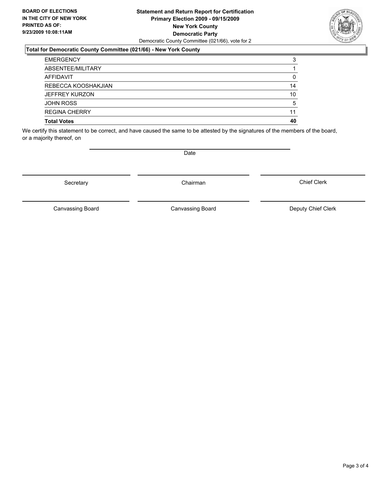#### **Statement and Return Report for Certification Primary Election 2009 - 09/15/2009 New York County Democratic Party** Democratic County Committee (021/66), vote for 2

### **Total for Democratic County Committee (021/66) - New York County**

| <b>EMERGENCY</b>      | 3  |
|-----------------------|----|
| ABSENTEE/MILITARY     |    |
| AFFIDAVIT             | 0  |
| REBECCA KOOSHAKJIAN   | 14 |
| <b>JEFFREY KURZON</b> | 10 |
| <b>JOHN ROSS</b>      | 5  |
| <b>REGINA CHERRY</b>  | 11 |
| <b>Total Votes</b>    | 40 |

We certify this statement to be correct, and have caused the same to be attested by the signatures of the members of the board, or a majority thereof, on

Secretary **Chairman** 

Canvassing Board

Canvassing Board Canvassing Board Canvassing Canvassing Board Deputy Chief Clerk

Chief Clerk

Page 3 of 4



**Date**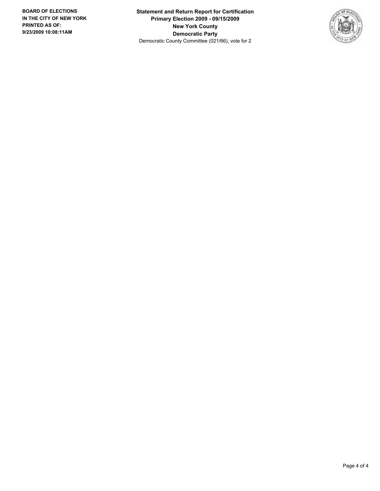**Statement and Return Report for Certification Primary Election 2009 - 09/15/2009 New York County Democratic Party** Democratic County Committee (021/66), vote for 2

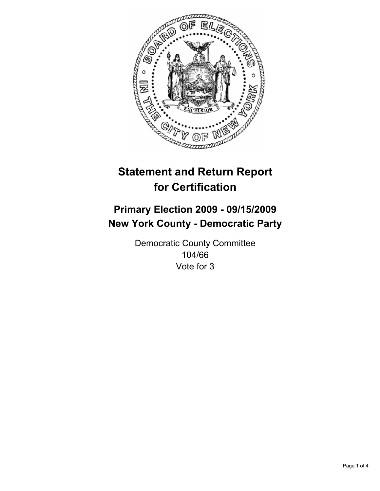

# **Primary Election 2009 - 09/15/2009 New York County - Democratic Party**

Democratic County Committee 104/66 Vote for 3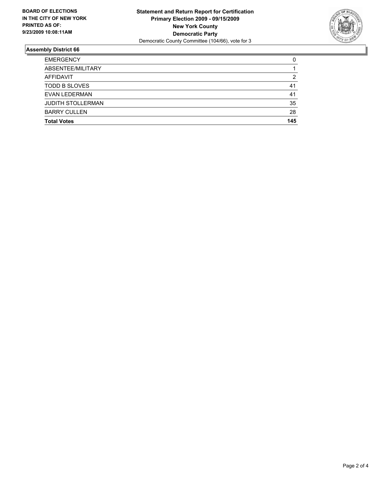

| <b>Total Votes</b>       | 145 |
|--------------------------|-----|
| <b>BARRY CULLEN</b>      | 28  |
| <b>JUDITH STOLLERMAN</b> | 35  |
| EVAN LEDERMAN            | 41  |
| <b>TODD B SLOVES</b>     | 41  |
| AFFIDAVIT                | 2   |
| ABSENTEE/MILITARY        |     |
| <b>EMERGENCY</b>         | 0   |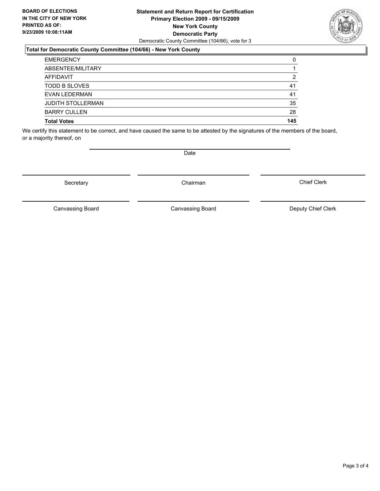#### **Statement and Return Report for Certification Primary Election 2009 - 09/15/2009 New York County Democratic Party** Democratic County Committee (104/66), vote for 3

### **Total for Democratic County Committee (104/66) - New York County**

| <b>EMERGENCY</b>         | 0   |
|--------------------------|-----|
| ABSENTEE/MILITARY        |     |
| AFFIDAVIT                | 2   |
| <b>TODD B SLOVES</b>     | 41  |
| <b>EVAN LEDERMAN</b>     | 41  |
| <b>JUDITH STOLLERMAN</b> | 35  |
| <b>BARRY CULLEN</b>      | 28  |
| <b>Total Votes</b>       | 145 |

We certify this statement to be correct, and have caused the same to be attested by the signatures of the members of the board, or a majority thereof, on

Secretary **Chairman** 

Canvassing Board

**Date** 

Chief Clerk



Canvassing Board Canvassing Board Canvassing Canvassing Board Deputy Chief Clerk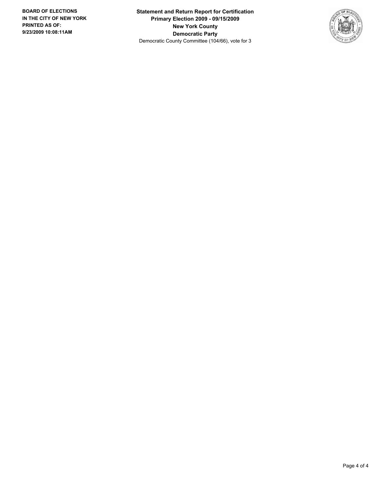**Statement and Return Report for Certification Primary Election 2009 - 09/15/2009 New York County Democratic Party** Democratic County Committee (104/66), vote for 3

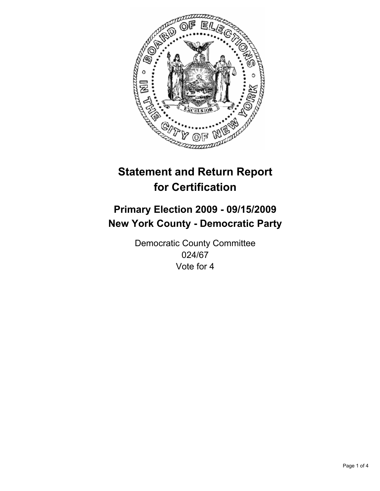

# **Primary Election 2009 - 09/15/2009 New York County - Democratic Party**

Democratic County Committee 024/67 Vote for 4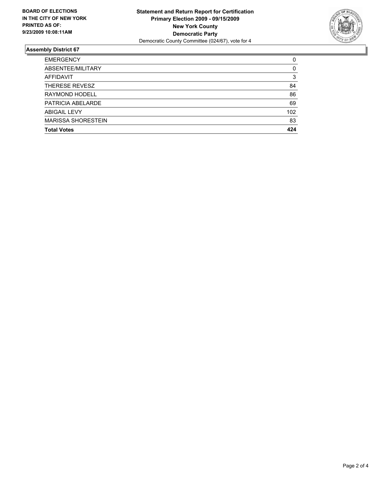

| <b>EMERGENCY</b>          | 0   |
|---------------------------|-----|
| ABSENTEE/MILITARY         | 0   |
| <b>AFFIDAVIT</b>          | 3   |
| THERESE REVESZ            | 84  |
| RAYMOND HODELL            | 86  |
| PATRICIA ABELARDE         | 69  |
| <b>ABIGAIL LEVY</b>       | 102 |
| <b>MARISSA SHORESTEIN</b> | 83  |
| <b>Total Votes</b>        | 424 |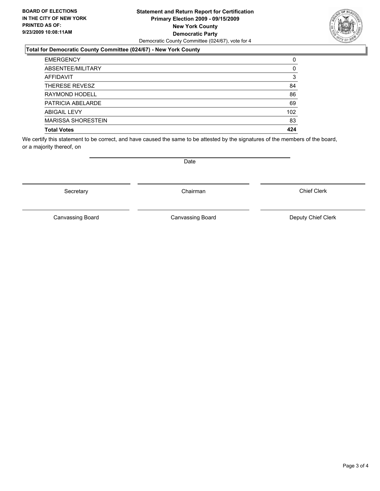#### **Statement and Return Report for Certification Primary Election 2009 - 09/15/2009 New York County Democratic Party** Democratic County Committee (024/67), vote for 4

### **Total for Democratic County Committee (024/67) - New York County**

| <b>EMERGENCY</b>          | 0   |
|---------------------------|-----|
| ABSENTEE/MILITARY         | 0   |
| <b>AFFIDAVIT</b>          | 3   |
| THERESE REVESZ            | 84  |
| RAYMOND HODELL            | 86  |
| PATRICIA ABELARDE         | 69  |
| <b>ABIGAIL LEVY</b>       | 102 |
| <b>MARISSA SHORESTEIN</b> | 83  |
| <b>Total Votes</b>        | 424 |

We certify this statement to be correct, and have caused the same to be attested by the signatures of the members of the board, or a majority thereof, on

Secretary **Chairman** 

Date

Canvassing Board

Chief Clerk

Canvassing Board **Canvassing Board** Canvassing Board **Deputy Chief Clerk** 

Page 3 of 4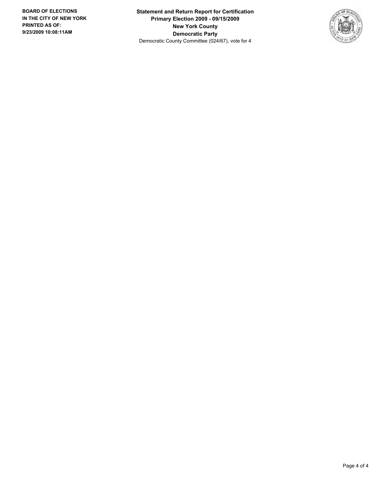**Statement and Return Report for Certification Primary Election 2009 - 09/15/2009 New York County Democratic Party** Democratic County Committee (024/67), vote for 4

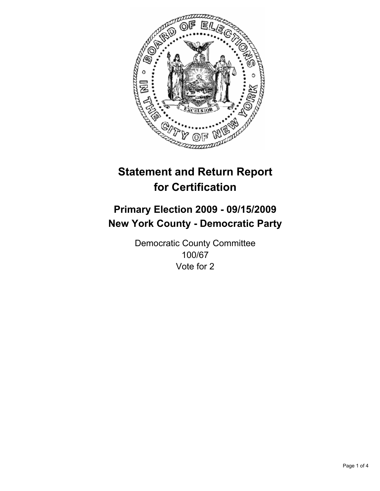

# **Primary Election 2009 - 09/15/2009 New York County - Democratic Party**

Democratic County Committee 100/67 Vote for 2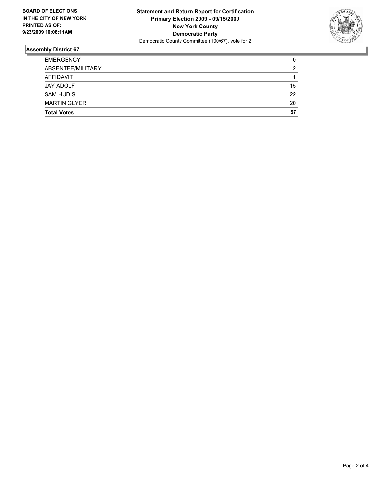

| <b>Total Votes</b>  | 57 |
|---------------------|----|
| <b>MARTIN GLYER</b> | 20 |
| <b>SAM HUDIS</b>    | 22 |
| JAY ADOLF           | 15 |
| AFFIDAVIT           |    |
| ABSENTEE/MILITARY   | 2  |
| <b>EMERGENCY</b>    | 0  |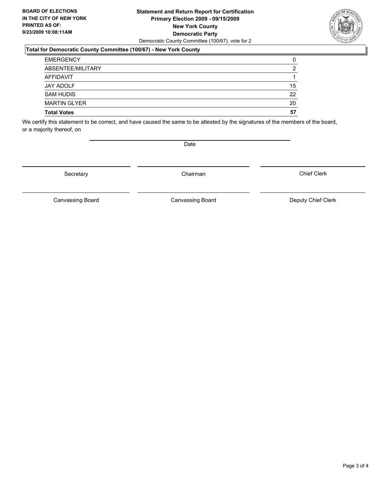#### **Statement and Return Report for Certification Primary Election 2009 - 09/15/2009 New York County Democratic Party** Democratic County Committee (100/67), vote for 2

### **Total for Democratic County Committee (100/67) - New York County**

| <b>EMERGENCY</b>    | 0              |
|---------------------|----------------|
| ABSENTEE/MILITARY   | $\overline{2}$ |
| AFFIDAVIT           |                |
| <b>JAY ADOLF</b>    | 15             |
| <b>SAM HUDIS</b>    | 22             |
| <b>MARTIN GLYER</b> | 20             |
| <b>Total Votes</b>  | 57             |

We certify this statement to be correct, and have caused the same to be attested by the signatures of the members of the board, or a majority thereof, on

Secretary **Chairman** 

Date

Chief Clerk

Canvassing Board **Canvassing Board** Canvassing Board **Deputy Chief Clerk** 

Canvassing Board

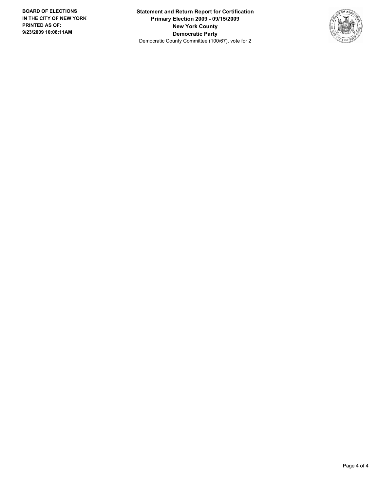**Statement and Return Report for Certification Primary Election 2009 - 09/15/2009 New York County Democratic Party** Democratic County Committee (100/67), vote for 2

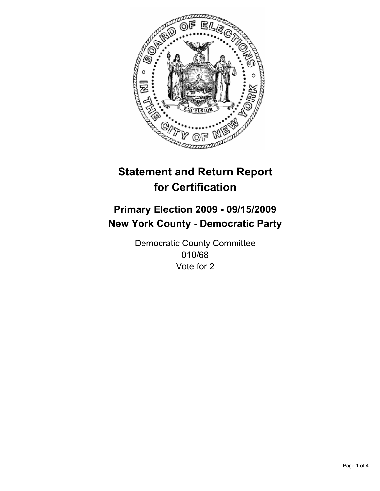

# **Primary Election 2009 - 09/15/2009 New York County - Democratic Party**

Democratic County Committee 010/68 Vote for 2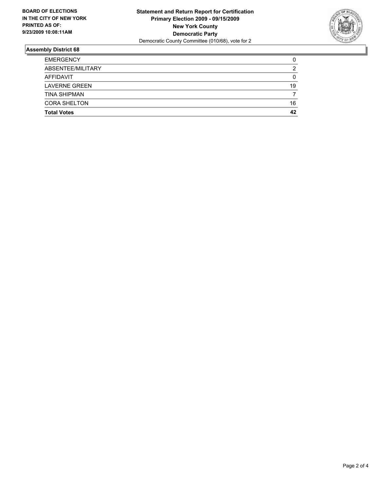

| <b>Total Votes</b>   | 42 |
|----------------------|----|
| <b>CORA SHELTON</b>  | 16 |
| <b>TINA SHIPMAN</b>  |    |
| <b>LAVERNE GREEN</b> | 19 |
| AFFIDAVIT            | 0  |
| ABSENTEE/MILITARY    | 2  |
| <b>EMERGENCY</b>     | 0  |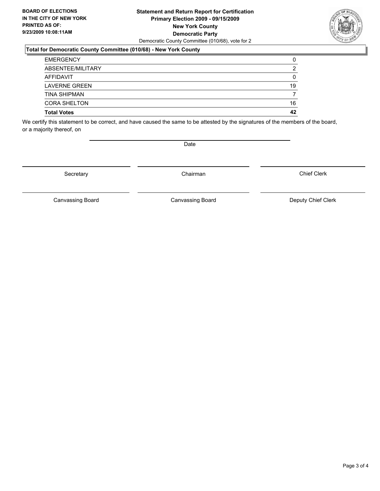#### **Statement and Return Report for Certification Primary Election 2009 - 09/15/2009 New York County Democratic Party** Democratic County Committee (010/68), vote for 2

### **Total for Democratic County Committee (010/68) - New York County**

| <b>Total Votes</b>   | 42 |
|----------------------|----|
| <b>CORA SHELTON</b>  | 16 |
| <b>TINA SHIPMAN</b>  |    |
| <b>LAVERNE GREEN</b> | 19 |
| AFFIDAVIT            | 0  |
| ABSENTEE/MILITARY    | 2  |
| <b>EMERGENCY</b>     | 0  |

We certify this statement to be correct, and have caused the same to be attested by the signatures of the members of the board, or a majority thereof, on

Secretary **Chairman** 

Chief Clerk

Canvassing Board **Canvassing Board** Canvassing Board **Deputy Chief Clerk** 

Canvassing Board



Date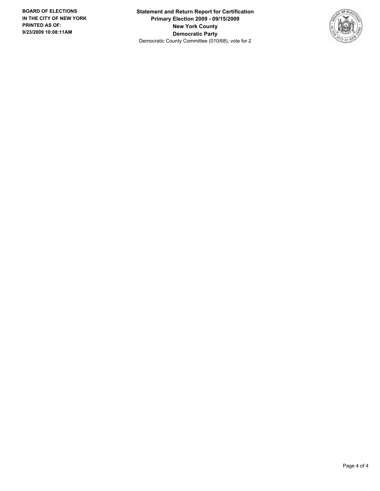**Statement and Return Report for Certification Primary Election 2009 - 09/15/2009 New York County Democratic Party** Democratic County Committee (010/68), vote for 2

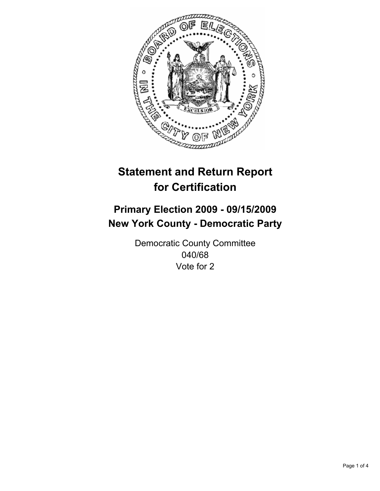

# **Primary Election 2009 - 09/15/2009 New York County - Democratic Party**

Democratic County Committee 040/68 Vote for 2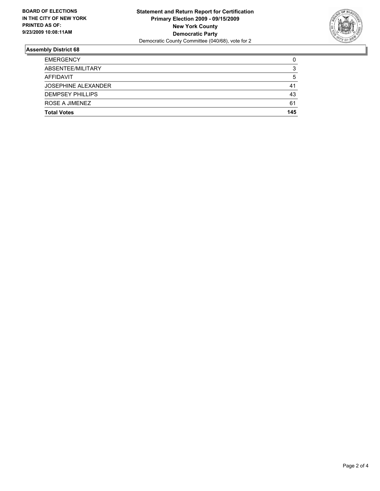

| <b>Total Votes</b>         | 145 |
|----------------------------|-----|
| ROSE A JIMENEZ             | 61  |
| <b>DEMPSEY PHILLIPS</b>    | 43  |
| <b>JOSEPHINE ALEXANDER</b> | 41  |
| AFFIDAVIT                  | 5   |
| ABSENTEE/MILITARY          | 3   |
| <b>EMERGENCY</b>           | 0   |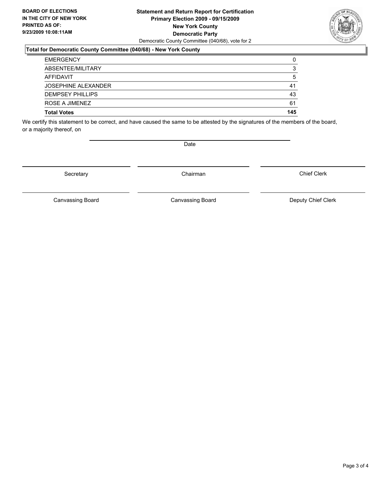#### **Statement and Return Report for Certification Primary Election 2009 - 09/15/2009 New York County Democratic Party** Democratic County Committee (040/68), vote for 2

### **Total for Democratic County Committee (040/68) - New York County**

| <b>EMERGENCY</b>           | 0   |
|----------------------------|-----|
| ABSENTEE/MILITARY          | 3   |
| AFFIDAVIT                  | 5   |
| <b>JOSEPHINE ALEXANDER</b> | 41  |
| <b>DEMPSEY PHILLIPS</b>    | 43  |
| ROSE A JIMENEZ             | 61  |
| <b>Total Votes</b>         | 145 |

We certify this statement to be correct, and have caused the same to be attested by the signatures of the members of the board, or a majority thereof, on

Secretary **Chairman** 

Canvassing Board **Canvassing Board** Canvassing Board **Deputy Chief Clerk** 

Canvassing Board

Chief Clerk



Date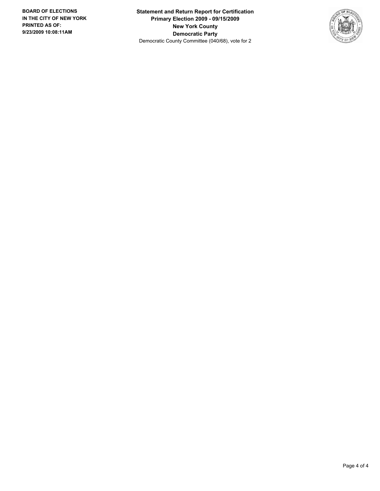**Statement and Return Report for Certification Primary Election 2009 - 09/15/2009 New York County Democratic Party** Democratic County Committee (040/68), vote for 2

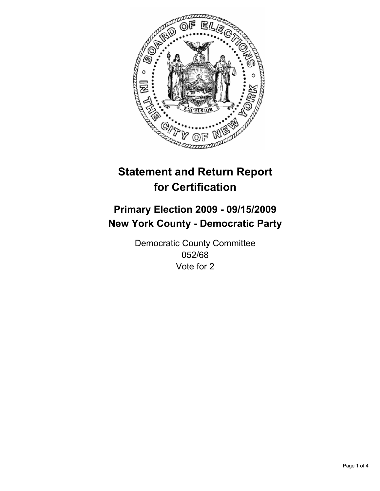

# **Primary Election 2009 - 09/15/2009 New York County - Democratic Party**

Democratic County Committee 052/68 Vote for 2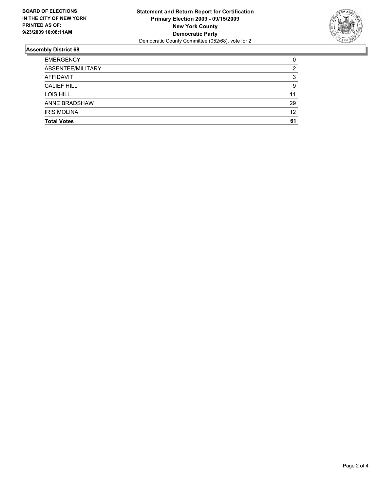

| <b>Total Votes</b>   | 61 |
|----------------------|----|
| <b>IRIS MOLINA</b>   | 12 |
| <b>ANNE BRADSHAW</b> | 29 |
| LOIS HILL            | 11 |
| <b>CALIEF HILL</b>   | 9  |
| AFFIDAVIT            | 3  |
| ABSENTEE/MILITARY    | 2  |
| <b>EMERGENCY</b>     | 0  |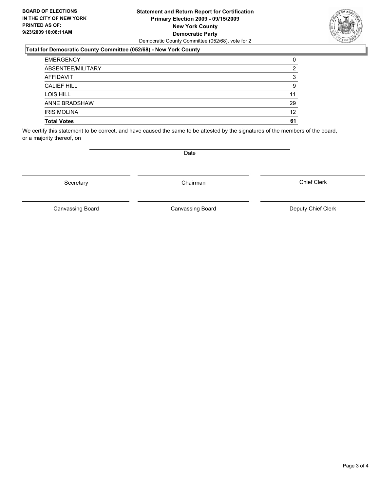#### **Statement and Return Report for Certification Primary Election 2009 - 09/15/2009 New York County Democratic Party** Democratic County Committee (052/68), vote for 2

### **Total for Democratic County Committee (052/68) - New York County**

| <b>EMERGENCY</b>     | 0  |
|----------------------|----|
| ABSENTEE/MILITARY    | 2  |
| <b>AFFIDAVIT</b>     | 3  |
| <b>CALIEF HILL</b>   | 9  |
| LOIS HILL            | 11 |
| <b>ANNE BRADSHAW</b> | 29 |
| <b>IRIS MOLINA</b>   | 12 |
| <b>Total Votes</b>   | 61 |

We certify this statement to be correct, and have caused the same to be attested by the signatures of the members of the board, or a majority thereof, on

Secretary **Chairman** 

Canvassing Board

**Date** 

Chief Clerk



Canvassing Board **Canvassing Board** Canvassing Board **Deputy Chief Clerk**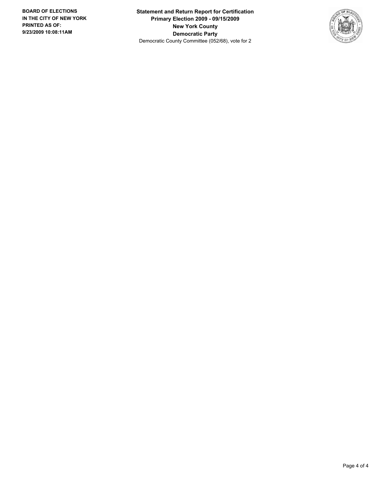**Statement and Return Report for Certification Primary Election 2009 - 09/15/2009 New York County Democratic Party** Democratic County Committee (052/68), vote for 2

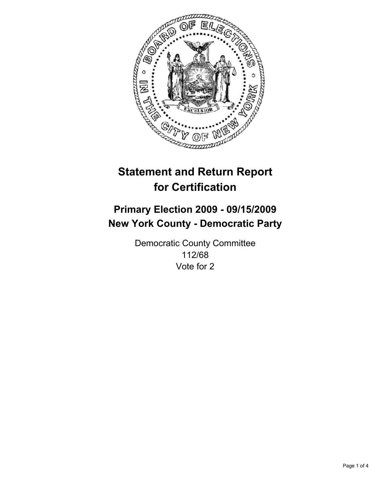

# **Primary Election 2009 - 09/15/2009 New York County - Democratic Party**

Democratic County Committee 112/68 Vote for 2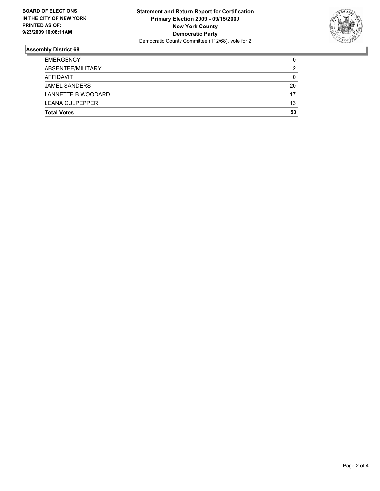

| <b>Total Votes</b>     | 50 |
|------------------------|----|
| <b>LEANA CULPEPPER</b> | 13 |
| LANNETTE B WOODARD     | 17 |
| <b>JAMEL SANDERS</b>   | 20 |
| AFFIDAVIT              | 0  |
| ABSENTEE/MILITARY      | 2  |
| <b>EMERGENCY</b>       | 0  |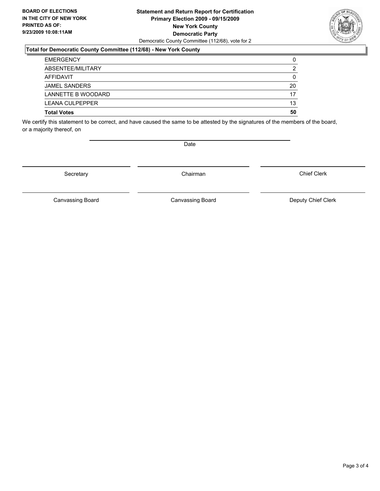#### **Statement and Return Report for Certification Primary Election 2009 - 09/15/2009 New York County Democratic Party** Democratic County Committee (112/68), vote for 2

### **Total for Democratic County Committee (112/68) - New York County**

| <b>EMERGENCY</b>       | 0  |
|------------------------|----|
| ABSENTEE/MILITARY      | 2  |
| AFFIDAVIT              | 0  |
| <b>JAMEL SANDERS</b>   | 20 |
| LANNETTE B WOODARD     | 17 |
| <b>LEANA CULPEPPER</b> | 13 |
| <b>Total Votes</b>     | 50 |

We certify this statement to be correct, and have caused the same to be attested by the signatures of the members of the board, or a majority thereof, on

Secretary **Chairman** 

Canvassing Board

Canvassing Board **Canvassing Board** Canvassing Board **Deputy Chief Clerk** 

Chief Clerk

Page 3 of 4



Date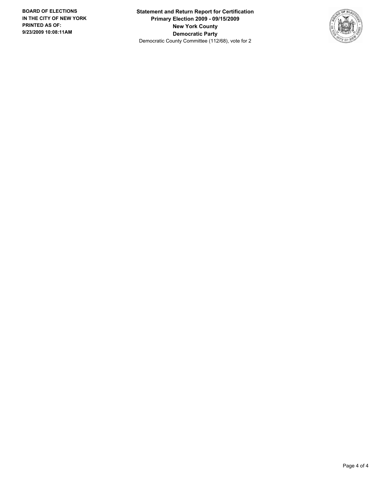**Statement and Return Report for Certification Primary Election 2009 - 09/15/2009 New York County Democratic Party** Democratic County Committee (112/68), vote for 2

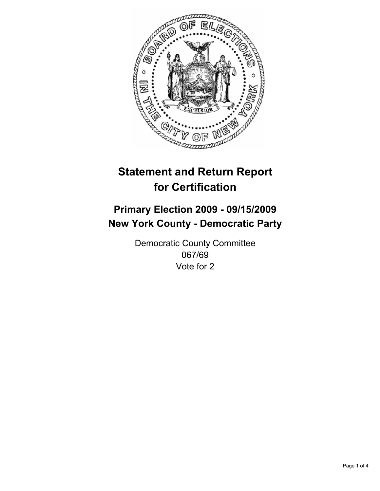

## **Primary Election 2009 - 09/15/2009 New York County - Democratic Party**

Democratic County Committee 067/69 Vote for 2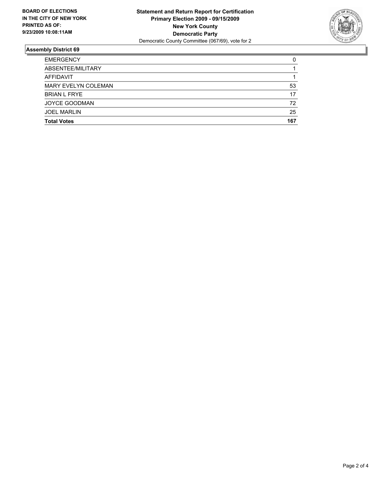

| <b>Total Votes</b>   | 167 |
|----------------------|-----|
| <b>JOEL MARLIN</b>   | 25  |
| <b>JOYCE GOODMAN</b> | 72  |
| <b>BRIAN L FRYE</b>  | 17  |
| MARY EVELYN COLEMAN  | 53  |
| <b>AFFIDAVIT</b>     |     |
| ABSENTEE/MILITARY    |     |
| <b>EMERGENCY</b>     | 0   |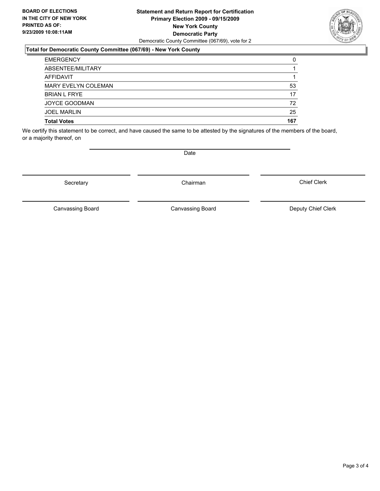#### **Statement and Return Report for Certification Primary Election 2009 - 09/15/2009 New York County Democratic Party** Democratic County Committee (067/69), vote for 2

### **Total for Democratic County Committee (067/69) - New York County**

| <b>EMERGENCY</b>           | 0   |
|----------------------------|-----|
| ABSENTEE/MILITARY          |     |
| AFFIDAVIT                  |     |
| <b>MARY EVELYN COLEMAN</b> | 53  |
| <b>BRIAN L FRYE</b>        | 17  |
| <b>JOYCE GOODMAN</b>       | 72  |
| <b>JOEL MARLIN</b>         | 25  |
| <b>Total Votes</b>         | 167 |

We certify this statement to be correct, and have caused the same to be attested by the signatures of the members of the board, or a majority thereof, on

Secretary **Chairman** 

Canvassing Board

Canvassing Board **Canvassing Board** Canvassing Board **Deputy Chief Clerk** 

Chief Clerk



**Date**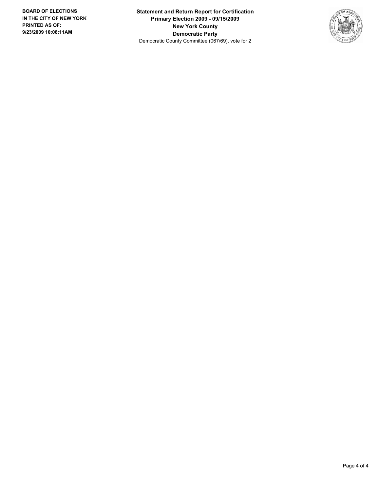**Statement and Return Report for Certification Primary Election 2009 - 09/15/2009 New York County Democratic Party** Democratic County Committee (067/69), vote for 2

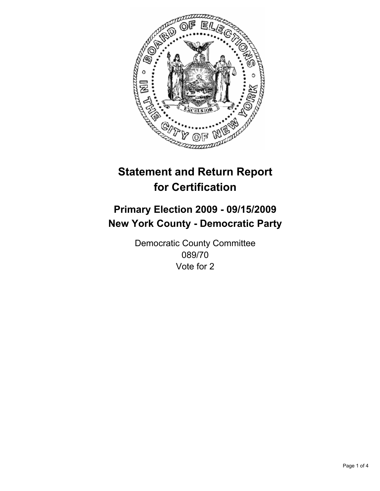

## **Primary Election 2009 - 09/15/2009 New York County - Democratic Party**

Democratic County Committee 089/70 Vote for 2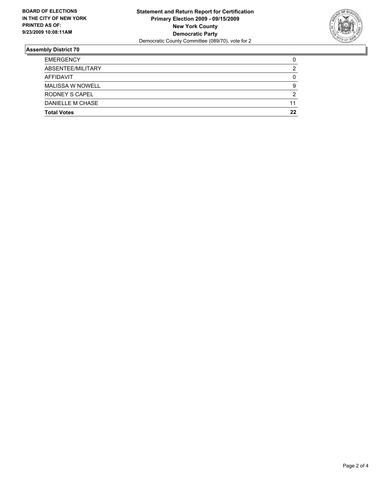

| <b>EMERGENCY</b>        | 0  |
|-------------------------|----|
| ABSENTEE/MILITARY       | 2  |
| AFFIDAVIT               | 0  |
| <b>MALISSA W NOWELL</b> | 9  |
| <b>RODNEY S CAPEL</b>   | 2  |
| DANIELLE M CHASE        | 11 |
| <b>Total Votes</b>      | 22 |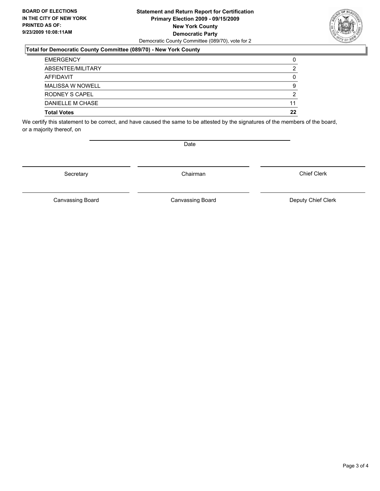#### **Statement and Return Report for Certification Primary Election 2009 - 09/15/2009 New York County Democratic Party** Democratic County Committee (089/70), vote for 2

#### **Total for Democratic County Committee (089/70) - New York County**

| <b>Total Votes</b>      | 22 |
|-------------------------|----|
| DANIELLE M CHASE        | 11 |
| <b>RODNEY S CAPEL</b>   | 2  |
| <b>MALISSA W NOWELL</b> | 9  |
| AFFIDAVIT               |    |
| ABSENTEE/MILITARY       | 2  |
| <b>EMERGENCY</b>        | 0  |

We certify this statement to be correct, and have caused the same to be attested by the signatures of the members of the board, or a majority thereof, on

Secretary **Chairman** 

Canvassing Board **Canvassing Board** Canvassing Board **Deputy Chief Clerk** 

Canvassing Board

Chief Clerk

Page 3 of 4



Date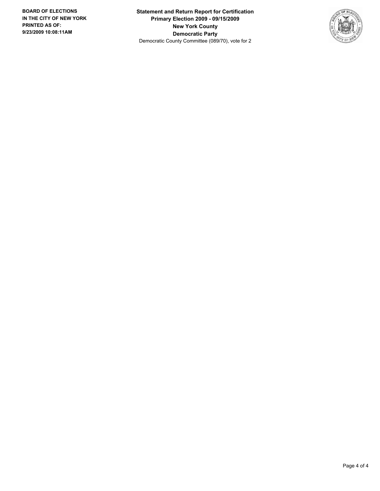**Statement and Return Report for Certification Primary Election 2009 - 09/15/2009 New York County Democratic Party** Democratic County Committee (089/70), vote for 2

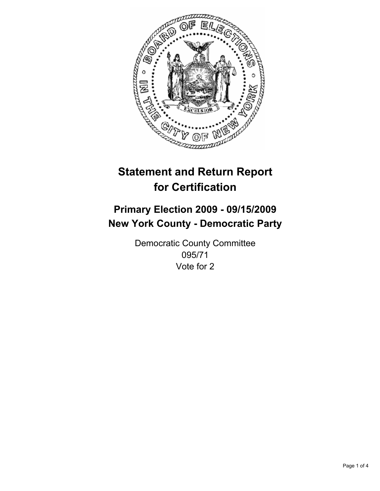

## **Primary Election 2009 - 09/15/2009 New York County - Democratic Party**

Democratic County Committee 095/71 Vote for 2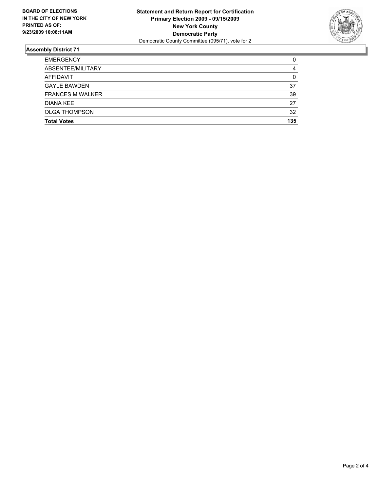

| <b>Total Votes</b>      | 135 |
|-------------------------|-----|
| <b>OLGA THOMPSON</b>    | 32  |
| DIANA KEE               | 27  |
| <b>FRANCES M WALKER</b> | 39  |
| <b>GAYLE BAWDEN</b>     | 37  |
| <b>AFFIDAVIT</b>        | 0   |
| ABSENTEE/MILITARY       | 4   |
| <b>EMERGENCY</b>        | 0   |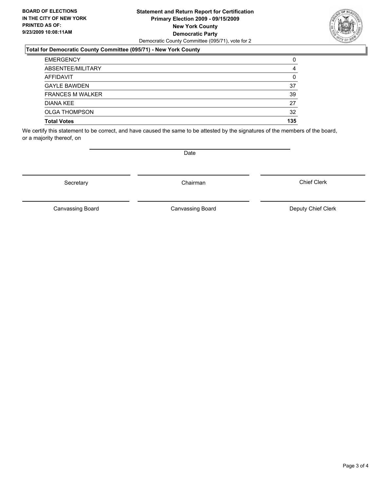#### **Statement and Return Report for Certification Primary Election 2009 - 09/15/2009 New York County Democratic Party** Democratic County Committee (095/71), vote for 2

### **Total for Democratic County Committee (095/71) - New York County**

| <b>EMERGENCY</b>        | 0   |
|-------------------------|-----|
| ABSENTEE/MILITARY       | 4   |
| <b>AFFIDAVIT</b>        | 0   |
| <b>GAYLE BAWDEN</b>     | 37  |
| <b>FRANCES M WALKER</b> | 39  |
| DIANA KEE               | 27  |
| <b>OLGA THOMPSON</b>    | 32  |
| <b>Total Votes</b>      | 135 |

We certify this statement to be correct, and have caused the same to be attested by the signatures of the members of the board, or a majority thereof, on

**Date** 

Secretary **Chairman** 

Canvassing Board

Canvassing Board Canvassing Board Canvassing Canvassing Board Deputy Chief Clerk

Chief Clerk

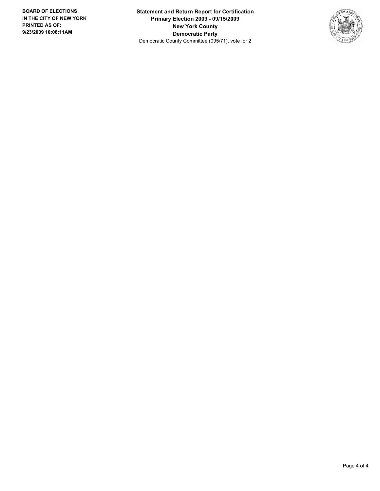**Statement and Return Report for Certification Primary Election 2009 - 09/15/2009 New York County Democratic Party** Democratic County Committee (095/71), vote for 2

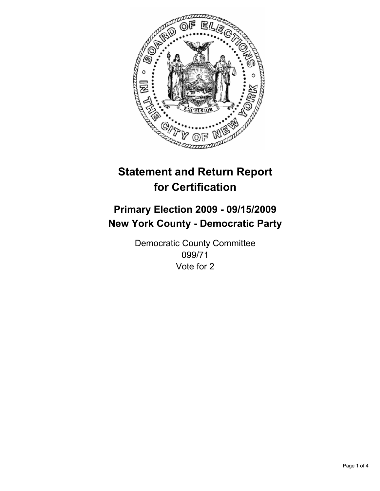

## **Primary Election 2009 - 09/15/2009 New York County - Democratic Party**

Democratic County Committee 099/71 Vote for 2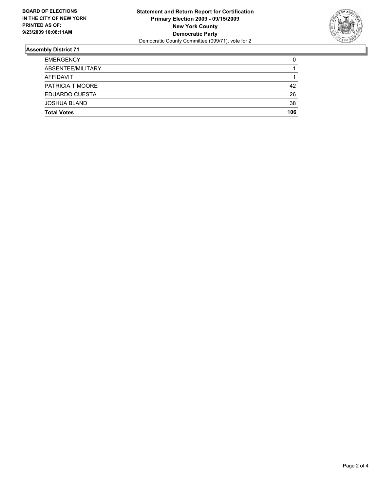

| <b>EMERGENCY</b>    | 0   |
|---------------------|-----|
| ABSENTEE/MILITARY   |     |
| AFFIDAVIT           | 1   |
| PATRICIA T MOORE    | 42  |
| EDUARDO CUESTA      | 26  |
| <b>JOSHUA BLAND</b> | 38  |
| <b>Total Votes</b>  | 106 |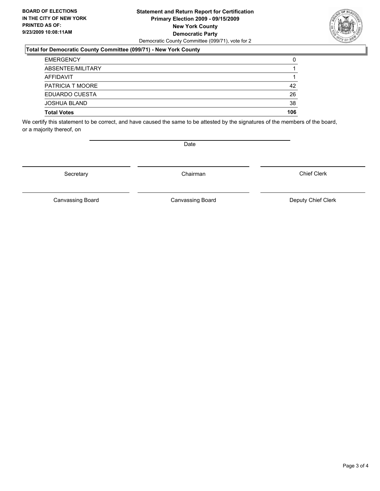#### **Statement and Return Report for Certification Primary Election 2009 - 09/15/2009 New York County Democratic Party** Democratic County Committee (099/71), vote for 2

### **Total for Democratic County Committee (099/71) - New York County**

| <b>EMERGENCY</b>    | 0   |
|---------------------|-----|
| ABSENTEE/MILITARY   |     |
| AFFIDAVIT           |     |
| PATRICIA T MOORE    | 42  |
| EDUARDO CUESTA      | 26  |
| <b>JOSHUA BLAND</b> | 38  |
| <b>Total Votes</b>  | 106 |

We certify this statement to be correct, and have caused the same to be attested by the signatures of the members of the board, or a majority thereof, on

Date

Canvassing Board **Canvassing Board** Canvassing Board **Deputy Chief Clerk** 

Canvassing Board

Chief Clerk

Page 3 of 4



Secretary **Chairman**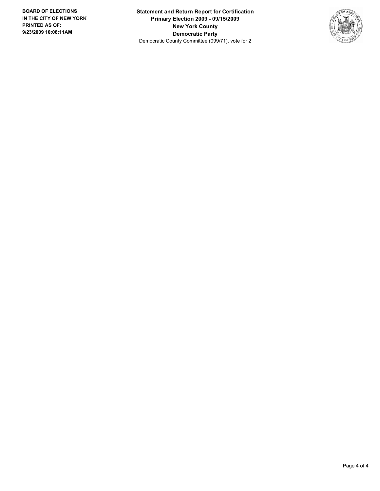**Statement and Return Report for Certification Primary Election 2009 - 09/15/2009 New York County Democratic Party** Democratic County Committee (099/71), vote for 2

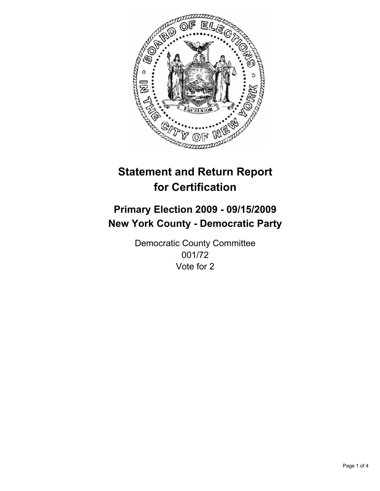

## **Primary Election 2009 - 09/15/2009 New York County - Democratic Party**

Democratic County Committee 001/72 Vote for 2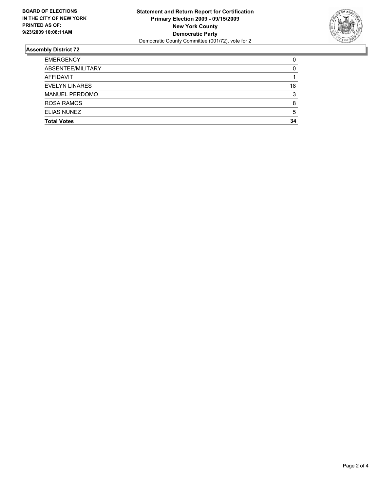

| <b>Total Votes</b>    | 34 |
|-----------------------|----|
| <b>ELIAS NUNEZ</b>    | 5  |
| <b>ROSA RAMOS</b>     | 8  |
| <b>MANUEL PERDOMO</b> | 3  |
| <b>EVELYN LINARES</b> | 18 |
| AFFIDAVIT             |    |
| ABSENTEE/MILITARY     | 0  |
| <b>EMERGENCY</b>      | 0  |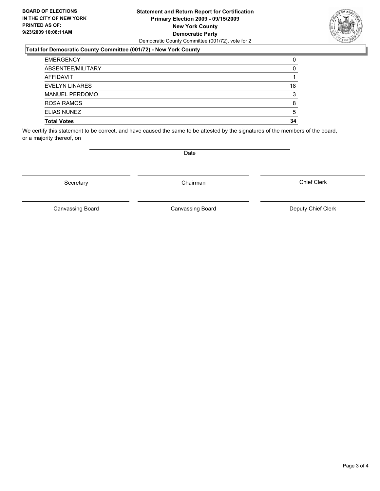#### **Statement and Return Report for Certification Primary Election 2009 - 09/15/2009 New York County Democratic Party** Democratic County Committee (001/72), vote for 2

### **Total for Democratic County Committee (001/72) - New York County**

| <b>EMERGENCY</b>      | 0  |
|-----------------------|----|
| ABSENTEE/MILITARY     | 0  |
| AFFIDAVIT             |    |
| <b>EVELYN LINARES</b> | 18 |
| <b>MANUEL PERDOMO</b> | 3  |
| ROSA RAMOS            | 8  |
| <b>ELIAS NUNEZ</b>    | 5  |
| <b>Total Votes</b>    | 34 |

We certify this statement to be correct, and have caused the same to be attested by the signatures of the members of the board, or a majority thereof, on

Secretary **Chairman** 

Canvassing Board

Canvassing Board Canvassing Board Canvassing Canvassing Board Deputy Chief Clerk

Chief Clerk



**Date**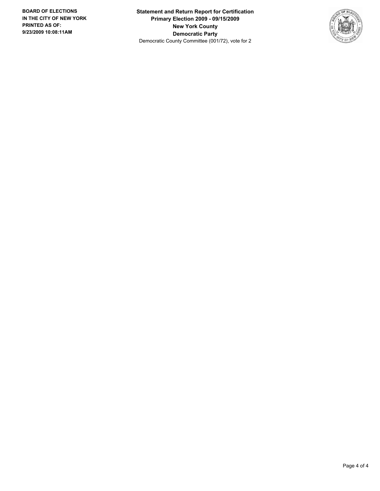**Statement and Return Report for Certification Primary Election 2009 - 09/15/2009 New York County Democratic Party** Democratic County Committee (001/72), vote for 2

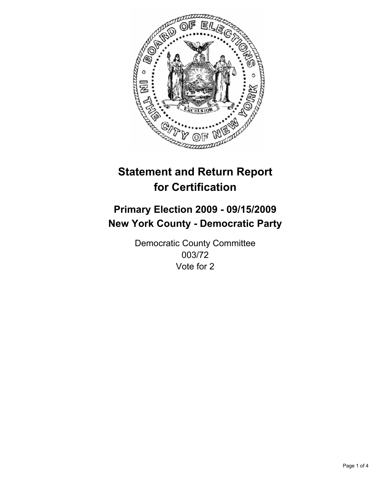

## **Primary Election 2009 - 09/15/2009 New York County - Democratic Party**

Democratic County Committee 003/72 Vote for 2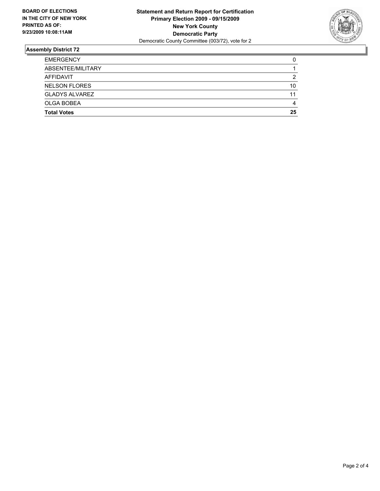

| <b>EMERGENCY</b>      | 0  |
|-----------------------|----|
| ABSENTEE/MILITARY     |    |
| AFFIDAVIT             | 2  |
| <b>NELSON FLORES</b>  | 10 |
| <b>GLADYS ALVAREZ</b> | 11 |
| <b>OLGA BOBEA</b>     | 4  |
| <b>Total Votes</b>    | 25 |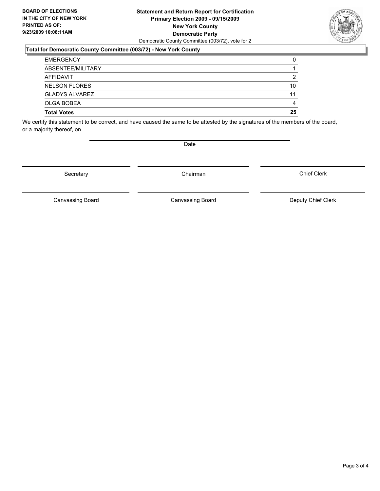#### **Statement and Return Report for Certification Primary Election 2009 - 09/15/2009 New York County Democratic Party** Democratic County Committee (003/72), vote for 2

### **Total for Democratic County Committee (003/72) - New York County**

| <b>EMERGENCY</b>      | 0  |
|-----------------------|----|
| ABSENTEE/MILITARY     |    |
| AFFIDAVIT             | 2  |
| <b>NELSON FLORES</b>  | 10 |
| <b>GLADYS ALVAREZ</b> | 11 |
| OLGA BOBEA            | 4  |
| <b>Total Votes</b>    | 25 |

We certify this statement to be correct, and have caused the same to be attested by the signatures of the members of the board, or a majority thereof, on

Secretary **Chairman** 

Date

Chief Clerk

Canvassing Board **Canvassing Board** Canvassing Board **Deputy Chief Clerk** 

Canvassing Board

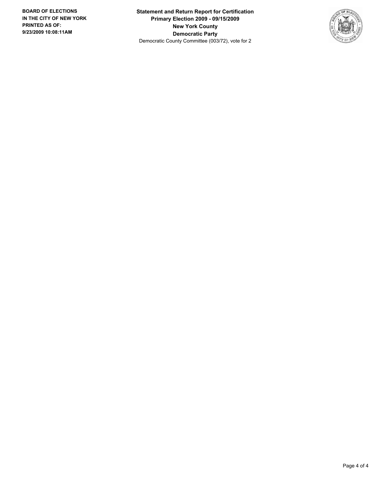**Statement and Return Report for Certification Primary Election 2009 - 09/15/2009 New York County Democratic Party** Democratic County Committee (003/72), vote for 2

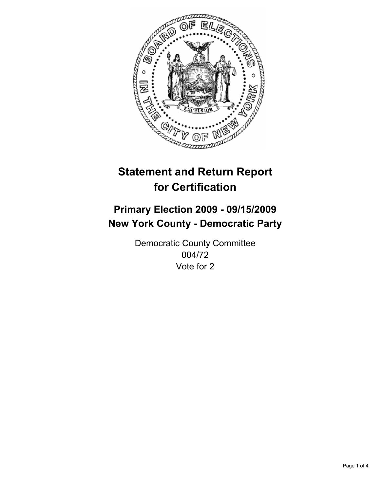

## **Primary Election 2009 - 09/15/2009 New York County - Democratic Party**

Democratic County Committee 004/72 Vote for 2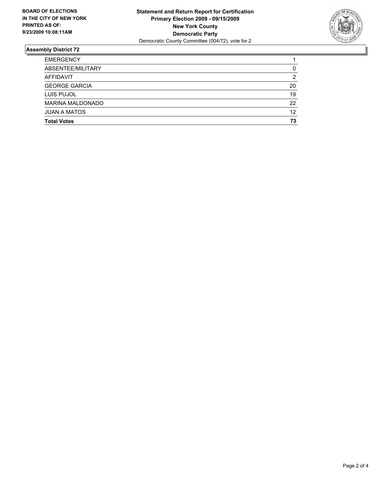

| <b>Total Votes</b>      | 73 |
|-------------------------|----|
| <b>JUAN A MATOS</b>     | 12 |
| <b>MARINA MALDONADO</b> | 22 |
| LUIS PUJOL              | 19 |
| <b>GEORGE GARCIA</b>    | 20 |
| AFFIDAVIT               | 2  |
| ABSENTEE/MILITARY       | 0  |
| <b>EMERGENCY</b>        |    |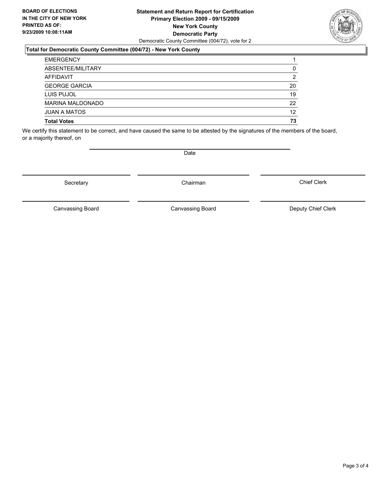#### **Statement and Return Report for Certification Primary Election 2009 - 09/15/2009 New York County Democratic Party** Democratic County Committee (004/72), vote for 2

### **Total for Democratic County Committee (004/72) - New York County**

| <b>EMERGENCY</b>        |    |
|-------------------------|----|
| ABSENTEE/MILITARY       | 0  |
| <b>AFFIDAVIT</b>        | 2  |
| <b>GEORGE GARCIA</b>    | 20 |
| LUIS PUJOL              | 19 |
| <b>MARINA MALDONADO</b> | 22 |
| <b>JUAN A MATOS</b>     | 12 |
| <b>Total Votes</b>      | 73 |

We certify this statement to be correct, and have caused the same to be attested by the signatures of the members of the board, or a majority thereof, on

Secretary **Chairman** 

Canvassing Board

Canvassing Board **Canvassing Board** Canvassing Board **Deputy Chief Clerk** 

Chief Clerk

Page 3 of 4



**Date**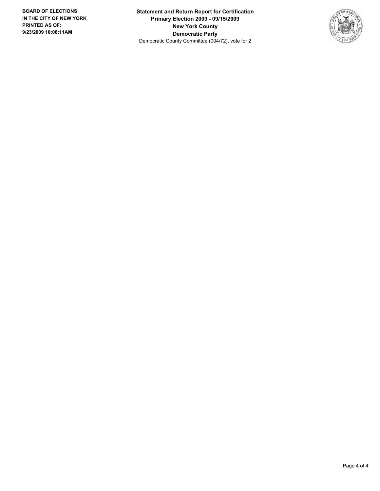**Statement and Return Report for Certification Primary Election 2009 - 09/15/2009 New York County Democratic Party** Democratic County Committee (004/72), vote for 2

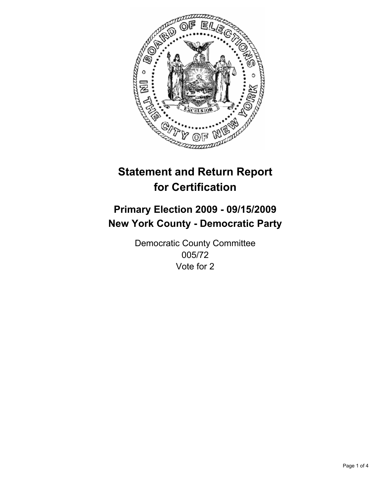

## **Primary Election 2009 - 09/15/2009 New York County - Democratic Party**

Democratic County Committee 005/72 Vote for 2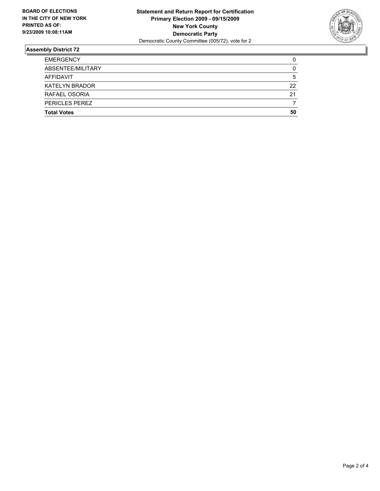

| <b>EMERGENCY</b>      | 0  |
|-----------------------|----|
| ABSENTEE/MILITARY     | 0  |
| AFFIDAVIT             | 5  |
| <b>KATELYN BRADOR</b> | 22 |
| RAFAEL OSORIA         | 21 |
| PERICLES PEREZ        |    |
| <b>Total Votes</b>    | 50 |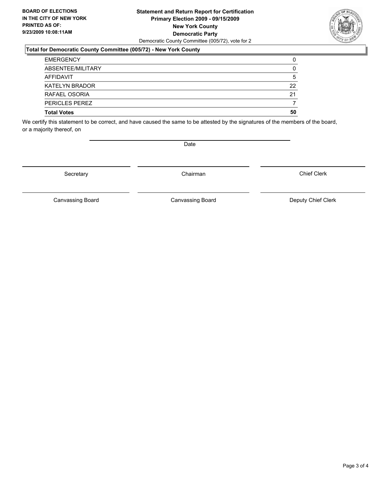#### **Statement and Return Report for Certification Primary Election 2009 - 09/15/2009 New York County Democratic Party** Democratic County Committee (005/72), vote for 2

### **Total for Democratic County Committee (005/72) - New York County**

| <b>EMERGENCY</b>      | 0  |
|-----------------------|----|
| ABSENTEE/MILITARY     | 0  |
| AFFIDAVIT             | 5  |
| <b>KATELYN BRADOR</b> | 22 |
| RAFAEL OSORIA         | 21 |
| <b>PERICLES PEREZ</b> |    |
| <b>Total Votes</b>    | 50 |

We certify this statement to be correct, and have caused the same to be attested by the signatures of the members of the board, or a majority thereof, on

Secretary **Chairman** 

Chief Clerk

Canvassing Board **Canvassing Board** Canvassing Board **Deputy Chief Clerk** 

Canvassing Board



Date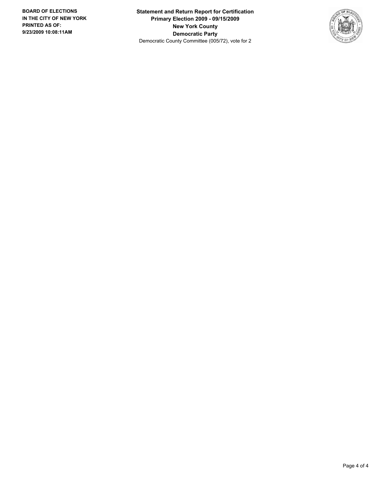**Statement and Return Report for Certification Primary Election 2009 - 09/15/2009 New York County Democratic Party** Democratic County Committee (005/72), vote for 2

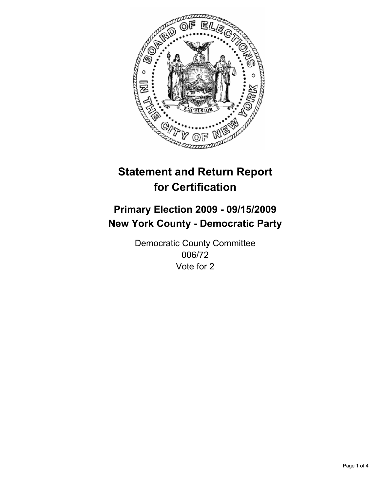

## **Primary Election 2009 - 09/15/2009 New York County - Democratic Party**

Democratic County Committee 006/72 Vote for 2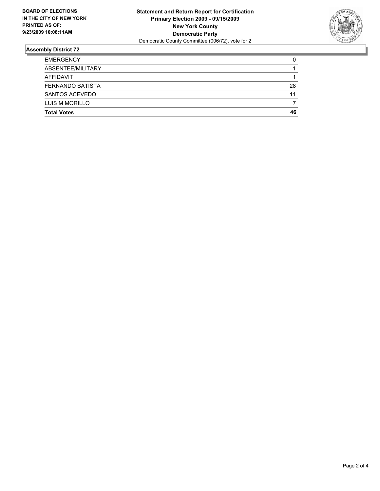

| <b>Total Votes</b>      | 46 |
|-------------------------|----|
| LUIS M MORILLO          |    |
| SANTOS ACEVEDO          | 11 |
| <b>FERNANDO BATISTA</b> | 28 |
| AFFIDAVIT               |    |
| ABSENTEE/MILITARY       |    |
| <b>EMERGENCY</b>        | 0  |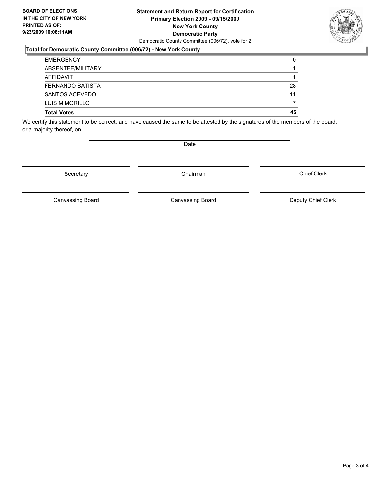#### **Statement and Return Report for Certification Primary Election 2009 - 09/15/2009 New York County Democratic Party** Democratic County Committee (006/72), vote for 2

### **Total for Democratic County Committee (006/72) - New York County**

| <b>Total Votes</b>      | 46 |
|-------------------------|----|
| LUIS M MORILLO          |    |
| SANTOS ACEVEDO          | 11 |
| <b>FERNANDO BATISTA</b> | 28 |
| AFFIDAVIT               |    |
| ABSENTEE/MILITARY       |    |
| <b>EMERGENCY</b>        | 0  |

We certify this statement to be correct, and have caused the same to be attested by the signatures of the members of the board, or a majority thereof, on

Secretary **Chairman** 

Date

Canvassing Board **Canvassing Board** Canvassing Board **Deputy Chief Clerk** 

Canvassing Board

Chief Clerk

Page 3 of 4

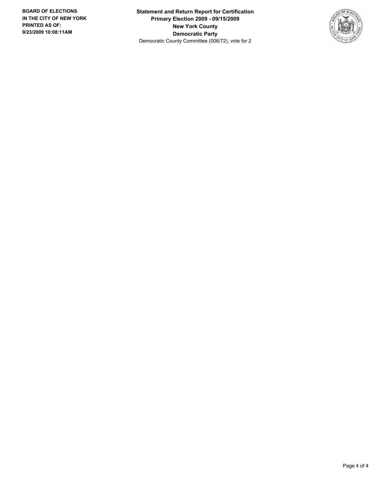**Statement and Return Report for Certification Primary Election 2009 - 09/15/2009 New York County Democratic Party** Democratic County Committee (006/72), vote for 2

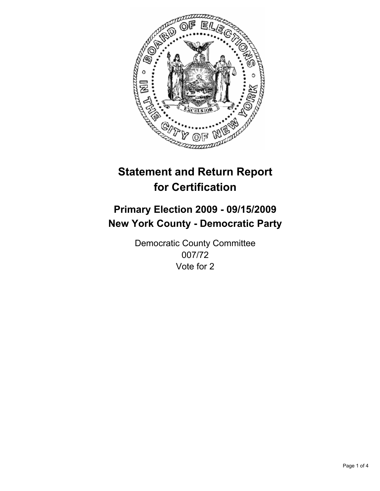

## **Primary Election 2009 - 09/15/2009 New York County - Democratic Party**

Democratic County Committee 007/72 Vote for 2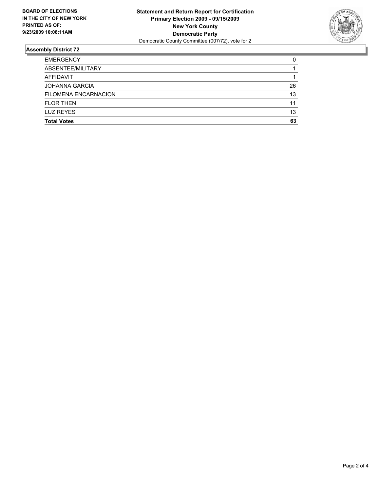

| <b>LUZ REYES</b>            | 13 |
|-----------------------------|----|
| <b>FLOR THEN</b>            | 11 |
| <b>FILOMENA ENCARNACION</b> | 13 |
| <b>JOHANNA GARCIA</b>       | 26 |
| AFFIDAVIT                   |    |
| ABSENTEE/MILITARY           |    |
| <b>EMERGENCY</b>            | 0  |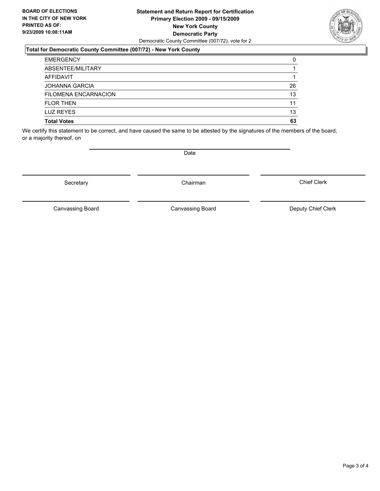#### **Statement and Return Report for Certification Primary Election 2009 - 09/15/2009 New York County Democratic Party** Democratic County Committee (007/72), vote for 2

### **Total for Democratic County Committee (007/72) - New York County**

| <b>EMERGENCY</b>      | 0  |
|-----------------------|----|
| ABSENTEE/MILITARY     |    |
| AFFIDAVIT             |    |
| <b>JOHANNA GARCIA</b> | 26 |
| FILOMENA ENCARNACION  | 13 |
| <b>FLOR THEN</b>      | 11 |
| <b>LUZ REYES</b>      | 13 |
| <b>Total Votes</b>    | 63 |

We certify this statement to be correct, and have caused the same to be attested by the signatures of the members of the board, or a majority thereof, on

Secretary **Chairman** 

Canvassing Board

Canvassing Board **Canvassing Board** Canvassing Board **Deputy Chief Clerk** 

Chief Clerk

Page 3 of 4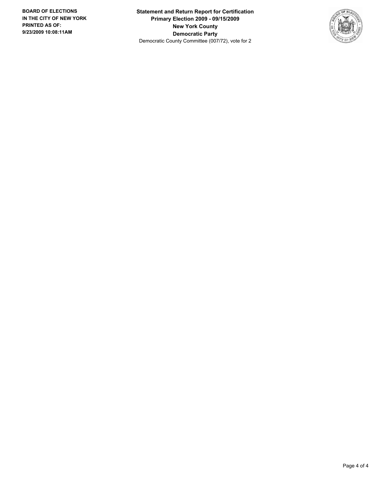**Statement and Return Report for Certification Primary Election 2009 - 09/15/2009 New York County Democratic Party** Democratic County Committee (007/72), vote for 2

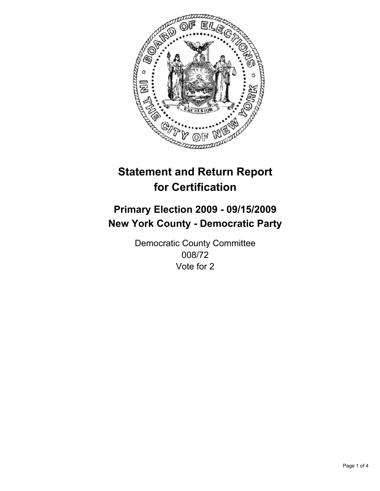

## **Primary Election 2009 - 09/15/2009 New York County - Democratic Party**

Democratic County Committee 008/72 Vote for 2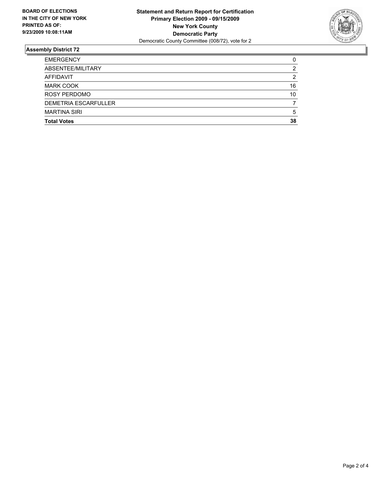

| <b>Total Votes</b>          | 38 |
|-----------------------------|----|
| <b>MARTINA SIRI</b>         | 5  |
| <b>DEMETRIA ESCARFULLER</b> |    |
| <b>ROSY PERDOMO</b>         | 10 |
| <b>MARK COOK</b>            | 16 |
| AFFIDAVIT                   | 2  |
| ABSENTEE/MILITARY           | 2  |
| <b>EMERGENCY</b>            | 0  |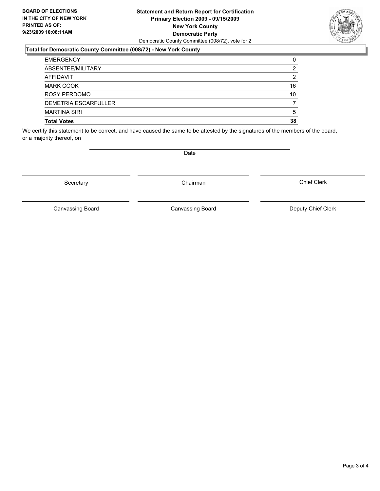#### **Statement and Return Report for Certification Primary Election 2009 - 09/15/2009 New York County Democratic Party** Democratic County Committee (008/72), vote for 2

#### **Total for Democratic County Committee (008/72) - New York County**

| <b>EMERGENCY</b>            | 0  |
|-----------------------------|----|
| ABSENTEE/MILITARY           | 2  |
| <b>AFFIDAVIT</b>            | 2  |
| <b>MARK COOK</b>            | 16 |
| <b>ROSY PERDOMO</b>         | 10 |
| <b>DEMETRIA ESCARFULLER</b> |    |
| <b>MARTINA SIRI</b>         | 5  |
| <b>Total Votes</b>          | 38 |

We certify this statement to be correct, and have caused the same to be attested by the signatures of the members of the board, or a majority thereof, on

Secretary **Chairman** 

Canvassing Board

Canvassing Board **Canvassing Board** Canvassing Board **Deputy Chief Clerk** 

Chief Clerk

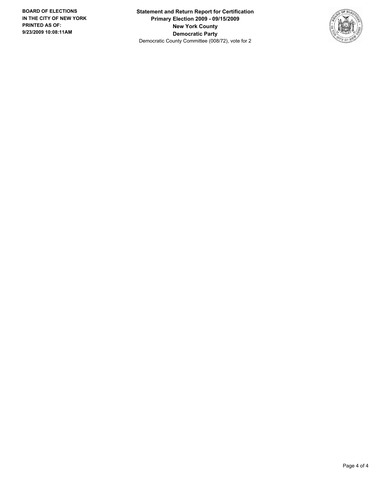**Statement and Return Report for Certification Primary Election 2009 - 09/15/2009 New York County Democratic Party** Democratic County Committee (008/72), vote for 2

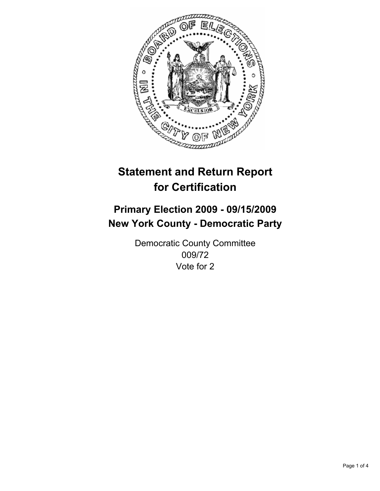

## **Primary Election 2009 - 09/15/2009 New York County - Democratic Party**

Democratic County Committee 009/72 Vote for 2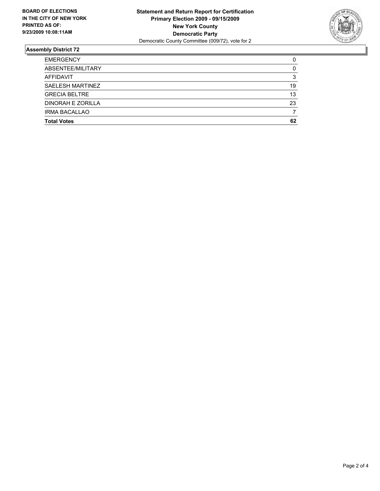

| <b>Total Votes</b>   | 62 |
|----------------------|----|
| <b>IRMA BACALLAO</b> |    |
| DINORAH E ZORILLA    | 23 |
| <b>GRECIA BELTRE</b> | 13 |
| SAELESH MARTINEZ     | 19 |
| <b>AFFIDAVIT</b>     | 3  |
| ABSENTEE/MILITARY    | 0  |
| <b>EMERGENCY</b>     | 0  |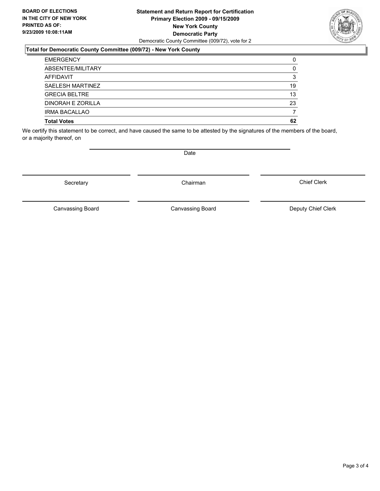#### **Statement and Return Report for Certification Primary Election 2009 - 09/15/2009 New York County Democratic Party** Democratic County Committee (009/72), vote for 2

#### **Total for Democratic County Committee (009/72) - New York County**

| <b>EMERGENCY</b>     | 0  |
|----------------------|----|
| ABSENTEE/MILITARY    | 0  |
| AFFIDAVIT            | 3  |
| SAELESH MARTINEZ     | 19 |
| <b>GRECIA BELTRE</b> | 13 |
| DINORAH E ZORILLA    | 23 |
| <b>IRMA BACALLAO</b> |    |
| <b>Total Votes</b>   | 62 |

We certify this statement to be correct, and have caused the same to be attested by the signatures of the members of the board, or a majority thereof, on

**Date** 

Secretary **Chairman** 

Canvassing Board

Chief Clerk



Canvassing Board Canvassing Board Canvassing Canvassing Board Deputy Chief Clerk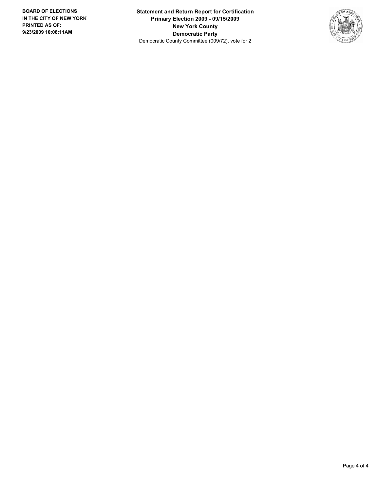**Statement and Return Report for Certification Primary Election 2009 - 09/15/2009 New York County Democratic Party** Democratic County Committee (009/72), vote for 2

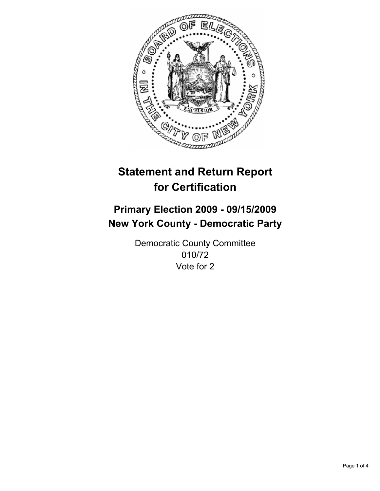

## **Primary Election 2009 - 09/15/2009 New York County - Democratic Party**

Democratic County Committee 010/72 Vote for 2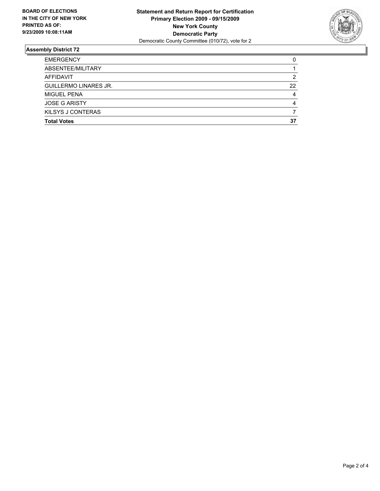

| <b>Total Votes</b>           | 37 |
|------------------------------|----|
| KILSYS J CONTERAS            |    |
| <b>JOSE G ARISTY</b>         | 4  |
| <b>MIGUEL PENA</b>           | 4  |
| <b>GUILLERMO LINARES JR.</b> | 22 |
| AFFIDAVIT                    | 2  |
| ABSENTEE/MILITARY            |    |
| <b>EMERGENCY</b>             | 0  |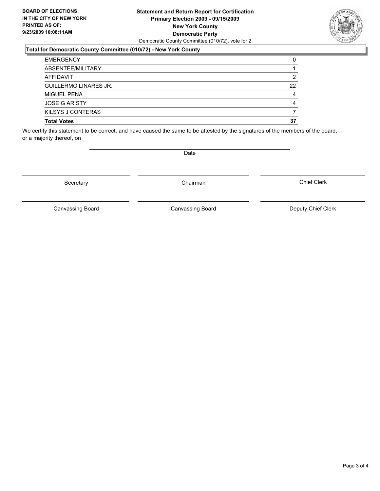#### **Statement and Return Report for Certification Primary Election 2009 - 09/15/2009 New York County Democratic Party** Democratic County Committee (010/72), vote for 2

### **Total for Democratic County Committee (010/72) - New York County**

| <b>EMERGENCY</b>             | 0  |
|------------------------------|----|
| ABSENTEE/MILITARY            |    |
| AFFIDAVIT                    | 2  |
| <b>GUILLERMO LINARES JR.</b> | 22 |
| MIGUEL PENA                  | 4  |
| <b>JOSE G ARISTY</b>         | 4  |
| KILSYS J CONTERAS            |    |
| <b>Total Votes</b>           | 37 |

We certify this statement to be correct, and have caused the same to be attested by the signatures of the members of the board, or a majority thereof, on

Secretary **Chairman** 

Canvassing Board

Canvassing Board Canvassing Board Canvassing Canvassing Board Deputy Chief Clerk

Chief Clerk

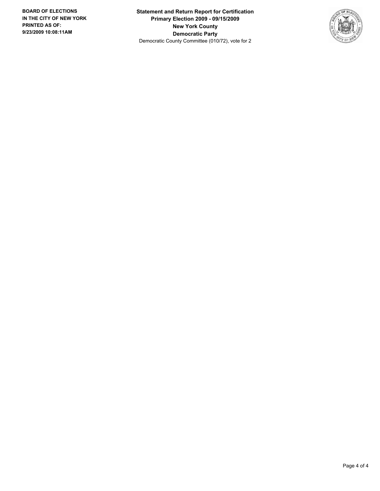**Statement and Return Report for Certification Primary Election 2009 - 09/15/2009 New York County Democratic Party** Democratic County Committee (010/72), vote for 2

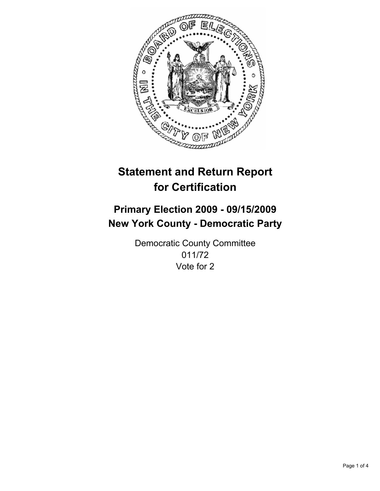

## **Primary Election 2009 - 09/15/2009 New York County - Democratic Party**

Democratic County Committee 011/72 Vote for 2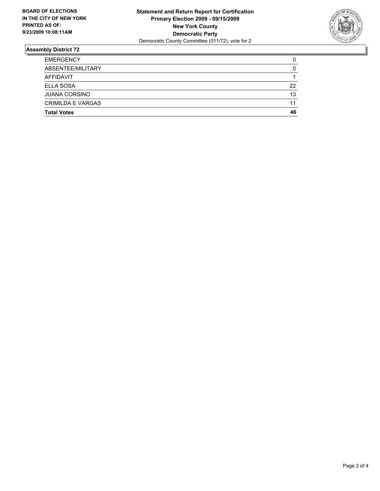

| <b>Total Votes</b>       | 46 |
|--------------------------|----|
| <b>CRIMILDA E VARGAS</b> | 11 |
| <b>JUANA CORSINO</b>     | 13 |
| <b>ELLA SOSA</b>         | 22 |
| AFFIDAVIT                | 1  |
| ABSENTEE/MILITARY        | 0  |
| <b>EMERGENCY</b>         | 0  |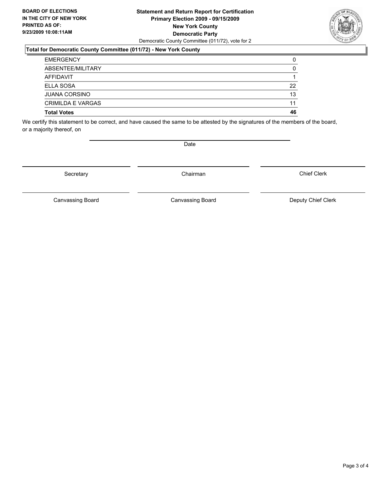#### **Statement and Return Report for Certification Primary Election 2009 - 09/15/2009 New York County Democratic Party** Democratic County Committee (011/72), vote for 2

#### **Total for Democratic County Committee (011/72) - New York County**

| <b>Total Votes</b>       | 46 |
|--------------------------|----|
| <b>CRIMILDA E VARGAS</b> | 11 |
| <b>JUANA CORSINO</b>     | 13 |
| <b>ELLA SOSA</b>         | 22 |
| AFFIDAVIT                |    |
| ABSENTEE/MILITARY        | 0  |
| <b>EMERGENCY</b>         | 0  |

We certify this statement to be correct, and have caused the same to be attested by the signatures of the members of the board, or a majority thereof, on

Secretary **Chairman** 

Chief Clerk

Canvassing Board **Canvassing Board** Canvassing Board **Deputy Chief Clerk** 

Canvassing Board

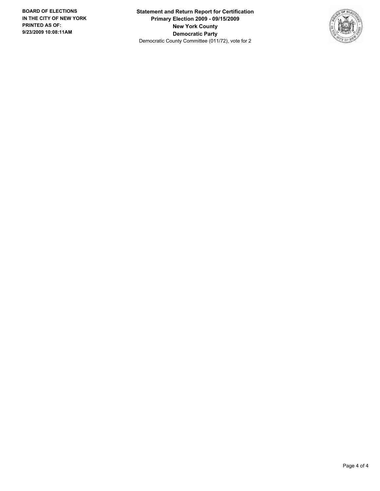**Statement and Return Report for Certification Primary Election 2009 - 09/15/2009 New York County Democratic Party** Democratic County Committee (011/72), vote for 2

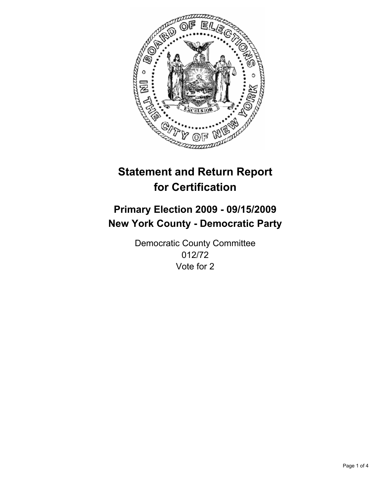

## **Primary Election 2009 - 09/15/2009 New York County - Democratic Party**

Democratic County Committee 012/72 Vote for 2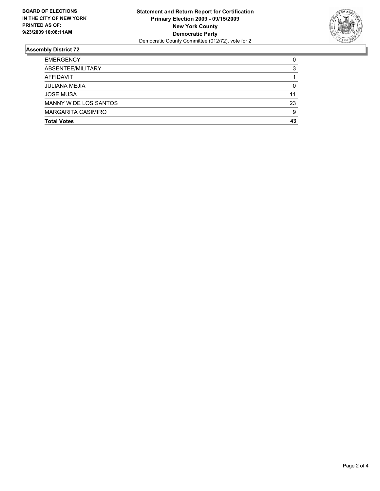

| <b>Total Votes</b>        | 43 |
|---------------------------|----|
| <b>MARGARITA CASIMIRO</b> | 9  |
| MANNY W DE LOS SANTOS     | 23 |
| <b>JOSE MUSA</b>          | 11 |
| <b>JULIANA MEJIA</b>      | 0  |
| <b>AFFIDAVIT</b>          |    |
| ABSENTEE/MILITARY         | 3  |
| <b>EMERGENCY</b>          | 0  |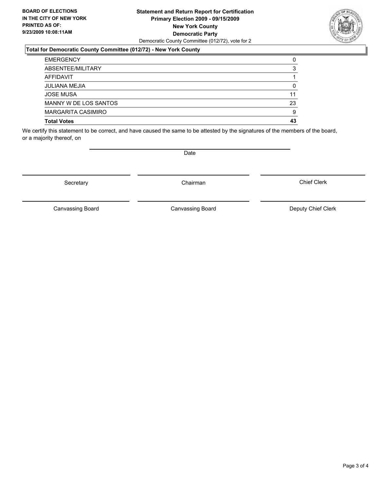#### **Statement and Return Report for Certification Primary Election 2009 - 09/15/2009 New York County Democratic Party** Democratic County Committee (012/72), vote for 2

### **Total for Democratic County Committee (012/72) - New York County**

| <b>EMERGENCY</b>      | 0  |
|-----------------------|----|
| ABSENTEE/MILITARY     | 3  |
| AFFIDAVIT             |    |
| <b>JULIANA MEJIA</b>  | 0  |
| <b>JOSE MUSA</b>      | 11 |
| MANNY W DE LOS SANTOS | 23 |
| MARGARITA CASIMIRO    | 9  |
| <b>Total Votes</b>    | 43 |

We certify this statement to be correct, and have caused the same to be attested by the signatures of the members of the board, or a majority thereof, on

Secretary **Chairman** 

Canvassing Board Canvassing Board Canvassing Canvassing Board Deputy Chief Clerk

Chief Clerk



Canvassing Board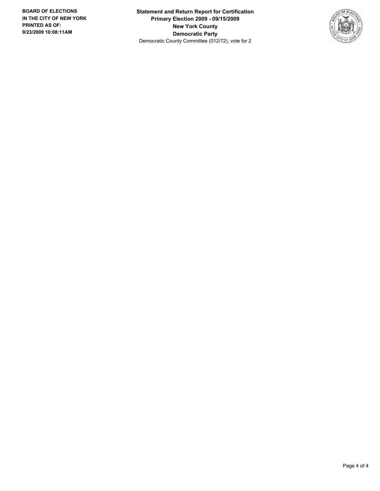**Statement and Return Report for Certification Primary Election 2009 - 09/15/2009 New York County Democratic Party** Democratic County Committee (012/72), vote for 2

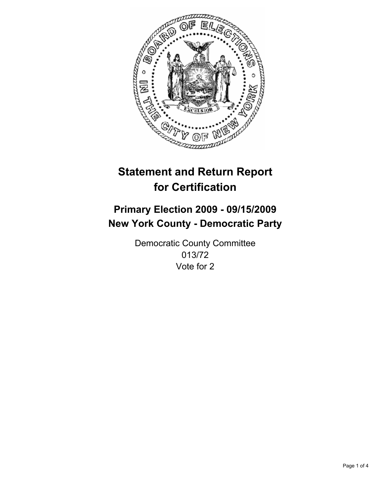

## **Primary Election 2009 - 09/15/2009 New York County - Democratic Party**

Democratic County Committee 013/72 Vote for 2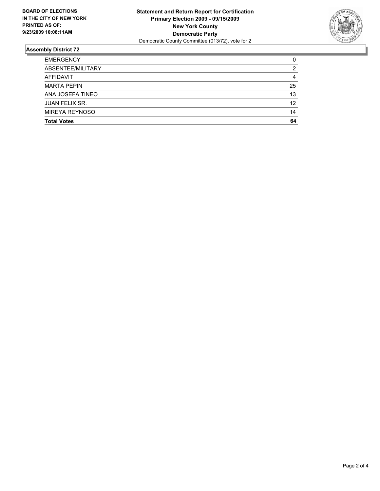

| <b>Total Votes</b>    | 64 |
|-----------------------|----|
| <b>MIREYA REYNOSO</b> | 14 |
| <b>JUAN FELIX SR.</b> | 12 |
| ANA JOSEFA TINEO      | 13 |
| <b>MARTA PEPIN</b>    | 25 |
| <b>AFFIDAVIT</b>      | 4  |
| ABSENTEE/MILITARY     | 2  |
| <b>EMERGENCY</b>      | 0  |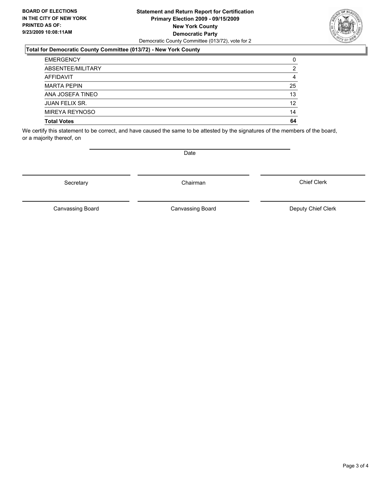#### **Statement and Return Report for Certification Primary Election 2009 - 09/15/2009 New York County Democratic Party** Democratic County Committee (013/72), vote for 2

### **Total for Democratic County Committee (013/72) - New York County**

| <b>EMERGENCY</b>      | 0  |
|-----------------------|----|
| ABSENTEE/MILITARY     | 2  |
| <b>AFFIDAVIT</b>      | 4  |
| <b>MARTA PEPIN</b>    | 25 |
| ANA JOSEFA TINEO      | 13 |
| <b>JUAN FELIX SR.</b> | 12 |
| MIREYA REYNOSO        | 14 |
| <b>Total Votes</b>    | 64 |

We certify this statement to be correct, and have caused the same to be attested by the signatures of the members of the board, or a majority thereof, on

Secretary **Chairman** 

Canvassing Board

Canvassing Board Canvassing Board Canvassing Canvassing Board Deputy Chief Clerk

Chief Clerk

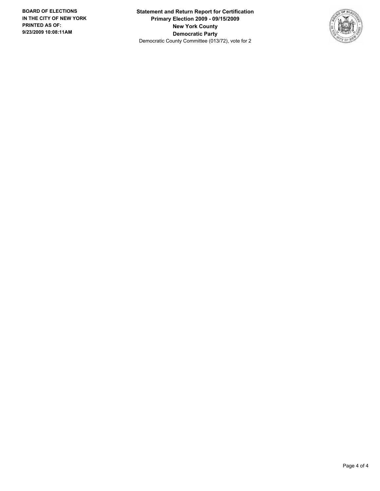**Statement and Return Report for Certification Primary Election 2009 - 09/15/2009 New York County Democratic Party** Democratic County Committee (013/72), vote for 2

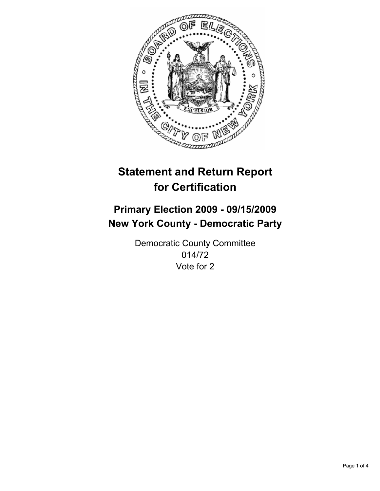

## **Primary Election 2009 - 09/15/2009 New York County - Democratic Party**

Democratic County Committee 014/72 Vote for 2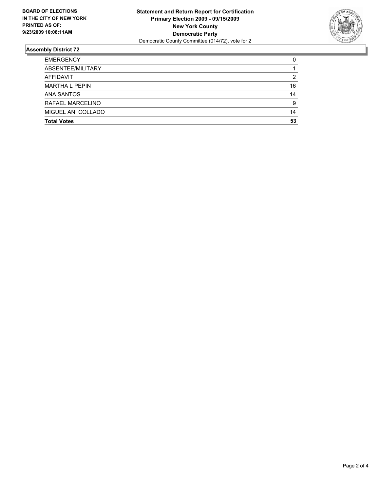

| <b>EMERGENCY</b>      | 0  |
|-----------------------|----|
| ABSENTEE/MILITARY     |    |
| <b>AFFIDAVIT</b>      | 2  |
| <b>MARTHA L PEPIN</b> | 16 |
| <b>ANA SANTOS</b>     | 14 |
| RAFAEL MARCELINO      | 9  |
| MIGUEL AN. COLLADO    | 14 |
| <b>Total Votes</b>    | 53 |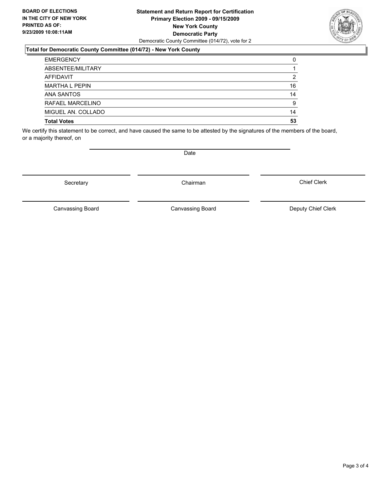#### **Statement and Return Report for Certification Primary Election 2009 - 09/15/2009 New York County Democratic Party** Democratic County Committee (014/72), vote for 2

### **Total for Democratic County Committee (014/72) - New York County**

| <b>EMERGENCY</b>      | 0  |
|-----------------------|----|
| ABSENTEE/MILITARY     |    |
| AFFIDAVIT             | 2  |
| <b>MARTHA L PEPIN</b> | 16 |
| <b>ANA SANTOS</b>     | 14 |
| RAFAEL MARCELINO      | 9  |
| MIGUEL AN. COLLADO    | 14 |
| <b>Total Votes</b>    | 53 |

We certify this statement to be correct, and have caused the same to be attested by the signatures of the members of the board, or a majority thereof, on

Canvassing Board

Canvassing Board Canvassing Board Canvassing Canvassing Board Deputy Chief Clerk

Chief Clerk

Page 3 of 4



Secretary **Chairman**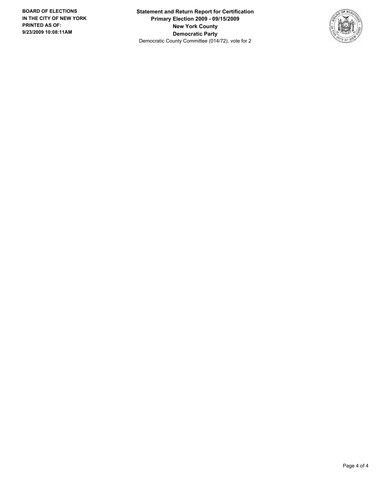**Statement and Return Report for Certification Primary Election 2009 - 09/15/2009 New York County Democratic Party** Democratic County Committee (014/72), vote for 2

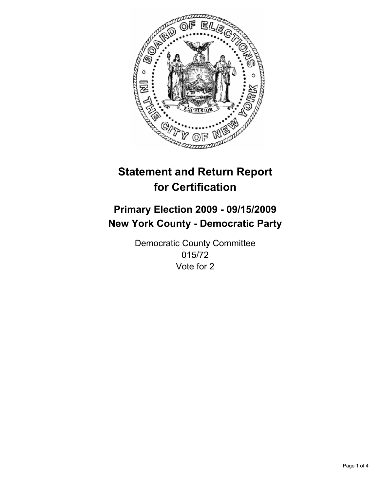

## **Primary Election 2009 - 09/15/2009 New York County - Democratic Party**

Democratic County Committee 015/72 Vote for 2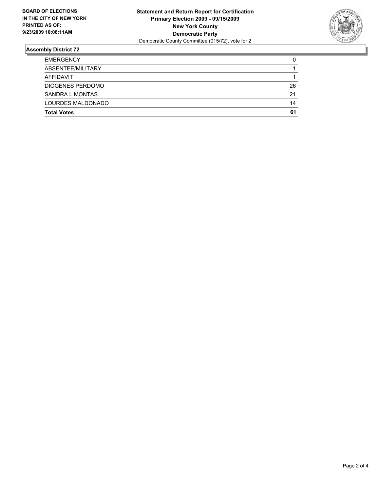

| <b>EMERGENCY</b>        | 0  |
|-------------------------|----|
| ABSENTEE/MILITARY       |    |
| AFFIDAVIT               |    |
| <b>DIOGENES PERDOMO</b> | 26 |
| SANDRA L MONTAS         | 21 |
| LOURDES MALDONADO       | 14 |
| <b>Total Votes</b>      | 61 |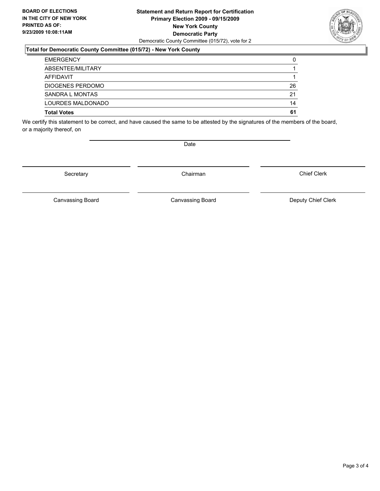#### **Statement and Return Report for Certification Primary Election 2009 - 09/15/2009 New York County Democratic Party** Democratic County Committee (015/72), vote for 2

### **Total for Democratic County Committee (015/72) - New York County**

| <b>EMERGENCY</b>        | 0  |
|-------------------------|----|
| ABSENTEE/MILITARY       |    |
| AFFIDAVIT               |    |
| <b>DIOGENES PERDOMO</b> | 26 |
| <b>SANDRA L MONTAS</b>  | 21 |
| LOURDES MALDONADO       | 14 |
| <b>Total Votes</b>      | 61 |

We certify this statement to be correct, and have caused the same to be attested by the signatures of the members of the board, or a majority thereof, on

Secretary **Chairman** 

Canvassing Board **Canvassing Board** Canvassing Board **Deputy Chief Clerk** 

Canvassing Board

Chief Clerk

Page 3 of 4

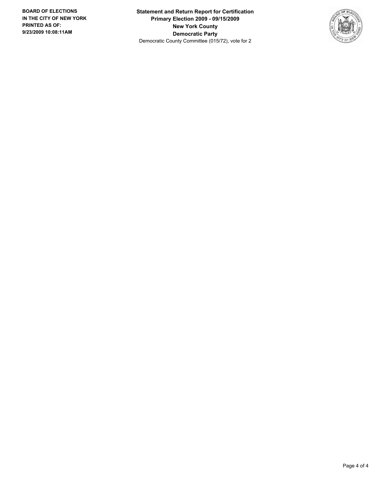**Statement and Return Report for Certification Primary Election 2009 - 09/15/2009 New York County Democratic Party** Democratic County Committee (015/72), vote for 2

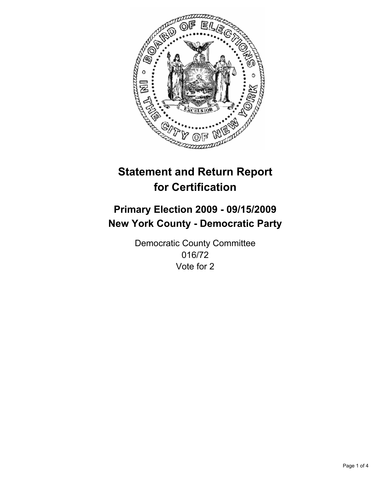

## **Primary Election 2009 - 09/15/2009 New York County - Democratic Party**

Democratic County Committee 016/72 Vote for 2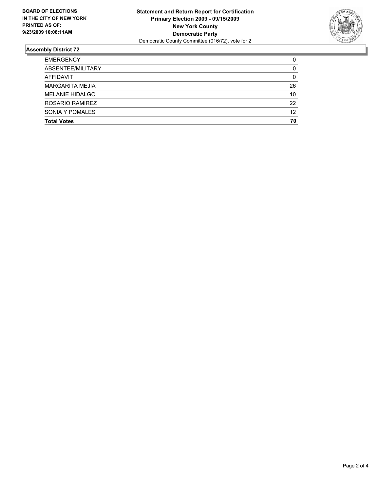

| <b>Total Votes</b>     | 70 |
|------------------------|----|
| SONIA Y POMALES        | 12 |
| ROSARIO RAMIREZ        | 22 |
| <b>MELANIE HIDALGO</b> | 10 |
| <b>MARGARITA MEJIA</b> | 26 |
| <b>AFFIDAVIT</b>       | 0  |
| ABSENTEE/MILITARY      | 0  |
| <b>EMERGENCY</b>       | 0  |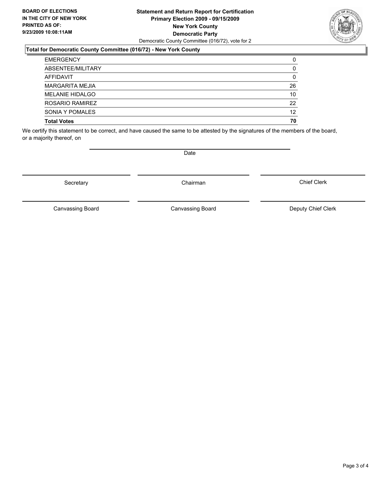#### **Statement and Return Report for Certification Primary Election 2009 - 09/15/2009 New York County Democratic Party** Democratic County Committee (016/72), vote for 2

### **Total for Democratic County Committee (016/72) - New York County**

| <b>Total Votes</b>     | 70 |
|------------------------|----|
| SONIA Y POMALES        | 12 |
| ROSARIO RAMIREZ        | 22 |
| <b>MELANIE HIDALGO</b> | 10 |
| MARGARITA MEJIA        | 26 |
| <b>AFFIDAVIT</b>       | 0  |
| ABSENTEE/MILITARY      | 0  |
| <b>EMERGENCY</b>       | 0  |

We certify this statement to be correct, and have caused the same to be attested by the signatures of the members of the board, or a majority thereof, on

Secretary **Chairman** 

Canvassing Board

**Date** 

Canvassing Board Canvassing Board Canvassing Canvassing Board Deputy Chief Clerk

Chief Clerk

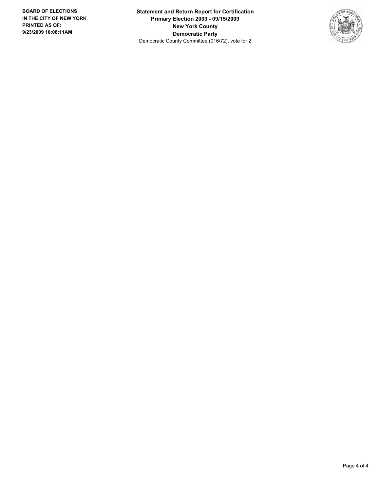**Statement and Return Report for Certification Primary Election 2009 - 09/15/2009 New York County Democratic Party** Democratic County Committee (016/72), vote for 2

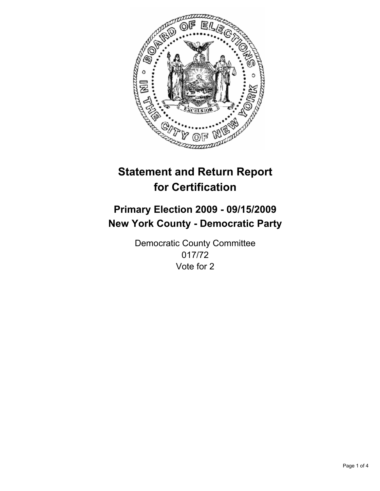

## **Primary Election 2009 - 09/15/2009 New York County - Democratic Party**

Democratic County Committee 017/72 Vote for 2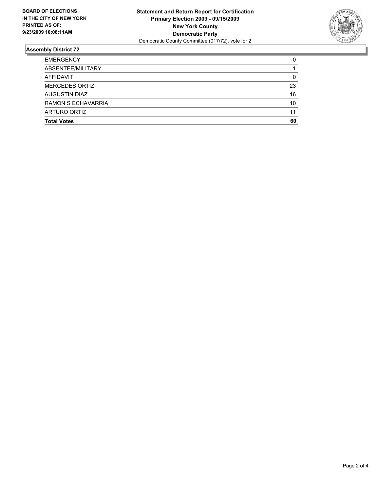

| <b>Total Votes</b>    | 60 |
|-----------------------|----|
| ARTURO ORTIZ          | 11 |
| RAMON S ECHAVARRIA    | 10 |
| <b>AUGUSTIN DIAZ</b>  | 16 |
| <b>MERCEDES ORTIZ</b> | 23 |
| <b>AFFIDAVIT</b>      | 0  |
| ABSENTEE/MILITARY     |    |
| <b>EMERGENCY</b>      | 0  |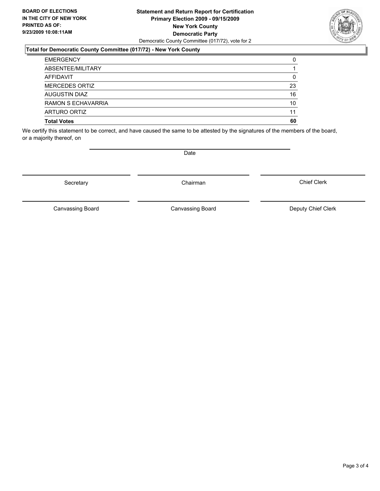#### **Statement and Return Report for Certification Primary Election 2009 - 09/15/2009 New York County Democratic Party** Democratic County Committee (017/72), vote for 2

### **Total for Democratic County Committee (017/72) - New York County**

| <b>Total Votes</b>  | 60 |
|---------------------|----|
| <b>ARTURO ORTIZ</b> | 11 |
| RAMON S ECHAVARRIA  | 10 |
| AUGUSTIN DIAZ       | 16 |
| MERCEDES ORTIZ      | 23 |
| <b>AFFIDAVIT</b>    | 0  |
| ABSENTEE/MILITARY   |    |
| <b>EMERGENCY</b>    | 0  |

We certify this statement to be correct, and have caused the same to be attested by the signatures of the members of the board, or a majority thereof, on

Secretary **Chairman** 

Canvassing Board

**Date** 

Canvassing Board Canvassing Board Canvassing Canvassing Board Deputy Chief Clerk

Chief Clerk

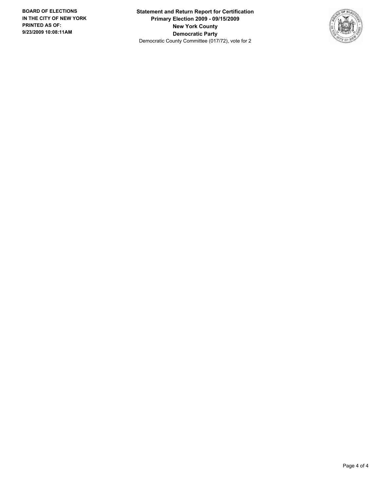**Statement and Return Report for Certification Primary Election 2009 - 09/15/2009 New York County Democratic Party** Democratic County Committee (017/72), vote for 2

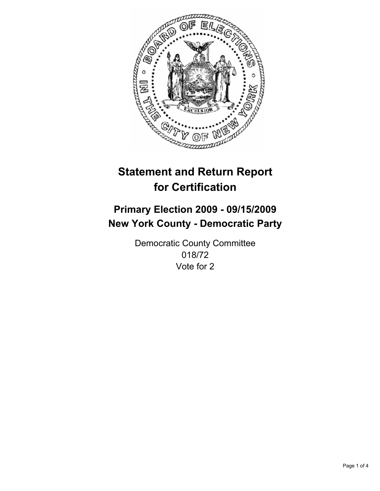

## **Primary Election 2009 - 09/15/2009 New York County - Democratic Party**

Democratic County Committee 018/72 Vote for 2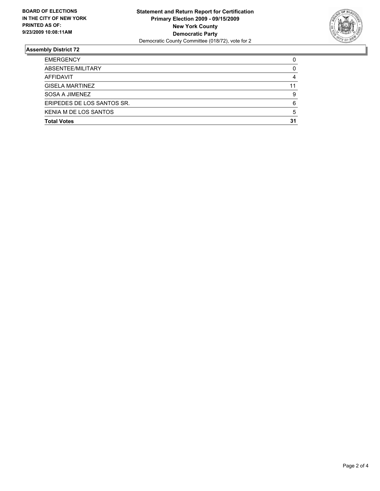

| <b>Total Votes</b>         | 31 |
|----------------------------|----|
| KENIA M DE LOS SANTOS      | 5  |
| ERIPEDES DE LOS SANTOS SR. | 6  |
| SOSA A JIMENEZ             | 9  |
| <b>GISELA MARTINEZ</b>     | 11 |
| <b>AFFIDAVIT</b>           | 4  |
| ABSENTEE/MILITARY          | 0  |
| <b>EMERGENCY</b>           | 0  |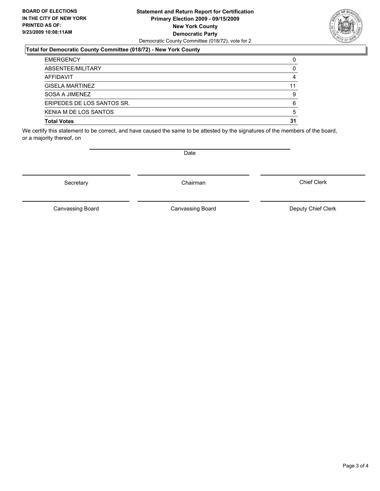#### **Statement and Return Report for Certification Primary Election 2009 - 09/15/2009 New York County Democratic Party** Democratic County Committee (018/72), vote for 2

### **Total for Democratic County Committee (018/72) - New York County**

| <b>EMERGENCY</b>             | 0  |
|------------------------------|----|
| ABSENTEE/MILITARY            | 0  |
| AFFIDAVIT                    | 4  |
| <b>GISELA MARTINEZ</b>       | 11 |
| SOSA A JIMENEZ               | 9  |
| ERIPEDES DE LOS SANTOS SR.   | 6  |
| <b>KENIA M DE LOS SANTOS</b> | 5  |
| <b>Total Votes</b>           | 31 |

We certify this statement to be correct, and have caused the same to be attested by the signatures of the members of the board, or a majority thereof, on

Secretary **Chairman** 

Canvassing Board

Canvassing Board Canvassing Board Canvassing Canvassing Board Deputy Chief Clerk

Chief Clerk



**Date**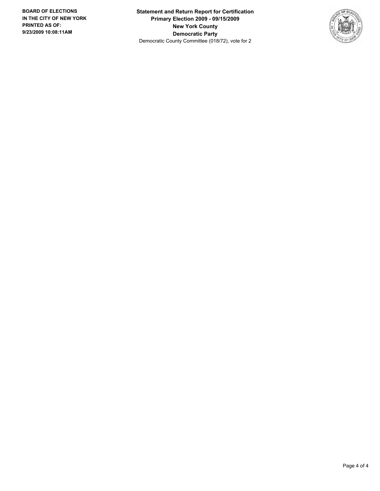**Statement and Return Report for Certification Primary Election 2009 - 09/15/2009 New York County Democratic Party** Democratic County Committee (018/72), vote for 2

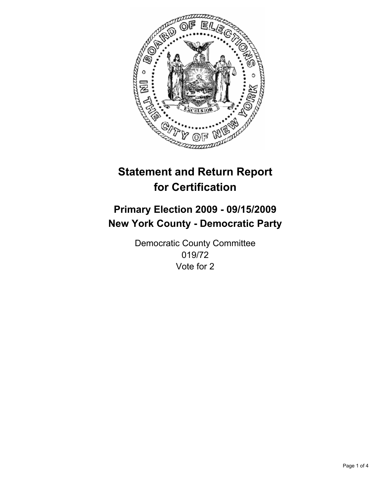

## **Primary Election 2009 - 09/15/2009 New York County - Democratic Party**

Democratic County Committee 019/72 Vote for 2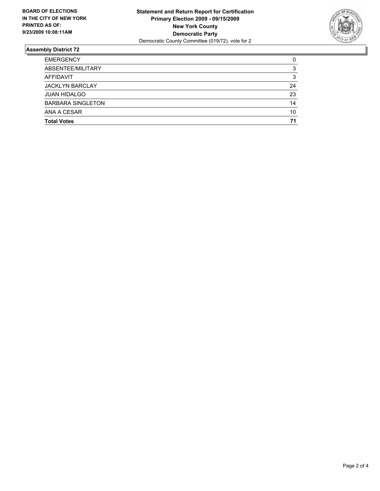

| <b>Total Votes</b>       | 71 |
|--------------------------|----|
| ANA A CESAR              | 10 |
| <b>BARBARA SINGLETON</b> | 14 |
| <b>JUAN HIDALGO</b>      | 23 |
| <b>JACKLYN BARCLAY</b>   | 24 |
| AFFIDAVIT                | 3  |
| ABSENTEE/MILITARY        | 3  |
| <b>EMERGENCY</b>         | 0  |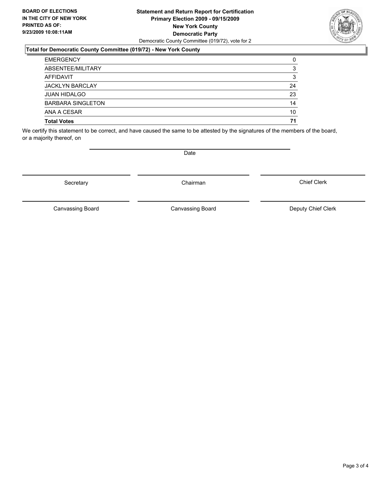#### **Statement and Return Report for Certification Primary Election 2009 - 09/15/2009 New York County Democratic Party** Democratic County Committee (019/72), vote for 2

### **Total for Democratic County Committee (019/72) - New York County**

| <b>EMERGENCY</b>         | 0  |
|--------------------------|----|
| ABSENTEE/MILITARY        | 3  |
| AFFIDAVIT                | 3  |
| <b>JACKLYN BARCLAY</b>   | 24 |
| <b>JUAN HIDALGO</b>      | 23 |
| <b>BARBARA SINGLETON</b> | 14 |
| ANA A CESAR              | 10 |
| <b>Total Votes</b>       | 71 |

We certify this statement to be correct, and have caused the same to be attested by the signatures of the members of the board, or a majority thereof, on

**Date** 

Secretary **Chairman** 

Canvassing Board

Chief Clerk



Canvassing Board Canvassing Board Canvassing Canvassing Board Deputy Chief Clerk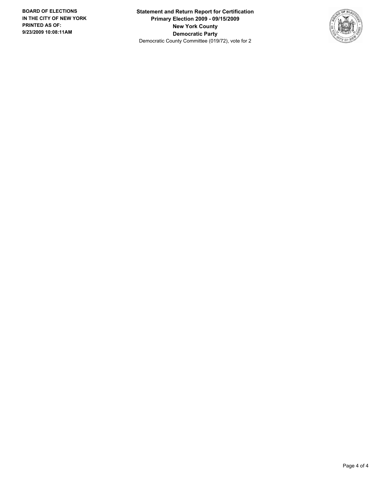**Statement and Return Report for Certification Primary Election 2009 - 09/15/2009 New York County Democratic Party** Democratic County Committee (019/72), vote for 2

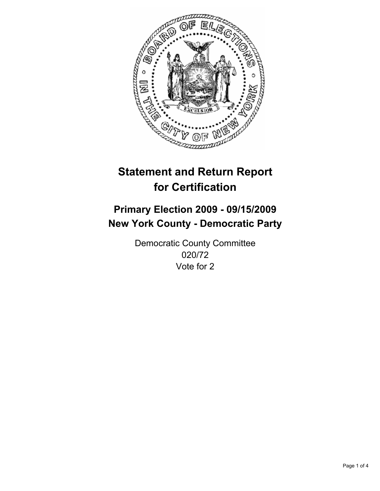

## **Primary Election 2009 - 09/15/2009 New York County - Democratic Party**

Democratic County Committee 020/72 Vote for 2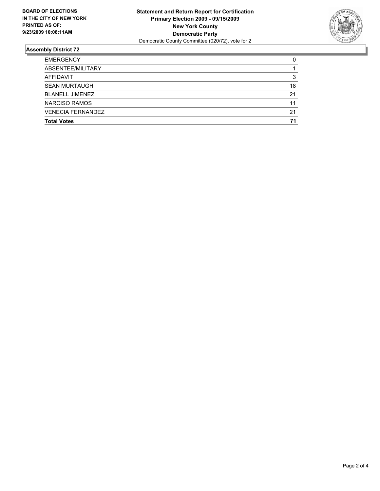

| <b>Total Votes</b>       | 71 |
|--------------------------|----|
| <b>VENECIA FERNANDEZ</b> | 21 |
| <b>NARCISO RAMOS</b>     | 11 |
| <b>BLANELL JIMENEZ</b>   | 21 |
| <b>SEAN MURTAUGH</b>     | 18 |
| AFFIDAVIT                | 3  |
| ABSENTEE/MILITARY        |    |
| <b>EMERGENCY</b>         | 0  |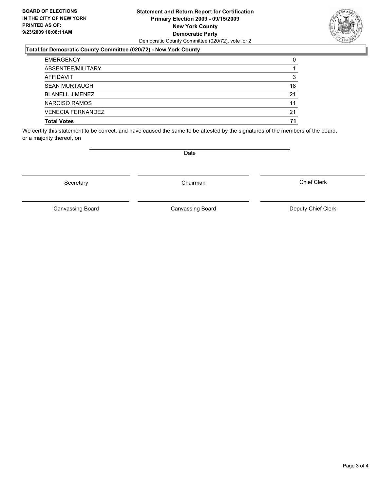#### **Statement and Return Report for Certification Primary Election 2009 - 09/15/2009 New York County Democratic Party** Democratic County Committee (020/72), vote for 2

### **Total for Democratic County Committee (020/72) - New York County**

| <b>Total Votes</b>       | 71 |
|--------------------------|----|
| <b>VENECIA FERNANDEZ</b> | 21 |
| NARCISO RAMOS            | 11 |
| <b>BLANELL JIMENEZ</b>   | 21 |
| <b>SEAN MURTAUGH</b>     | 18 |
| <b>AFFIDAVIT</b>         | 3  |
| ABSENTEE/MILITARY        |    |
| <b>EMERGENCY</b>         | 0  |

We certify this statement to be correct, and have caused the same to be attested by the signatures of the members of the board, or a majority thereof, on

Secretary **Chairman** 

Canvassing Board

Canvassing Board Canvassing Board Canvassing Canvassing Board Deputy Chief Clerk

Chief Clerk

Page 3 of 4



**Date**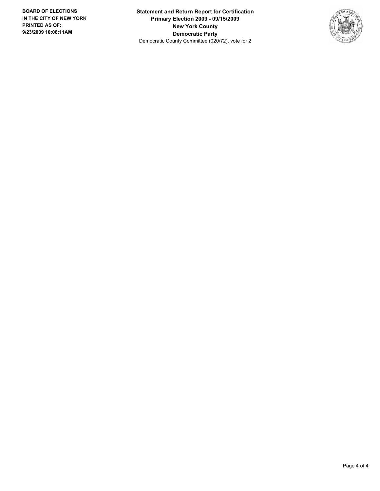**Statement and Return Report for Certification Primary Election 2009 - 09/15/2009 New York County Democratic Party** Democratic County Committee (020/72), vote for 2

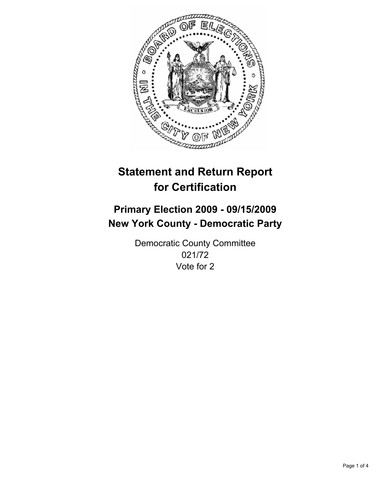

## **Primary Election 2009 - 09/15/2009 New York County - Democratic Party**

Democratic County Committee 021/72 Vote for 2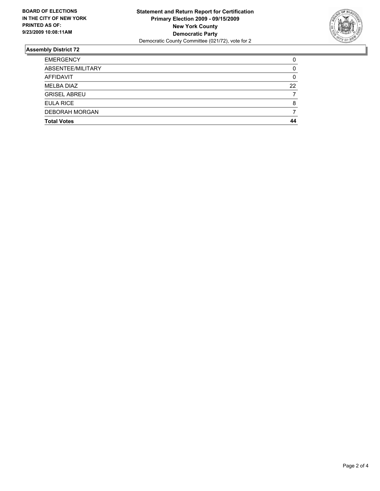

| <b>Total Votes</b>    | 44 |
|-----------------------|----|
| <b>DEBORAH MORGAN</b> |    |
| <b>EULA RICE</b>      | 8  |
| <b>GRISEL ABREU</b>   |    |
| <b>MELBA DIAZ</b>     | 22 |
| AFFIDAVIT             | 0  |
| ABSENTEE/MILITARY     | 0  |
| <b>EMERGENCY</b>      | 0  |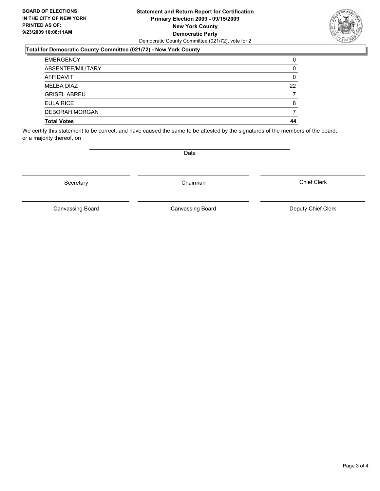#### **Statement and Return Report for Certification Primary Election 2009 - 09/15/2009 New York County Democratic Party** Democratic County Committee (021/72), vote for 2

#### **Total for Democratic County Committee (021/72) - New York County**

| <b>EMERGENCY</b>      | 0  |
|-----------------------|----|
| ABSENTEE/MILITARY     | 0  |
| AFFIDAVIT             | 0  |
| <b>MELBA DIAZ</b>     | 22 |
| <b>GRISEL ABREU</b>   |    |
| <b>EULA RICE</b>      | 8  |
| <b>DEBORAH MORGAN</b> |    |
| <b>Total Votes</b>    | 44 |

We certify this statement to be correct, and have caused the same to be attested by the signatures of the members of the board, or a majority thereof, on

**Date** 

Canvassing Board

Chief Clerk



Secretary **Chairman** 

Canvassing Board Canvassing Board Canvassing Canvassing Board Deputy Chief Clerk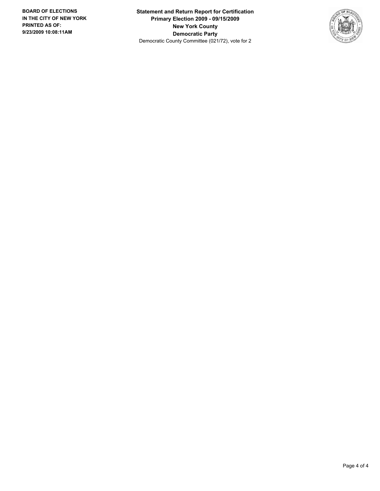**Statement and Return Report for Certification Primary Election 2009 - 09/15/2009 New York County Democratic Party** Democratic County Committee (021/72), vote for 2

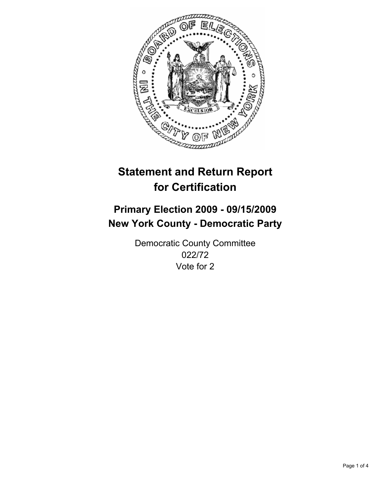

## **Primary Election 2009 - 09/15/2009 New York County - Democratic Party**

Democratic County Committee 022/72 Vote for 2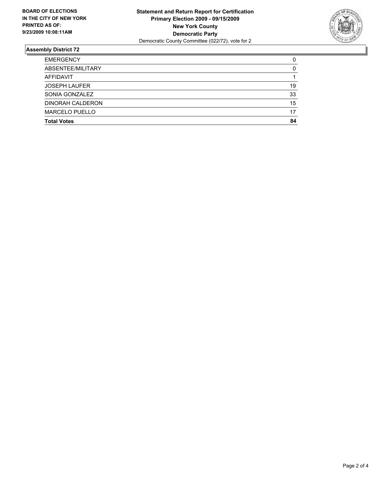

| <b>Total Votes</b>    | 84 |
|-----------------------|----|
| <b>MARCELO PUELLO</b> | 17 |
| DINORAH CALDERON      | 15 |
| SONIA GONZALEZ        | 33 |
| <b>JOSEPH LAUFER</b>  | 19 |
| AFFIDAVIT             |    |
| ABSENTEE/MILITARY     | 0  |
| <b>EMERGENCY</b>      | 0  |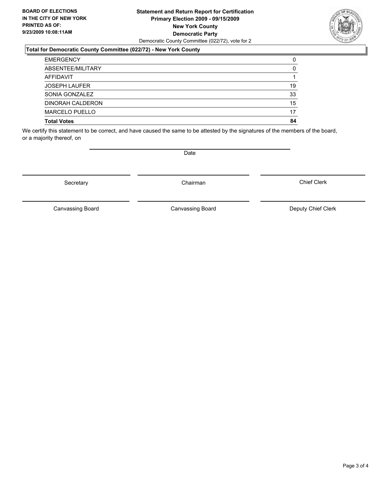#### **Statement and Return Report for Certification Primary Election 2009 - 09/15/2009 New York County Democratic Party** Democratic County Committee (022/72), vote for 2

#### **Total for Democratic County Committee (022/72) - New York County**

| <b>EMERGENCY</b>      | 0  |
|-----------------------|----|
| ABSENTEE/MILITARY     | 0  |
| AFFIDAVIT             |    |
| <b>JOSEPH LAUFER</b>  | 19 |
| SONIA GONZALEZ        | 33 |
| DINORAH CALDERON      | 15 |
| <b>MARCELO PUELLO</b> | 17 |
| <b>Total Votes</b>    | 84 |

We certify this statement to be correct, and have caused the same to be attested by the signatures of the members of the board, or a majority thereof, on

Secretary **Chairman** 

Canvassing Board

Canvassing Board Canvassing Board Canvassing Canvassing Board Deputy Chief Clerk

Chief Clerk



**Date**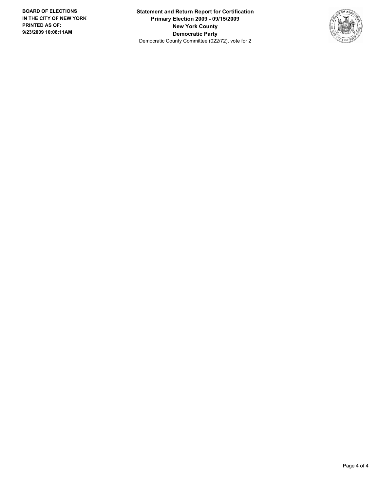**Statement and Return Report for Certification Primary Election 2009 - 09/15/2009 New York County Democratic Party** Democratic County Committee (022/72), vote for 2

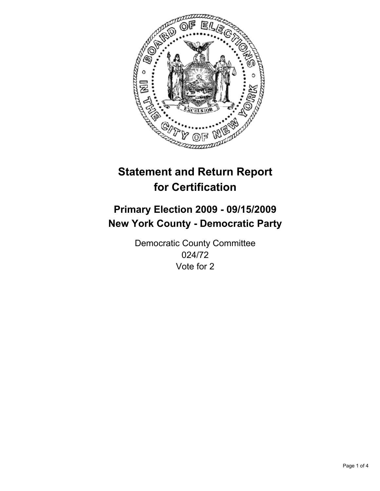

## **Primary Election 2009 - 09/15/2009 New York County - Democratic Party**

Democratic County Committee 024/72 Vote for 2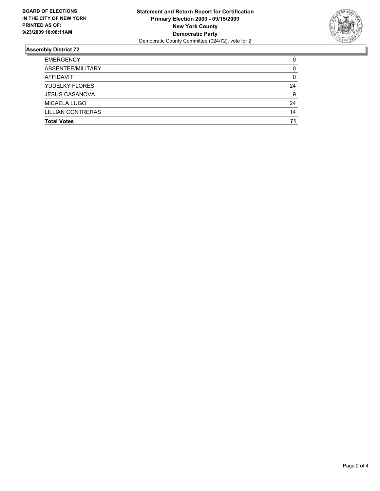

| <b>Total Votes</b>       | 71 |
|--------------------------|----|
| <b>LILLIAN CONTRERAS</b> | 14 |
| MICAELA LUGO             | 24 |
| <b>JESUS CASANOVA</b>    | 9  |
| <b>YUDELKY FLORES</b>    | 24 |
| <b>AFFIDAVIT</b>         | 0  |
| ABSENTEE/MILITARY        | 0  |
| <b>EMERGENCY</b>         | 0  |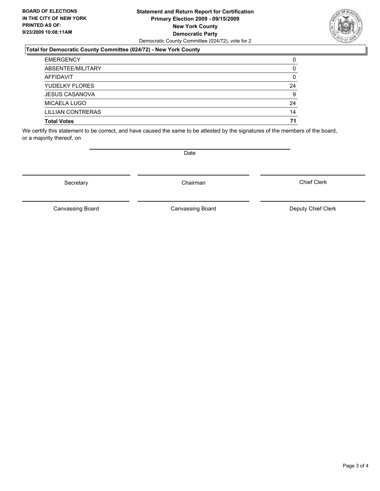#### **Statement and Return Report for Certification Primary Election 2009 - 09/15/2009 New York County Democratic Party** Democratic County Committee (024/72), vote for 2

### **Total for Democratic County Committee (024/72) - New York County**

| <b>EMERGENCY</b>      | 0  |
|-----------------------|----|
| ABSENTEE/MILITARY     | 0  |
| AFFIDAVIT             | 0  |
| <b>YUDELKY FLORES</b> | 24 |
| <b>JESUS CASANOVA</b> | 9  |
| MICAELA LUGO          | 24 |
| LILLIAN CONTRERAS     | 14 |
| <b>Total Votes</b>    | 71 |

We certify this statement to be correct, and have caused the same to be attested by the signatures of the members of the board, or a majority thereof, on

Secretary **Chairman** 

Canvassing Board

Canvassing Board Canvassing Board Canvassing Canvassing Board Deputy Chief Clerk

Chief Clerk



**Date**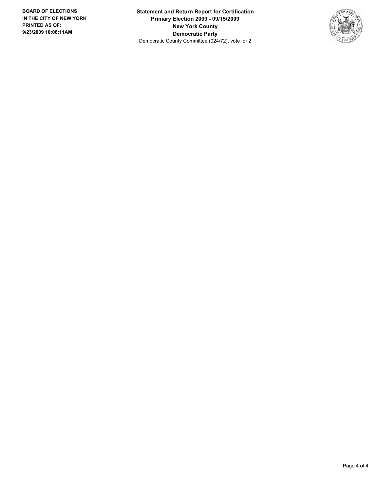**Statement and Return Report for Certification Primary Election 2009 - 09/15/2009 New York County Democratic Party** Democratic County Committee (024/72), vote for 2

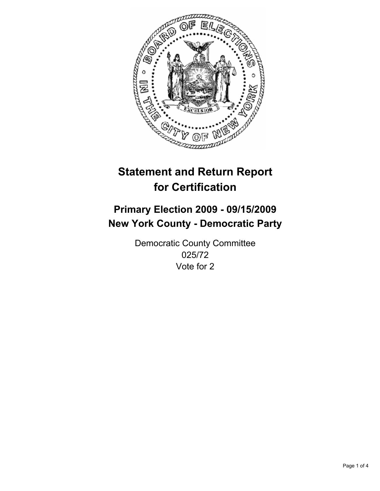

## **Primary Election 2009 - 09/15/2009 New York County - Democratic Party**

Democratic County Committee 025/72 Vote for 2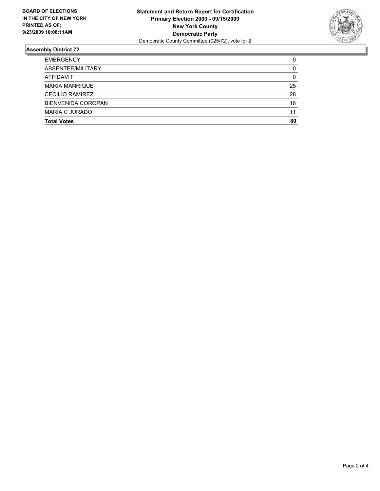

| <b>Total Votes</b>        | 80 |
|---------------------------|----|
| MARIA C JURADO            | 11 |
| <b>BIENVENIDA COROPAN</b> | 16 |
| <b>CECILIO RAMIREZ</b>    | 28 |
| <b>MARIA MANRIQUE</b>     | 25 |
| <b>AFFIDAVIT</b>          | 0  |
| ABSENTEE/MILITARY         | 0  |
| <b>EMERGENCY</b>          | 0  |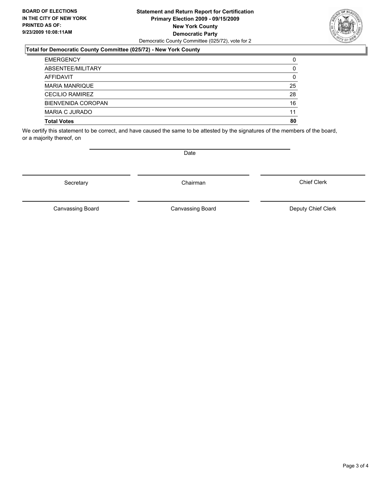#### **Statement and Return Report for Certification Primary Election 2009 - 09/15/2009 New York County Democratic Party** Democratic County Committee (025/72), vote for 2

#### **Total for Democratic County Committee (025/72) - New York County**

| <b>EMERGENCY</b>          | 0  |
|---------------------------|----|
| ABSENTEE/MILITARY         | 0  |
| AFFIDAVIT                 | 0  |
| <b>MARIA MANRIQUE</b>     | 25 |
| <b>CECILIO RAMIREZ</b>    | 28 |
| <b>BIENVENIDA COROPAN</b> | 16 |
| <b>MARIA C JURADO</b>     | 11 |
| <b>Total Votes</b>        | 80 |

We certify this statement to be correct, and have caused the same to be attested by the signatures of the members of the board, or a majority thereof, on

Secretary **Chairman** 

Canvassing Board

**Date** 

Canvassing Board Canvassing Board Canvassing Canvassing Board Deputy Chief Clerk

Chief Clerk

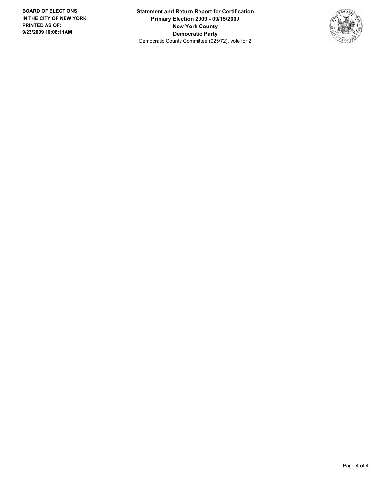**Statement and Return Report for Certification Primary Election 2009 - 09/15/2009 New York County Democratic Party** Democratic County Committee (025/72), vote for 2

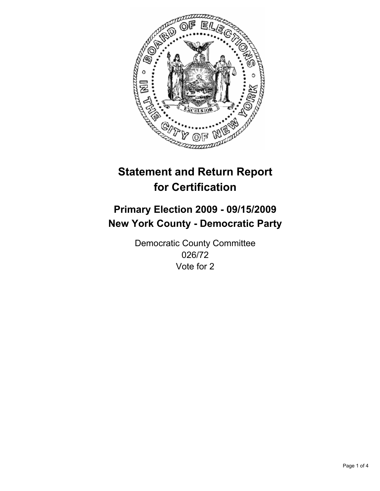

# **Primary Election 2009 - 09/15/2009 New York County - Democratic Party**

Democratic County Committee 026/72 Vote for 2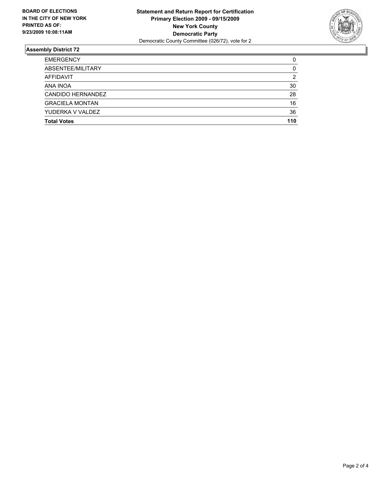

| <b>Total Votes</b>     | 110 |
|------------------------|-----|
| YUDERKA V VALDEZ       | 36  |
| <b>GRACIELA MONTAN</b> | 16  |
| CANDIDO HERNANDEZ      | 28  |
| ANA INOA               | 30  |
| AFFIDAVIT              | 2   |
| ABSENTEE/MILITARY      | 0   |
| <b>EMERGENCY</b>       | 0   |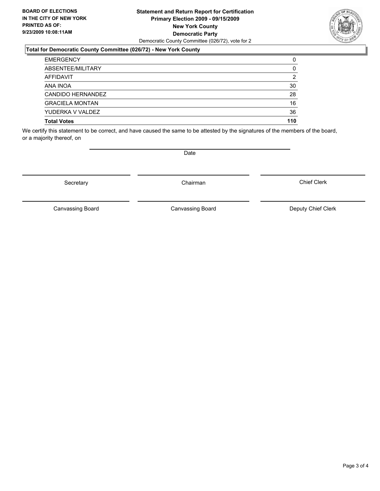#### **Statement and Return Report for Certification Primary Election 2009 - 09/15/2009 New York County Democratic Party** Democratic County Committee (026/72), vote for 2

## **Total for Democratic County Committee (026/72) - New York County**

| <b>Total Votes</b>     | 110 |
|------------------------|-----|
| YUDERKA V VALDEZ       | 36  |
| <b>GRACIELA MONTAN</b> | 16  |
| CANDIDO HERNANDEZ      | 28  |
| ANA INOA               | 30  |
| <b>AFFIDAVIT</b>       | 2   |
| ABSENTEE/MILITARY      | 0   |
| <b>EMERGENCY</b>       | 0   |

We certify this statement to be correct, and have caused the same to be attested by the signatures of the members of the board, or a majority thereof, on

Canvassing Board

**Date** 

Chief Clerk



Secretary **Chairman** 

Canvassing Board Canvassing Board Canvassing Canvassing Board Deputy Chief Clerk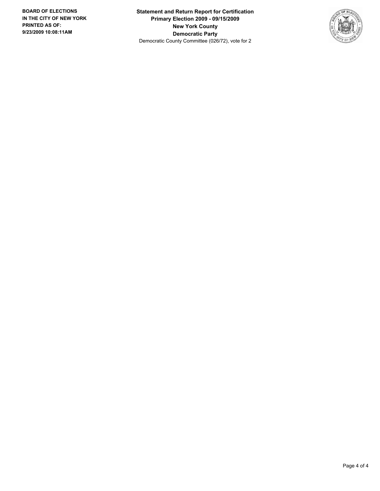**Statement and Return Report for Certification Primary Election 2009 - 09/15/2009 New York County Democratic Party** Democratic County Committee (026/72), vote for 2

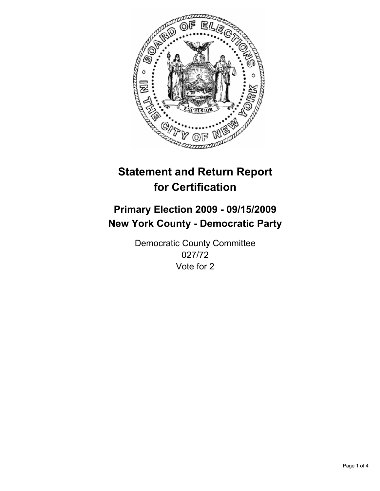

# **Primary Election 2009 - 09/15/2009 New York County - Democratic Party**

Democratic County Committee 027/72 Vote for 2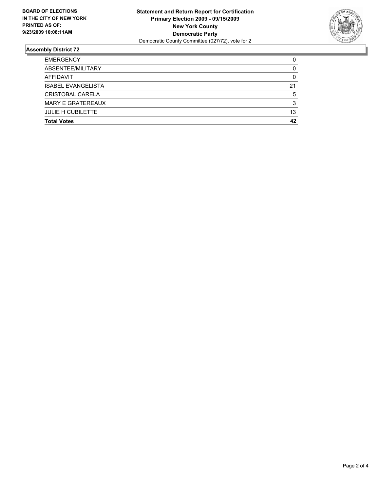

| <b>Total Votes</b>        | 42 |
|---------------------------|----|
| <b>JULIE H CUBILETTE</b>  | 13 |
| <b>MARY E GRATEREAUX</b>  | 3  |
| CRISTOBAL CARELA          | 5  |
| <b>ISABEL EVANGELISTA</b> | 21 |
| <b>AFFIDAVIT</b>          | 0  |
| ABSENTEE/MILITARY         | 0  |
| <b>EMERGENCY</b>          | 0  |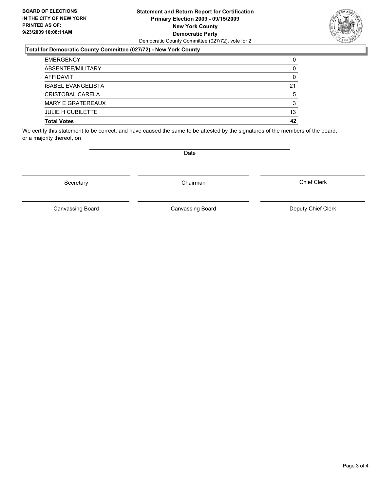#### **Statement and Return Report for Certification Primary Election 2009 - 09/15/2009 New York County Democratic Party** Democratic County Committee (027/72), vote for 2

## **Total for Democratic County Committee (027/72) - New York County**

| <b>EMERGENCY</b>          | 0  |
|---------------------------|----|
| ABSENTEE/MILITARY         | 0  |
| AFFIDAVIT                 | 0  |
| <b>ISABEL EVANGELISTA</b> | 21 |
| CRISTOBAL CARELA          | 5  |
| <b>MARY E GRATEREAUX</b>  | 3  |
| <b>JULIE H CUBILETTE</b>  | 13 |
| <b>Total Votes</b>        | 42 |

We certify this statement to be correct, and have caused the same to be attested by the signatures of the members of the board, or a majority thereof, on

Secretary **Chairman** 

**Date** 

Canvassing Board Canvassing Board Canvassing Canvassing Board Deputy Chief Clerk

Chief Clerk

Canvassing Board

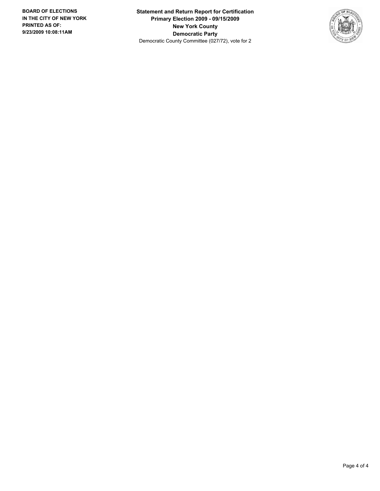**Statement and Return Report for Certification Primary Election 2009 - 09/15/2009 New York County Democratic Party** Democratic County Committee (027/72), vote for 2

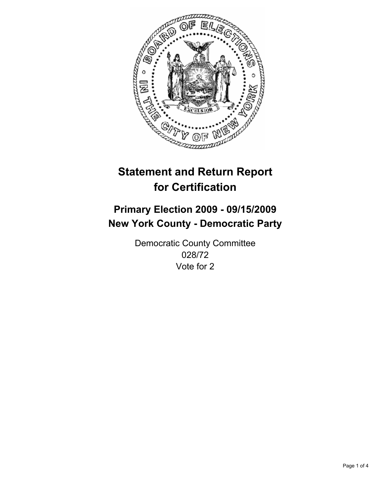

# **Primary Election 2009 - 09/15/2009 New York County - Democratic Party**

Democratic County Committee 028/72 Vote for 2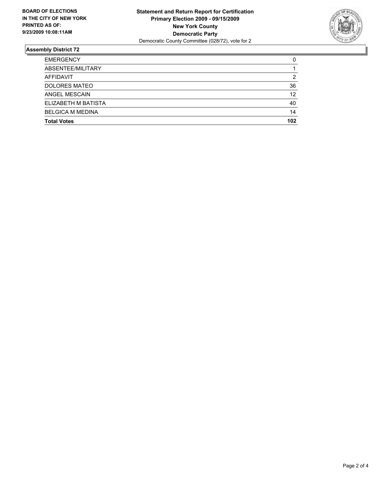

| <b>Total Votes</b>      | 102 |
|-------------------------|-----|
| <b>BELGICA M MEDINA</b> | 14  |
| ELIZABETH M BATISTA     | 40  |
| ANGEL MESCAIN           | 12  |
| <b>DOLORES MATEO</b>    | 36  |
| <b>AFFIDAVIT</b>        | 2   |
| ABSENTEE/MILITARY       |     |
| <b>EMERGENCY</b>        | 0   |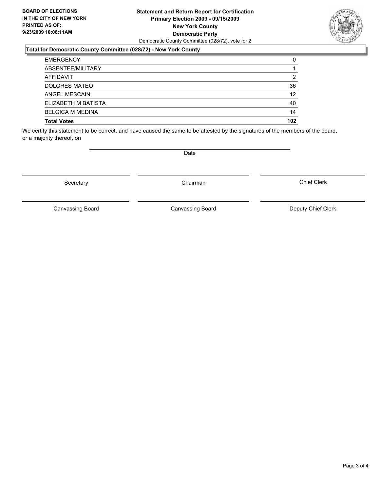#### **Statement and Return Report for Certification Primary Election 2009 - 09/15/2009 New York County Democratic Party** Democratic County Committee (028/72), vote for 2

### **Total for Democratic County Committee (028/72) - New York County**

| <b>EMERGENCY</b>        | 0   |
|-------------------------|-----|
| ABSENTEE/MILITARY       |     |
| AFFIDAVIT               | 2   |
| <b>DOLORES MATEO</b>    | 36  |
| ANGEL MESCAIN           | 12  |
| ELIZABETH M BATISTA     | 40  |
| <b>BELGICA M MEDINA</b> | 14  |
| <b>Total Votes</b>      | 102 |

We certify this statement to be correct, and have caused the same to be attested by the signatures of the members of the board, or a majority thereof, on

**Date** 

Secretary **Chairman** 

Canvassing Board

Chief Clerk

Page 3 of 4



Canvassing Board Canvassing Board Canvassing Canvassing Board Deputy Chief Clerk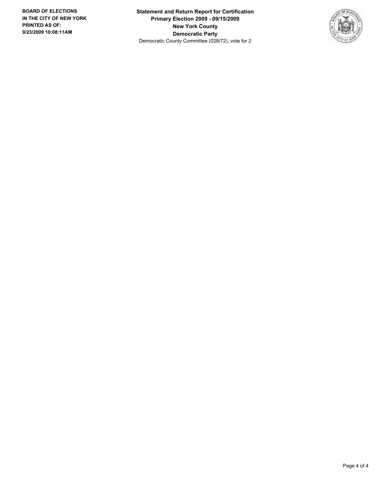**Statement and Return Report for Certification Primary Election 2009 - 09/15/2009 New York County Democratic Party** Democratic County Committee (028/72), vote for 2

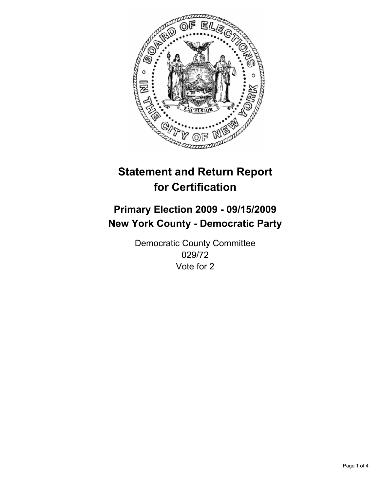

# **Primary Election 2009 - 09/15/2009 New York County - Democratic Party**

Democratic County Committee 029/72 Vote for 2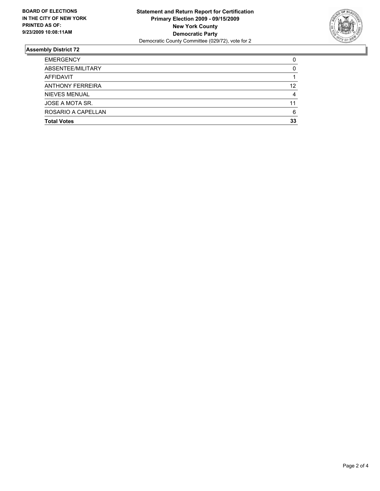

| <b>Total Votes</b>      | 33 |
|-------------------------|----|
| ROSARIO A CAPELLAN      | 6  |
| JOSE A MOTA SR.         | 11 |
| <b>NIEVES MENUAL</b>    | 4  |
| <b>ANTHONY FERREIRA</b> | 12 |
| AFFIDAVIT               |    |
| ABSENTEE/MILITARY       | 0  |
| <b>EMERGENCY</b>        | 0  |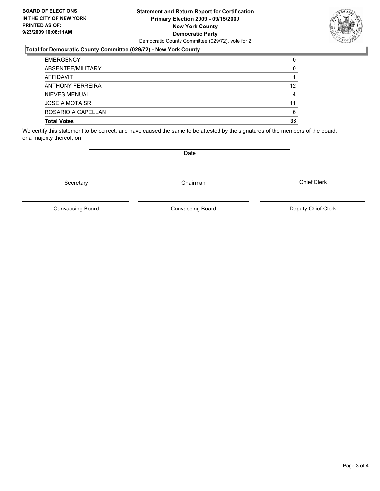#### **Statement and Return Report for Certification Primary Election 2009 - 09/15/2009 New York County Democratic Party** Democratic County Committee (029/72), vote for 2

## **Total for Democratic County Committee (029/72) - New York County**

| <b>Total Votes</b>      | 33 |
|-------------------------|----|
| ROSARIO A CAPELLAN      | 6  |
| JOSE A MOTA SR.         | 11 |
| NIEVES MENUAL           | 4  |
| <b>ANTHONY FERREIRA</b> | 12 |
| <b>AFFIDAVIT</b>        |    |
| ABSENTEE/MILITARY       | 0  |
| <b>EMERGENCY</b>        | 0  |

We certify this statement to be correct, and have caused the same to be attested by the signatures of the members of the board, or a majority thereof, on

Secretary **Chairman** 

Canvassing Board

Canvassing Board Canvassing Board Canvassing Canvassing Board Deputy Chief Clerk

Chief Clerk



**Date**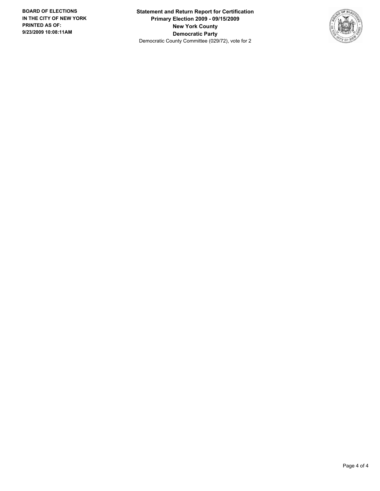**Statement and Return Report for Certification Primary Election 2009 - 09/15/2009 New York County Democratic Party** Democratic County Committee (029/72), vote for 2

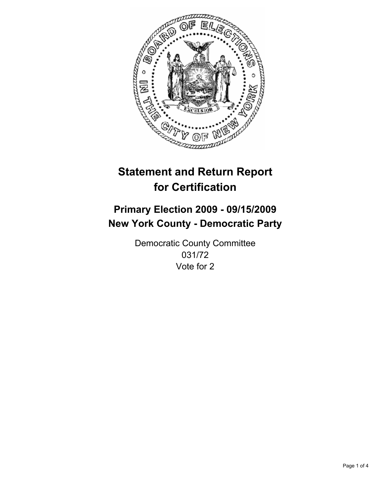

# **Primary Election 2009 - 09/15/2009 New York County - Democratic Party**

Democratic County Committee 031/72 Vote for 2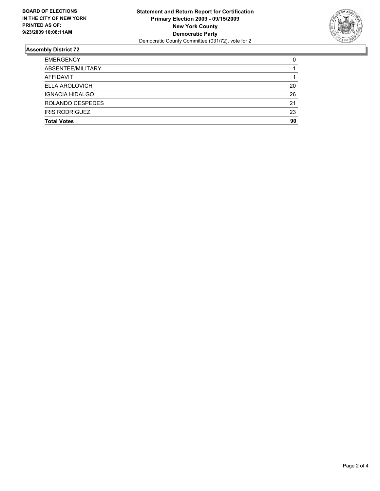

| <b>Total Votes</b>     | 90 |
|------------------------|----|
| <b>IRIS RODRIGUEZ</b>  | 23 |
| ROLANDO CESPEDES       | 21 |
| <b>IGNACIA HIDALGO</b> | 26 |
| <b>ELLA AROLOVICH</b>  | 20 |
| AFFIDAVIT              |    |
| ABSENTEE/MILITARY      |    |
| <b>EMERGENCY</b>       | 0  |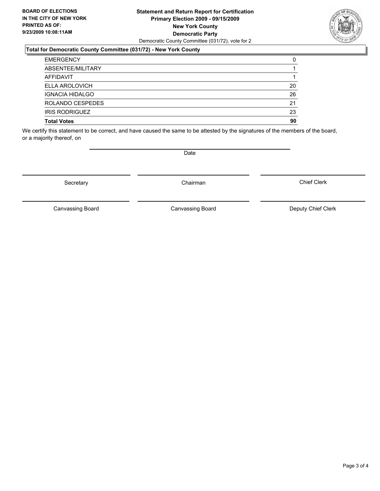#### **Statement and Return Report for Certification Primary Election 2009 - 09/15/2009 New York County Democratic Party** Democratic County Committee (031/72), vote for 2

### **Total for Democratic County Committee (031/72) - New York County**

| <b>EMERGENCY</b>       | 0  |
|------------------------|----|
| ABSENTEE/MILITARY      |    |
| AFFIDAVIT              |    |
| <b>ELLA AROLOVICH</b>  | 20 |
| <b>IGNACIA HIDALGO</b> | 26 |
| ROLANDO CESPEDES       | 21 |
| <b>IRIS RODRIGUEZ</b>  | 23 |
| <b>Total Votes</b>     | 90 |

We certify this statement to be correct, and have caused the same to be attested by the signatures of the members of the board, or a majority thereof, on

Secretary **Chairman** 

Canvassing Board

Canvassing Board Canvassing Board Canvassing Canvassing Board Deputy Chief Clerk

Chief Clerk



**Date**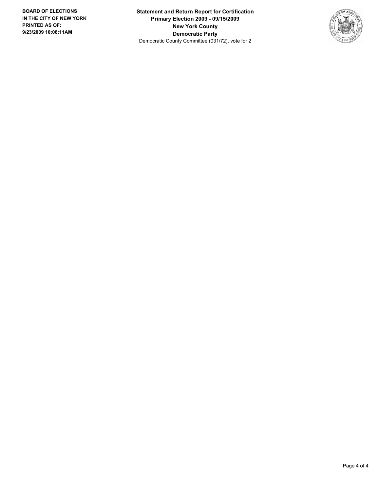**Statement and Return Report for Certification Primary Election 2009 - 09/15/2009 New York County Democratic Party** Democratic County Committee (031/72), vote for 2

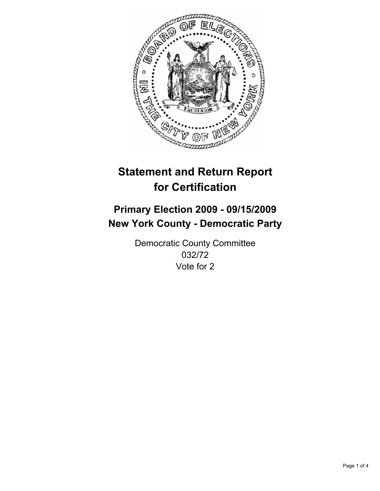

# **Primary Election 2009 - 09/15/2009 New York County - Democratic Party**

Democratic County Committee 032/72 Vote for 2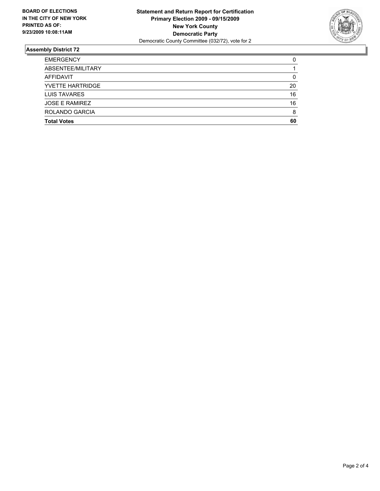

| <b>Total Votes</b>      | 60 |
|-------------------------|----|
| ROLANDO GARCIA          | 8  |
| <b>JOSE E RAMIREZ</b>   | 16 |
| <b>LUIS TAVARES</b>     | 16 |
| <b>YVETTE HARTRIDGE</b> | 20 |
| <b>AFFIDAVIT</b>        | 0  |
| ABSENTEE/MILITARY       |    |
| <b>EMERGENCY</b>        | 0  |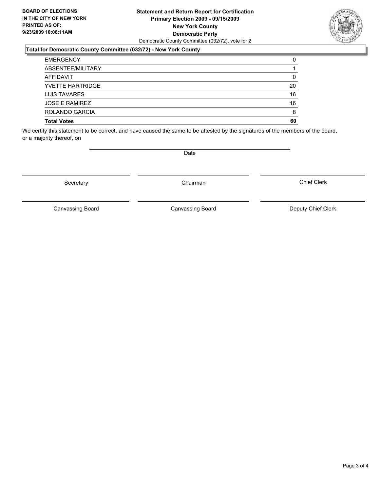#### **Statement and Return Report for Certification Primary Election 2009 - 09/15/2009 New York County Democratic Party** Democratic County Committee (032/72), vote for 2

## **Total for Democratic County Committee (032/72) - New York County**

| <b>EMERGENCY</b>        | 0  |
|-------------------------|----|
| ABSENTEE/MILITARY       |    |
| AFFIDAVIT               | 0  |
| <b>YVETTE HARTRIDGE</b> | 20 |
| LUIS TAVARES            | 16 |
| <b>JOSE E RAMIREZ</b>   | 16 |
| <b>ROLANDO GARCIA</b>   | 8  |
| <b>Total Votes</b>      | 60 |

We certify this statement to be correct, and have caused the same to be attested by the signatures of the members of the board, or a majority thereof, on

Secretary **Chairman** 

Canvassing Board

Canvassing Board Canvassing Board Canvassing Canvassing Board Deputy Chief Clerk

Chief Clerk



**Date**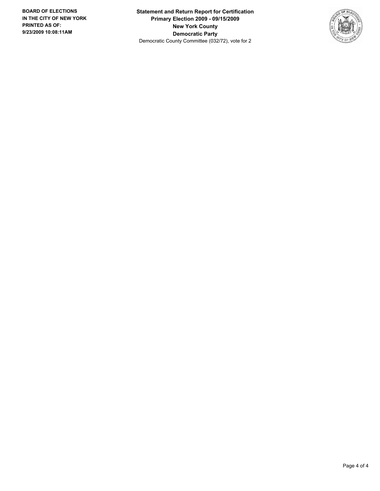**Statement and Return Report for Certification Primary Election 2009 - 09/15/2009 New York County Democratic Party** Democratic County Committee (032/72), vote for 2

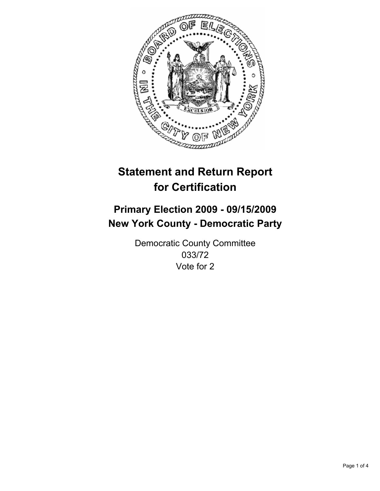

# **Primary Election 2009 - 09/15/2009 New York County - Democratic Party**

Democratic County Committee 033/72 Vote for 2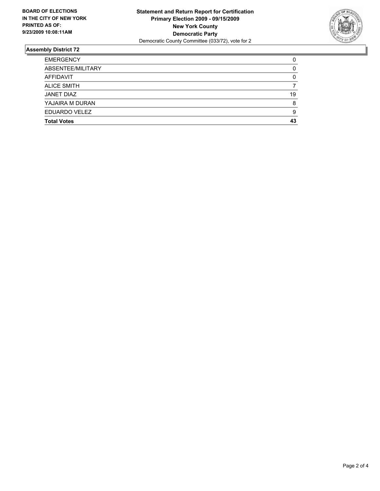

| <b>Total Votes</b> | 43 |
|--------------------|----|
| EDUARDO VELEZ      | 9  |
| YAJAIRA M DURAN    | 8  |
| <b>JANET DIAZ</b>  | 19 |
| <b>ALICE SMITH</b> |    |
| <b>AFFIDAVIT</b>   | 0  |
| ABSENTEE/MILITARY  | 0  |
| <b>EMERGENCY</b>   | 0  |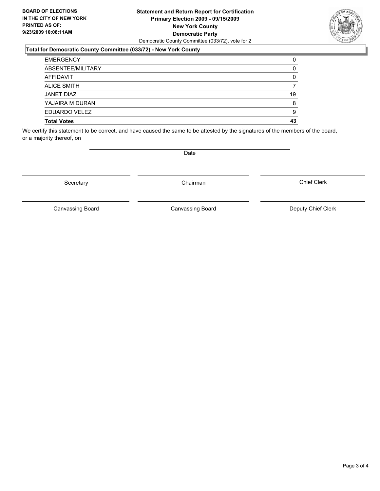#### **Statement and Return Report for Certification Primary Election 2009 - 09/15/2009 New York County Democratic Party** Democratic County Committee (033/72), vote for 2

### **Total for Democratic County Committee (033/72) - New York County**

| <b>EMERGENCY</b>   | 0  |
|--------------------|----|
| ABSENTEE/MILITARY  | 0  |
| AFFIDAVIT          | 0  |
| <b>ALICE SMITH</b> | 7  |
| JANET DIAZ         | 19 |
| YAJAIRA M DURAN    | 8  |
| EDUARDO VELEZ      | 9  |
| <b>Total Votes</b> | 43 |

We certify this statement to be correct, and have caused the same to be attested by the signatures of the members of the board, or a majority thereof, on

Secretary **Chairman** 

Canvassing Board

Canvassing Board Canvassing Board Canvassing Canvassing Board Deputy Chief Clerk

Chief Clerk



**Date**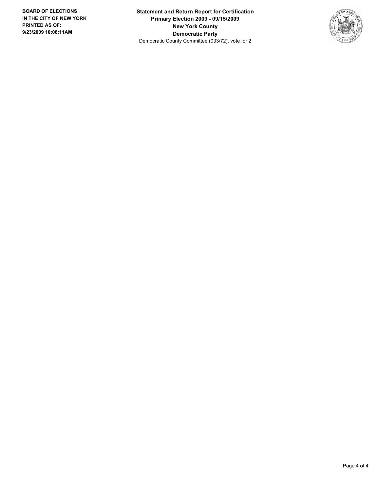**Statement and Return Report for Certification Primary Election 2009 - 09/15/2009 New York County Democratic Party** Democratic County Committee (033/72), vote for 2

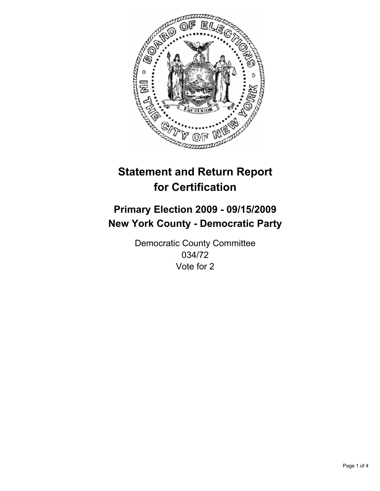

# **Primary Election 2009 - 09/15/2009 New York County - Democratic Party**

Democratic County Committee 034/72 Vote for 2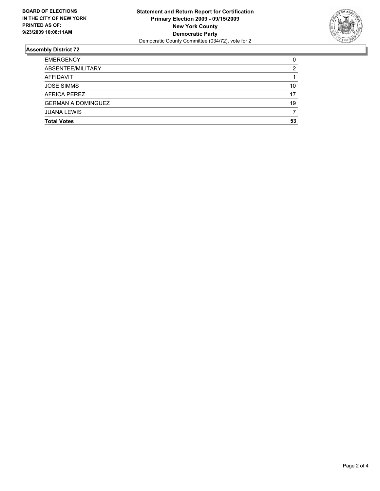

| <b>Total Votes</b>        | 53 |
|---------------------------|----|
| <b>JUANA LEWIS</b>        |    |
| <b>GERMAN A DOMINGUEZ</b> | 19 |
| AFRICA PEREZ              | 17 |
| <b>JOSE SIMMS</b>         | 10 |
| AFFIDAVIT                 |    |
| ABSENTEE/MILITARY         | 2  |
| <b>EMERGENCY</b>          | 0  |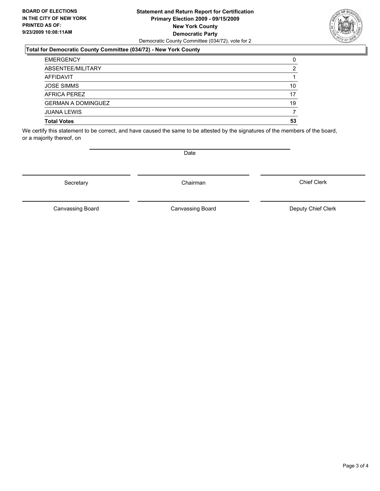#### **Statement and Return Report for Certification Primary Election 2009 - 09/15/2009 New York County Democratic Party** Democratic County Committee (034/72), vote for 2

### **Total for Democratic County Committee (034/72) - New York County**

| <b>EMERGENCY</b>          | 0  |
|---------------------------|----|
| ABSENTEE/MILITARY         | 2  |
| <b>AFFIDAVIT</b>          |    |
| <b>JOSE SIMMS</b>         | 10 |
| AFRICA PEREZ              | 17 |
| <b>GERMAN A DOMINGUEZ</b> | 19 |
| <b>JUANA LEWIS</b>        | 7  |
| <b>Total Votes</b>        | 53 |

We certify this statement to be correct, and have caused the same to be attested by the signatures of the members of the board, or a majority thereof, on

Canvassing Board

**Date** 

Canvassing Board **Canvassing Board** Canvassing Board **Deputy Chief Clerk** 

Chief Clerk



Secretary **Chairman** 

Page 3 of 4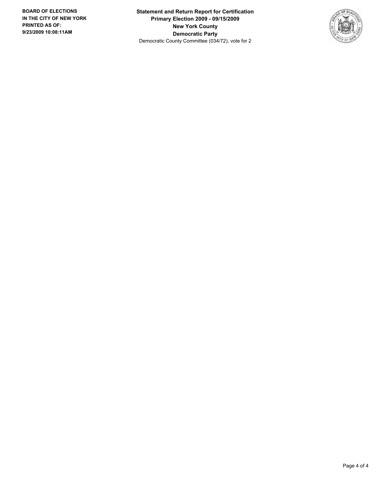**Statement and Return Report for Certification Primary Election 2009 - 09/15/2009 New York County Democratic Party** Democratic County Committee (034/72), vote for 2

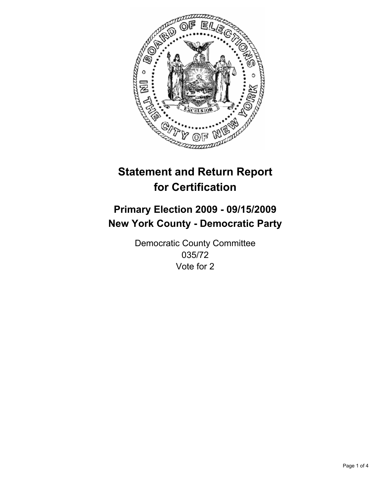

# **Primary Election 2009 - 09/15/2009 New York County - Democratic Party**

Democratic County Committee 035/72 Vote for 2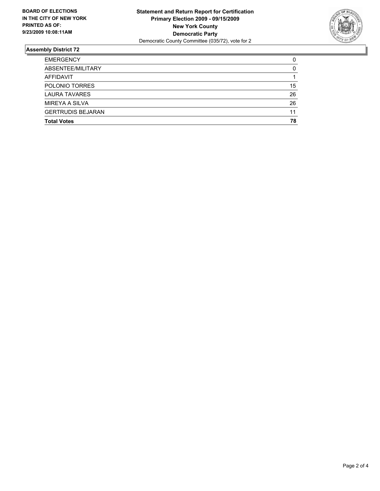

| <b>Total Votes</b>       | 78 |
|--------------------------|----|
| <b>GERTRUDIS BEJARAN</b> | 11 |
| <b>MIREYA A SILVA</b>    | 26 |
| <b>LAURA TAVARES</b>     | 26 |
| POLONIO TORRES           | 15 |
| <b>AFFIDAVIT</b>         |    |
| ABSENTEE/MILITARY        | 0  |
| <b>EMERGENCY</b>         | 0  |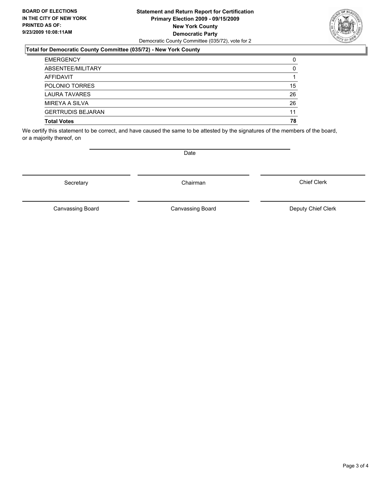#### **Statement and Return Report for Certification Primary Election 2009 - 09/15/2009 New York County Democratic Party** Democratic County Committee (035/72), vote for 2

## **Total for Democratic County Committee (035/72) - New York County**

| <b>EMERGENCY</b>         | 0  |
|--------------------------|----|
| ABSENTEE/MILITARY        | 0  |
| <b>AFFIDAVIT</b>         |    |
| POLONIO TORRES           | 15 |
| <b>LAURA TAVARES</b>     | 26 |
| MIREYA A SILVA           | 26 |
| <b>GERTRUDIS BEJARAN</b> | 11 |
| <b>Total Votes</b>       | 78 |

We certify this statement to be correct, and have caused the same to be attested by the signatures of the members of the board, or a majority thereof, on

Secretary **Chairman** 

Canvassing Board

**Date** 

Chief Clerk



Canvassing Board Canvassing Board Canvassing Canvassing Board Deputy Chief Clerk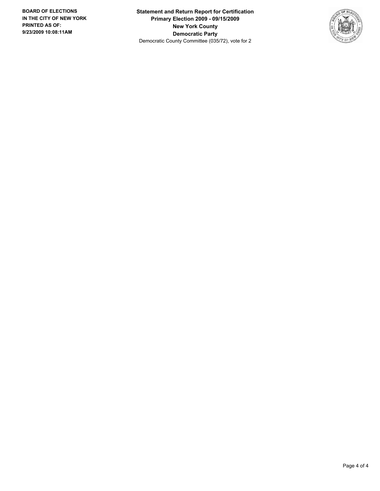**Statement and Return Report for Certification Primary Election 2009 - 09/15/2009 New York County Democratic Party** Democratic County Committee (035/72), vote for 2

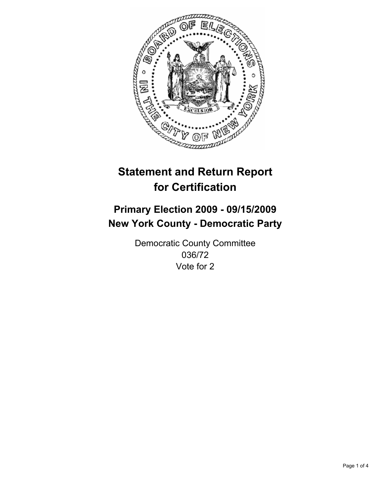

## **Primary Election 2009 - 09/15/2009 New York County - Democratic Party**

Democratic County Committee 036/72 Vote for 2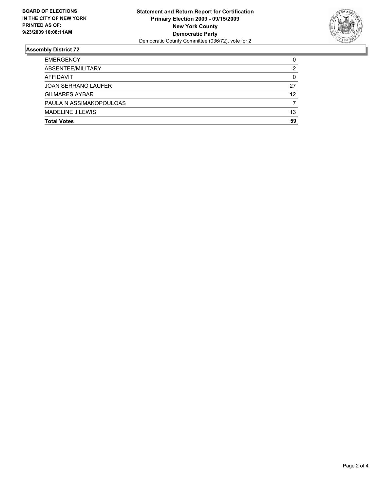

| <b>Total Votes</b>         | 59 |
|----------------------------|----|
| <b>MADELINE J LEWIS</b>    | 13 |
| PAULA N ASSIMAKOPOULOAS    | 7  |
| <b>GILMARES AYBAR</b>      | 12 |
| <b>JOAN SERRANO LAUFER</b> | 27 |
| AFFIDAVIT                  | 0  |
| ABSENTEE/MILITARY          | 2  |
| <b>EMERGENCY</b>           | 0  |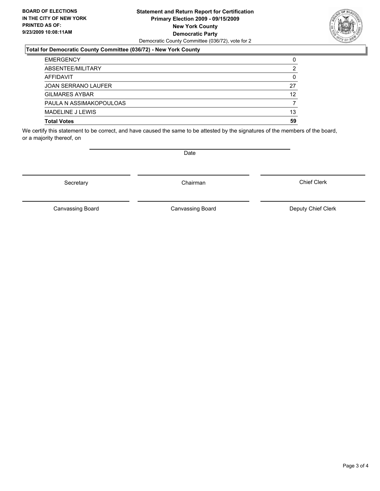#### **Statement and Return Report for Certification Primary Election 2009 - 09/15/2009 New York County Democratic Party** Democratic County Committee (036/72), vote for 2

### **Total for Democratic County Committee (036/72) - New York County**

| <b>Total Votes</b>         | 59 |
|----------------------------|----|
| <b>MADELINE J LEWIS</b>    | 13 |
| PAULA N ASSIMAKOPOULOAS    |    |
| <b>GILMARES AYBAR</b>      | 12 |
| <b>JOAN SERRANO LAUFER</b> | 27 |
| AFFIDAVIT                  | 0  |
| ABSENTEE/MILITARY          | 2  |
| <b>EMERGENCY</b>           | 0  |

We certify this statement to be correct, and have caused the same to be attested by the signatures of the members of the board, or a majority thereof, on

Secretary **Chairman** 

Canvassing Board

Canvassing Board Canvassing Board Canvassing Canvassing Board Deputy Chief Clerk

Chief Clerk

Page 3 of 4



**Date**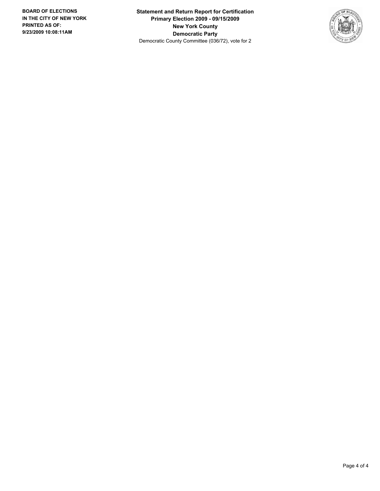**Statement and Return Report for Certification Primary Election 2009 - 09/15/2009 New York County Democratic Party** Democratic County Committee (036/72), vote for 2

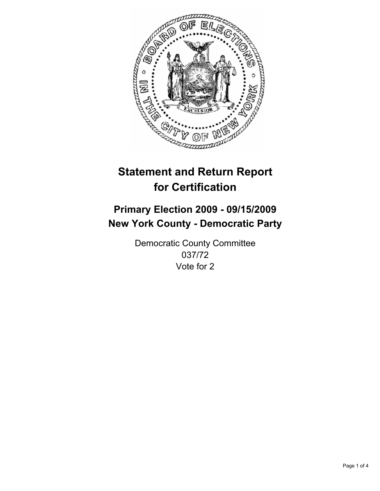

## **Primary Election 2009 - 09/15/2009 New York County - Democratic Party**

Democratic County Committee 037/72 Vote for 2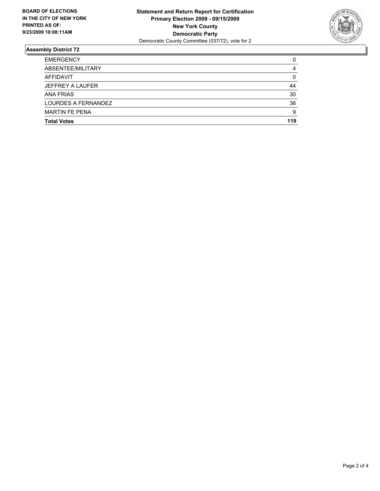

| <b>Total Votes</b>      | 119 |
|-------------------------|-----|
| <b>MARTIN FE PENA</b>   | 9   |
| LOURDES A FERNANDEZ     | 36  |
| <b>ANA FRIAS</b>        | 30  |
| <b>JEFFREY A LAUFER</b> | 44  |
| <b>AFFIDAVIT</b>        | 0   |
| ABSENTEE/MILITARY       | 4   |
| <b>EMERGENCY</b>        | 0   |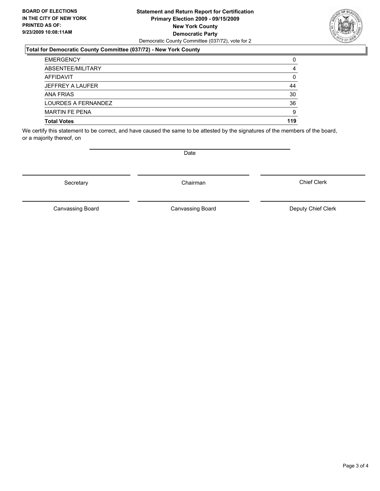#### **Statement and Return Report for Certification Primary Election 2009 - 09/15/2009 New York County Democratic Party** Democratic County Committee (037/72), vote for 2

### **Total for Democratic County Committee (037/72) - New York County**

| <b>EMERGENCY</b>        | 0   |
|-------------------------|-----|
| ABSENTEE/MILITARY       | 4   |
| AFFIDAVIT               | 0   |
| <b>JEFFREY A LAUFER</b> | 44  |
| <b>ANA FRIAS</b>        | 30  |
| LOURDES A FERNANDEZ     | 36  |
| <b>MARTIN FE PENA</b>   | 9   |
| <b>Total Votes</b>      | 119 |

We certify this statement to be correct, and have caused the same to be attested by the signatures of the members of the board, or a majority thereof, on

Secretary **Chairman** 

Canvassing Board **Canvassing Board** Canvassing Board **Deputy Chief Clerk** 

Chief Clerk

Canvassing Board



**Date**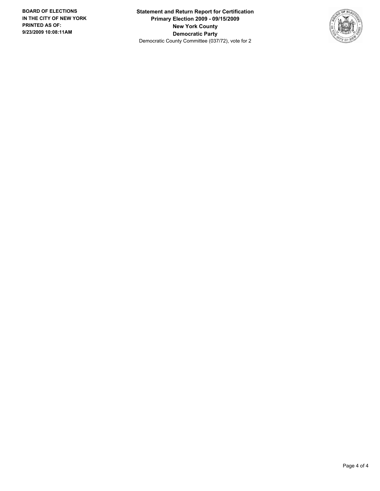**Statement and Return Report for Certification Primary Election 2009 - 09/15/2009 New York County Democratic Party** Democratic County Committee (037/72), vote for 2

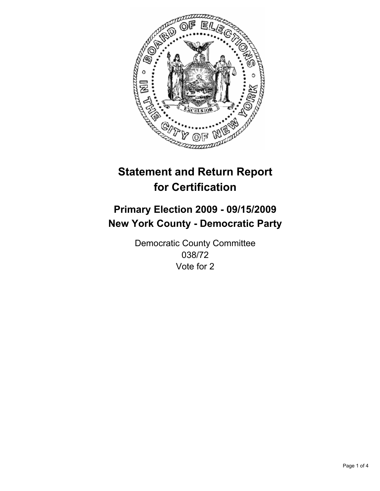

## **Primary Election 2009 - 09/15/2009 New York County - Democratic Party**

Democratic County Committee 038/72 Vote for 2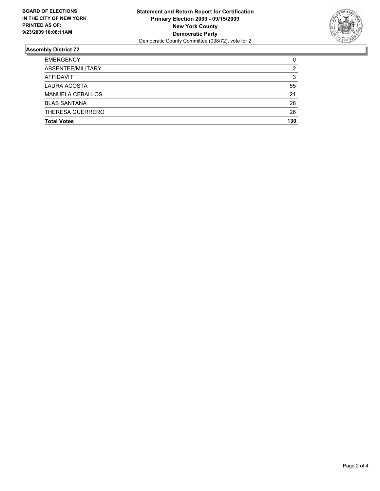

| <b>Total Votes</b>      | 130 |
|-------------------------|-----|
| THERESA GUERRERO        | 26  |
| <b>BLAS SANTANA</b>     | 28  |
| <b>MANUELA CEBALLOS</b> | 21  |
| <b>LAURA ACOSTA</b>     | 55  |
| <b>AFFIDAVIT</b>        | 3   |
| ABSENTEE/MILITARY       | 2   |
| <b>EMERGENCY</b>        | 0   |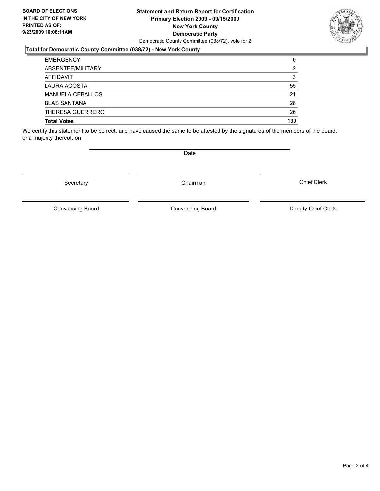#### **Statement and Return Report for Certification Primary Election 2009 - 09/15/2009 New York County Democratic Party** Democratic County Committee (038/72), vote for 2

### **Total for Democratic County Committee (038/72) - New York County**

| <b>EMERGENCY</b>        | 0   |
|-------------------------|-----|
| ABSENTEE/MILITARY       | 2   |
| <b>AFFIDAVIT</b>        | 3   |
| LAURA ACOSTA            | 55  |
| <b>MANUELA CEBALLOS</b> | 21  |
| <b>BLAS SANTANA</b>     | 28  |
| THERESA GUERRERO        | 26  |
| <b>Total Votes</b>      | 130 |

We certify this statement to be correct, and have caused the same to be attested by the signatures of the members of the board, or a majority thereof, on

Canvassing Board

Canvassing Board Canvassing Board Canvassing Canvassing Board Deputy Chief Clerk

Chief Clerk

Page 3 of 4

Secretary **Chairman** 

**Date**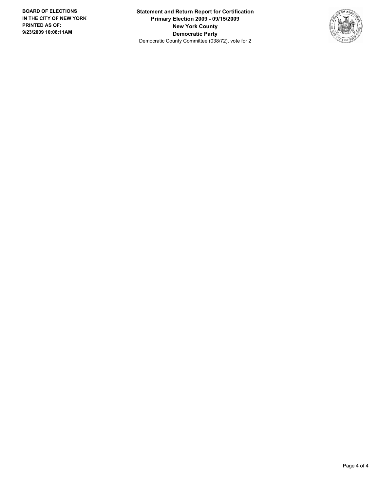**Statement and Return Report for Certification Primary Election 2009 - 09/15/2009 New York County Democratic Party** Democratic County Committee (038/72), vote for 2

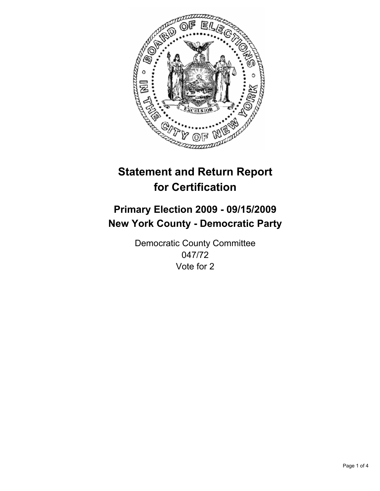

## **Primary Election 2009 - 09/15/2009 New York County - Democratic Party**

Democratic County Committee 047/72 Vote for 2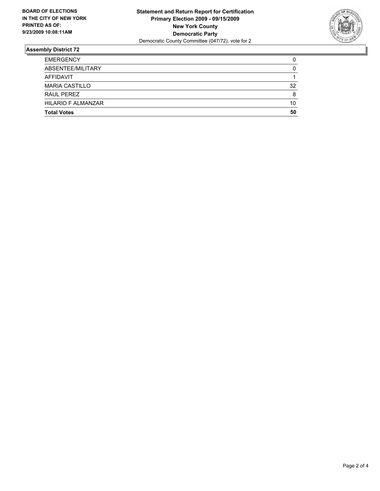

| <b>Total Votes</b>        | 50 |
|---------------------------|----|
| <b>HILARIO F ALMANZAR</b> | 10 |
| RAUL PEREZ                | 8  |
| <b>MARIA CASTILLO</b>     | 32 |
| AFFIDAVIT                 |    |
| ABSENTEE/MILITARY         | 0  |
| <b>EMERGENCY</b>          | 0  |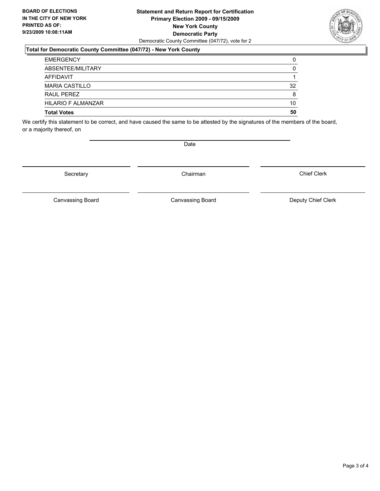#### **Statement and Return Report for Certification Primary Election 2009 - 09/15/2009 New York County Democratic Party** Democratic County Committee (047/72), vote for 2

#### **Total for Democratic County Committee (047/72) - New York County**

| <b>Total Votes</b>        | 50 |
|---------------------------|----|
| <b>HILARIO F ALMANZAR</b> | 10 |
| RAUL PEREZ                | 8  |
| <b>MARIA CASTILLO</b>     | 32 |
| AFFIDAVIT                 |    |
| ABSENTEE/MILITARY         | 0  |
| <b>EMERGENCY</b>          | 0  |

We certify this statement to be correct, and have caused the same to be attested by the signatures of the members of the board, or a majority thereof, on

Secretary **Chairman** 

Date

Chief Clerk

Canvassing Board **Canvassing Board** Canvassing Board **Deputy Chief Clerk** 

Canvassing Board

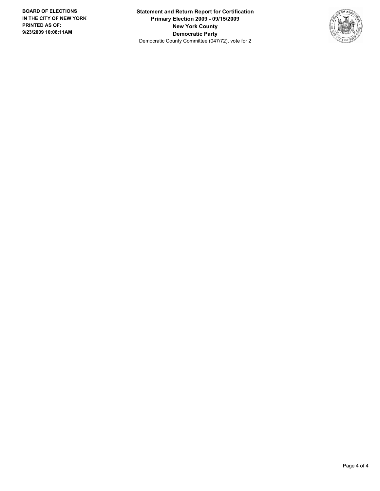**Statement and Return Report for Certification Primary Election 2009 - 09/15/2009 New York County Democratic Party** Democratic County Committee (047/72), vote for 2

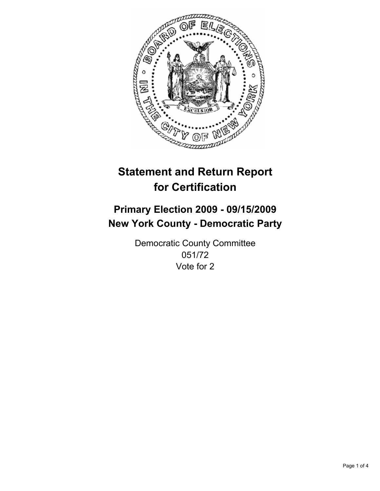

## **Primary Election 2009 - 09/15/2009 New York County - Democratic Party**

Democratic County Committee 051/72 Vote for 2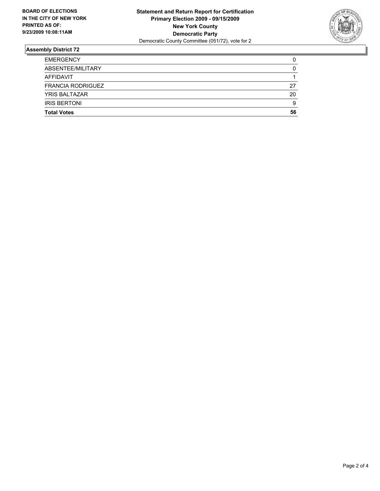

| <b>EMERGENCY</b>         | 0  |
|--------------------------|----|
| ABSENTEE/MILITARY        | 0  |
| AFFIDAVIT                |    |
| <b>FRANCIA RODRIGUEZ</b> | 27 |
| <b>YRIS BALTAZAR</b>     | 20 |
| <b>IRIS BERTONI</b>      | 9  |
| <b>Total Votes</b>       | 56 |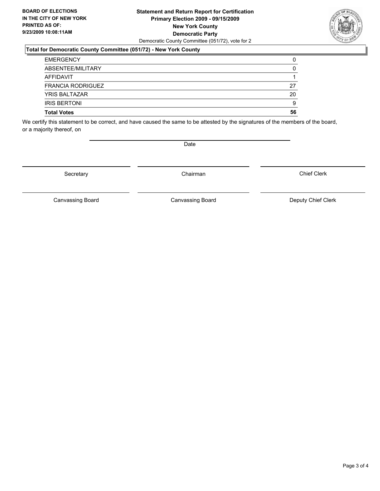#### **Statement and Return Report for Certification Primary Election 2009 - 09/15/2009 New York County Democratic Party** Democratic County Committee (051/72), vote for 2

### **Total for Democratic County Committee (051/72) - New York County**

| <b>EMERGENCY</b>         | 0  |
|--------------------------|----|
| ABSENTEE/MILITARY        | 0  |
| AFFIDAVIT                |    |
| <b>FRANCIA RODRIGUEZ</b> | 27 |
| <b>YRIS BALTAZAR</b>     | 20 |
| <b>IRIS BERTONI</b>      | 9  |
| <b>Total Votes</b>       | 56 |

We certify this statement to be correct, and have caused the same to be attested by the signatures of the members of the board, or a majority thereof, on

Secretary **Chairman** 

Canvassing Board

Canvassing Board **Canvassing Board** Canvassing Board **Deputy Chief Clerk** 

Chief Clerk



Date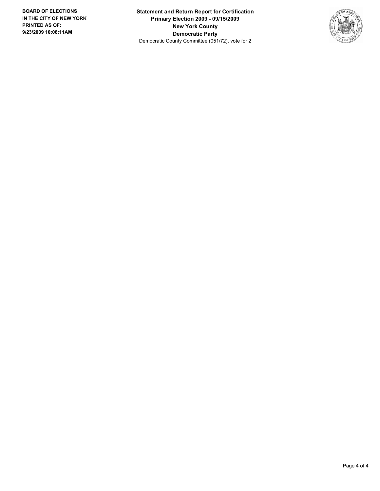**Statement and Return Report for Certification Primary Election 2009 - 09/15/2009 New York County Democratic Party** Democratic County Committee (051/72), vote for 2

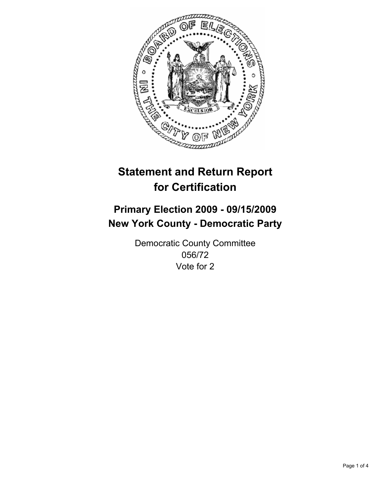

## **Primary Election 2009 - 09/15/2009 New York County - Democratic Party**

Democratic County Committee 056/72 Vote for 2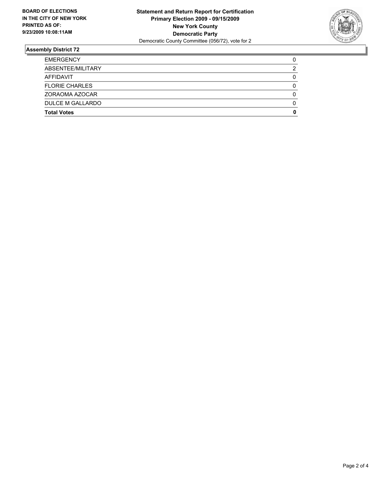

| DULCE M GALLARDO<br><b>Total Votes</b> | 0<br>0 |
|----------------------------------------|--------|
| ZORAOMA AZOCAR                         | 0      |
|                                        |        |
| <b>FLORIE CHARLES</b>                  | 0      |
| AFFIDAVIT                              | 0      |
| ABSENTEE/MILITARY                      | 2      |
| <b>EMERGENCY</b>                       | 0      |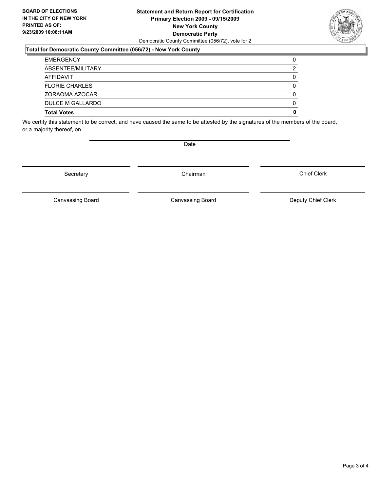#### **Statement and Return Report for Certification Primary Election 2009 - 09/15/2009 New York County Democratic Party** Democratic County Committee (056/72), vote for 2

### **Total for Democratic County Committee (056/72) - New York County**

| <b>Total Votes</b>    | 0 |
|-----------------------|---|
| DULCE M GALLARDO      | 0 |
| ZORAOMA AZOCAR        | 0 |
| <b>FLORIE CHARLES</b> | 0 |
| AFFIDAVIT             | 0 |
| ABSENTEE/MILITARY     | 2 |
| <b>EMERGENCY</b>      | 0 |

We certify this statement to be correct, and have caused the same to be attested by the signatures of the members of the board, or a majority thereof, on

Secretary **Chairman** 

Canvassing Board **Canvassing Board** Canvassing Board **Deputy Chief Clerk** 

Canvassing Board

Chief Clerk

Page 3 of 4



Date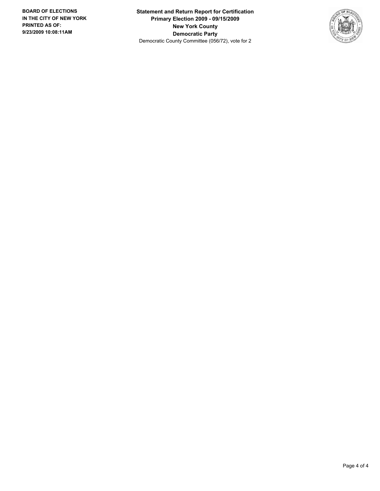**Statement and Return Report for Certification Primary Election 2009 - 09/15/2009 New York County Democratic Party** Democratic County Committee (056/72), vote for 2

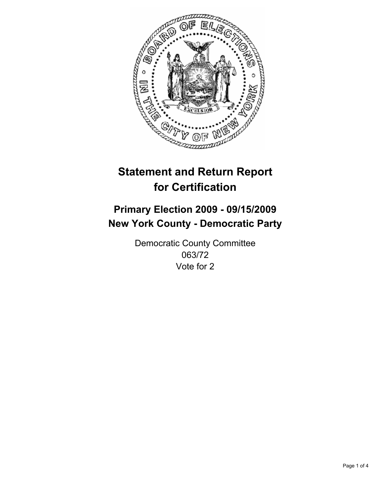

## **Primary Election 2009 - 09/15/2009 New York County - Democratic Party**

Democratic County Committee 063/72 Vote for 2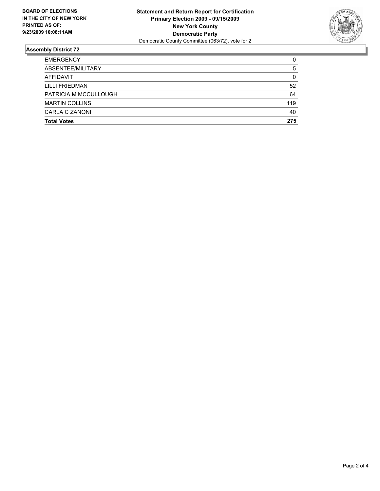

| <b>Total Votes</b>    | 275 |
|-----------------------|-----|
| CARLA C ZANONI        | 40  |
| <b>MARTIN COLLINS</b> | 119 |
| PATRICIA M MCCULLOUGH | 64  |
| LILLI FRIEDMAN        | 52  |
| <b>AFFIDAVIT</b>      | 0   |
| ABSENTEE/MILITARY     | 5   |
| <b>EMERGENCY</b>      | 0   |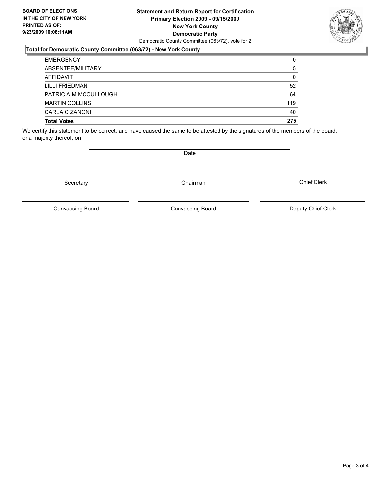#### **Statement and Return Report for Certification Primary Election 2009 - 09/15/2009 New York County Democratic Party** Democratic County Committee (063/72), vote for 2

### **Total for Democratic County Committee (063/72) - New York County**

| <b>EMERGENCY</b>      | 0   |
|-----------------------|-----|
| ABSENTEE/MILITARY     | 5   |
| AFFIDAVIT             | 0   |
| <b>LILLI FRIEDMAN</b> | 52  |
| PATRICIA M MCCULLOUGH | 64  |
| <b>MARTIN COLLINS</b> | 119 |
| CARLA C ZANONI        | 40  |
| <b>Total Votes</b>    | 275 |

We certify this statement to be correct, and have caused the same to be attested by the signatures of the members of the board, or a majority thereof, on

Canvassing Board

Canvassing Board Canvassing Board Canvassing Canvassing Board Deputy Chief Clerk

Chief Clerk



Secretary **Chairman** 

**Date**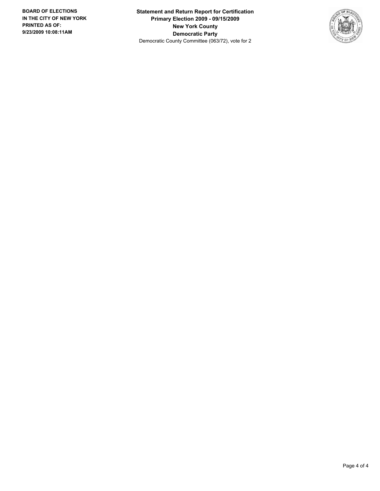**Statement and Return Report for Certification Primary Election 2009 - 09/15/2009 New York County Democratic Party** Democratic County Committee (063/72), vote for 2

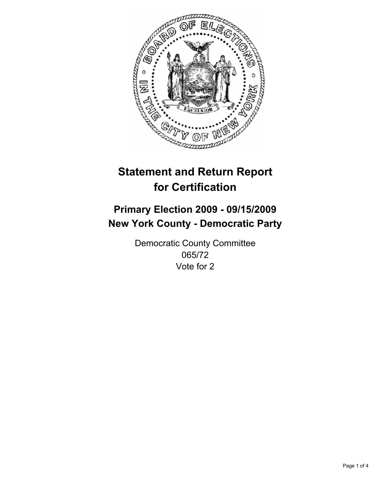

## **Primary Election 2009 - 09/15/2009 New York County - Democratic Party**

Democratic County Committee 065/72 Vote for 2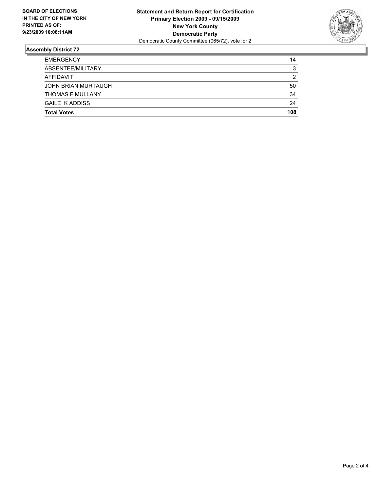

| <b>EMERGENCY</b>           | 14  |
|----------------------------|-----|
| ABSENTEE/MILITARY          | 3   |
| AFFIDAVIT                  | 2   |
| <b>JOHN BRIAN MURTAUGH</b> | 50  |
| <b>THOMAS F MULLANY</b>    | 34  |
| <b>GAILE K ADDISS</b>      | 24  |
| <b>Total Votes</b>         | 108 |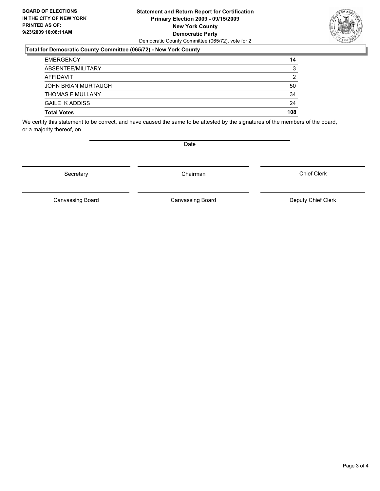#### **Statement and Return Report for Certification Primary Election 2009 - 09/15/2009 New York County Democratic Party** Democratic County Committee (065/72), vote for 2

### **Total for Democratic County Committee (065/72) - New York County**

| <b>Total Votes</b>         | 108 |
|----------------------------|-----|
| <b>GAILE K ADDISS</b>      | 24  |
| <b>THOMAS F MULLANY</b>    | 34  |
| <b>JOHN BRIAN MURTAUGH</b> | 50  |
| AFFIDAVIT                  | 2   |
| ABSENTEE/MILITARY          | 3   |
| <b>EMERGENCY</b>           | 14  |

We certify this statement to be correct, and have caused the same to be attested by the signatures of the members of the board, or a majority thereof, on

Secretary **Chairman** 

Date

Canvassing Board

Canvassing Board **Canvassing Board** Canvassing Board **Deputy Chief Clerk** 

Chief Clerk

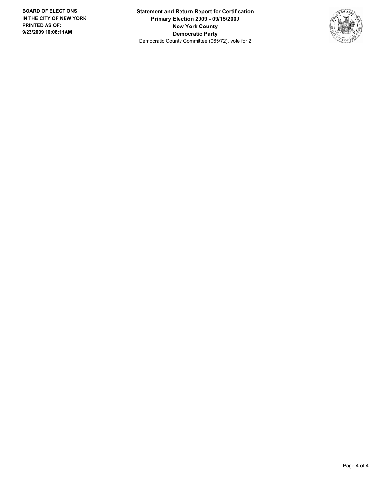**Statement and Return Report for Certification Primary Election 2009 - 09/15/2009 New York County Democratic Party** Democratic County Committee (065/72), vote for 2

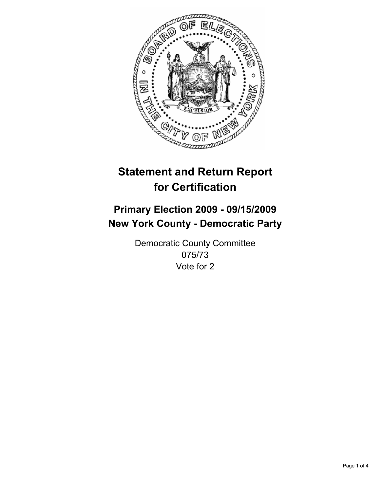

## **Primary Election 2009 - 09/15/2009 New York County - Democratic Party**

Democratic County Committee 075/73 Vote for 2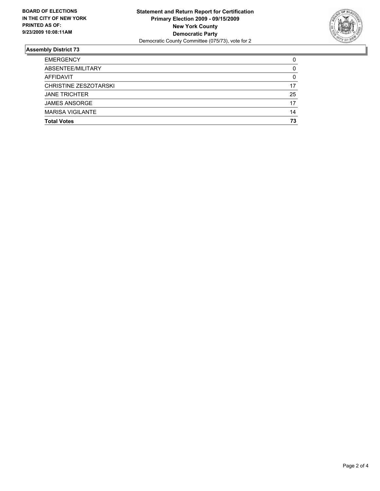

| <b>Total Votes</b>           | 73 |
|------------------------------|----|
| <b>MARISA VIGILANTE</b>      | 14 |
| <b>JAMES ANSORGE</b>         | 17 |
| <b>JANE TRICHTER</b>         | 25 |
| <b>CHRISTINE ZESZOTARSKI</b> | 17 |
| <b>AFFIDAVIT</b>             | 0  |
| ABSENTEE/MILITARY            | 0  |
| <b>EMERGENCY</b>             | 0  |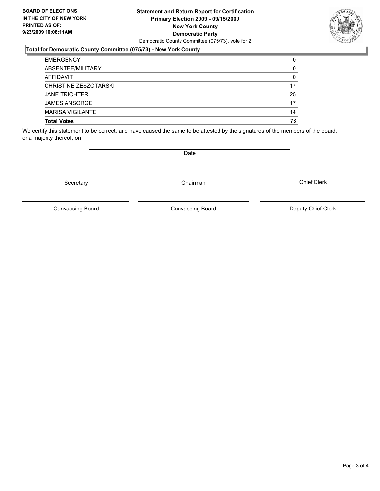#### **Statement and Return Report for Certification Primary Election 2009 - 09/15/2009 New York County Democratic Party** Democratic County Committee (075/73), vote for 2

### **Total for Democratic County Committee (075/73) - New York County**

| <b>Total Votes</b>      | 73 |
|-------------------------|----|
| <b>MARISA VIGILANTE</b> | 14 |
| <b>JAMES ANSORGE</b>    | 17 |
| <b>JANE TRICHTER</b>    | 25 |
| CHRISTINE ZESZOTARSKI   | 17 |
| <b>AFFIDAVIT</b>        | 0  |
| ABSENTEE/MILITARY       | 0  |
| <b>EMERGENCY</b>        | 0  |

We certify this statement to be correct, and have caused the same to be attested by the signatures of the members of the board, or a majority thereof, on

Secretary **Chairman** 

Canvassing Board

Canvassing Board Canvassing Board Canvassing Canvassing Board Deputy Chief Clerk

Chief Clerk



**Date**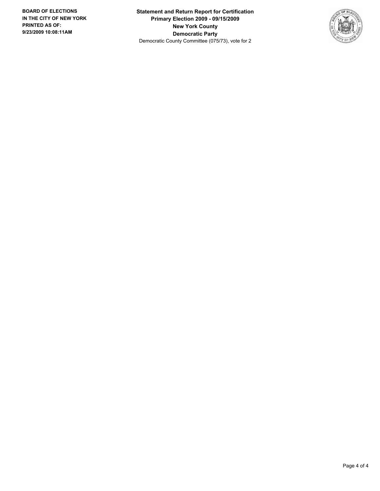**Statement and Return Report for Certification Primary Election 2009 - 09/15/2009 New York County Democratic Party** Democratic County Committee (075/73), vote for 2

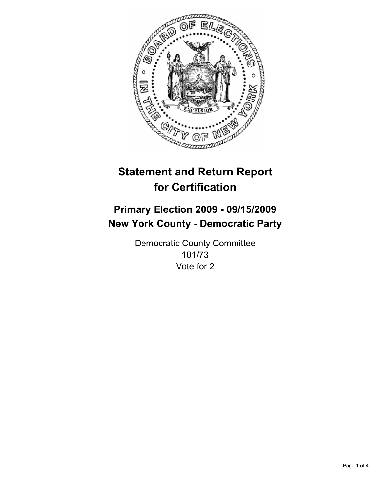

# **Primary Election 2009 - 09/15/2009 New York County - Democratic Party**

Democratic County Committee 101/73 Vote for 2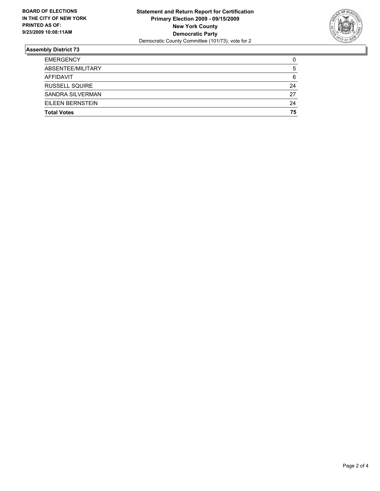

| <b>EMERGENCY</b>      | 0  |
|-----------------------|----|
| ABSENTEE/MILITARY     | 5  |
| AFFIDAVIT             | 6  |
| <b>RUSSELL SQUIRE</b> | 24 |
| SANDRA SILVERMAN      | 27 |
| EILEEN BERNSTEIN      | 24 |
| <b>Total Votes</b>    | 75 |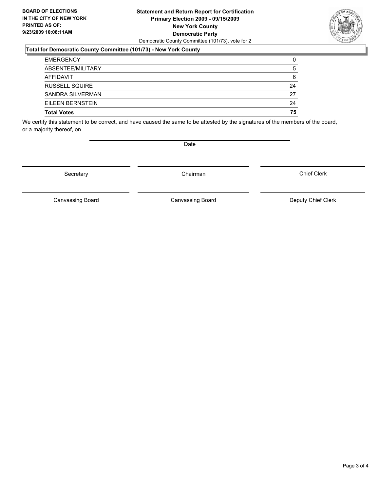#### **Statement and Return Report for Certification Primary Election 2009 - 09/15/2009 New York County Democratic Party** Democratic County Committee (101/73), vote for 2

## **Total for Democratic County Committee (101/73) - New York County**

| <b>EMERGENCY</b>        | 0  |
|-------------------------|----|
| ABSENTEE/MILITARY       | 5  |
| AFFIDAVIT               | 6  |
| <b>RUSSELL SQUIRE</b>   | 24 |
| <b>SANDRA SILVERMAN</b> | 27 |
| EILEEN BERNSTEIN        | 24 |
| <b>Total Votes</b>      | 75 |

We certify this statement to be correct, and have caused the same to be attested by the signatures of the members of the board, or a majority thereof, on

Secretary **Chairman** 

Canvassing Board **Canvassing Board** Canvassing Board **Deputy Chief Clerk** 

Canvassing Board

Chief Clerk



Date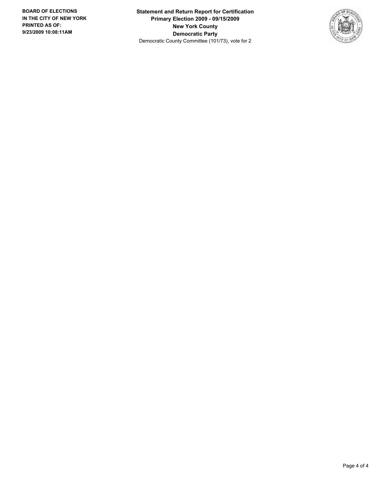**Statement and Return Report for Certification Primary Election 2009 - 09/15/2009 New York County Democratic Party** Democratic County Committee (101/73), vote for 2

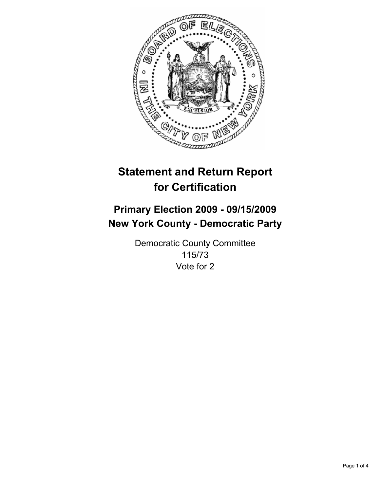

# **Primary Election 2009 - 09/15/2009 New York County - Democratic Party**

Democratic County Committee 115/73 Vote for 2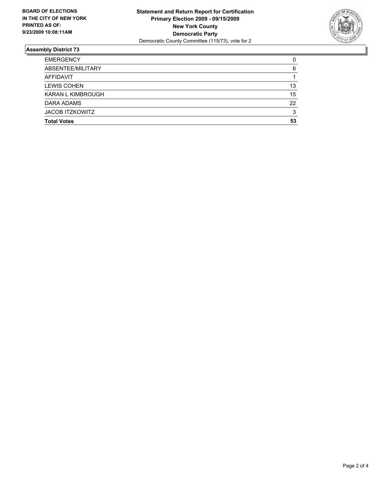

| <b>Total Votes</b>       | 53 |
|--------------------------|----|
| <b>JACOB ITZKOWITZ</b>   | 3  |
| DARA ADAMS               | 22 |
| <b>KARAN L KIMBROUGH</b> | 15 |
| <b>LEWIS COHEN</b>       | 13 |
| AFFIDAVIT                |    |
| ABSENTEE/MILITARY        | 6  |
| <b>EMERGENCY</b>         | 0  |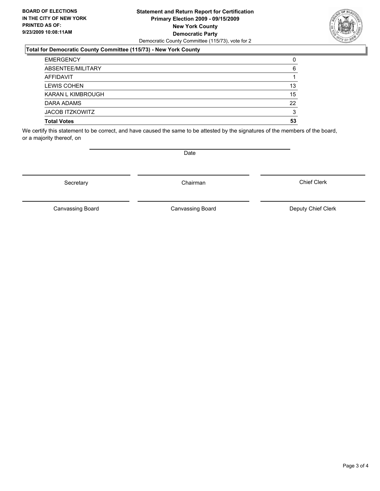#### **Statement and Return Report for Certification Primary Election 2009 - 09/15/2009 New York County Democratic Party** Democratic County Committee (115/73), vote for 2

## **Total for Democratic County Committee (115/73) - New York County**

| <b>EMERGENCY</b>         | 0  |
|--------------------------|----|
| ABSENTEE/MILITARY        | 6  |
| <b>AFFIDAVIT</b>         |    |
| <b>LEWIS COHEN</b>       | 13 |
| <b>KARAN L KIMBROUGH</b> | 15 |
| DARA ADAMS               | 22 |
| <b>JACOB ITZKOWITZ</b>   | 3  |
| <b>Total Votes</b>       | 53 |

We certify this statement to be correct, and have caused the same to be attested by the signatures of the members of the board, or a majority thereof, on

Secretary **Chairman** 

**Date** 

Canvassing Board Canvassing Board Canvassing Canvassing Board Deputy Chief Clerk

Chief Clerk

Canvassing Board

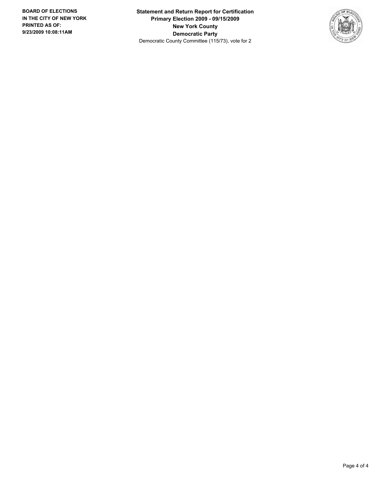**Statement and Return Report for Certification Primary Election 2009 - 09/15/2009 New York County Democratic Party** Democratic County Committee (115/73), vote for 2

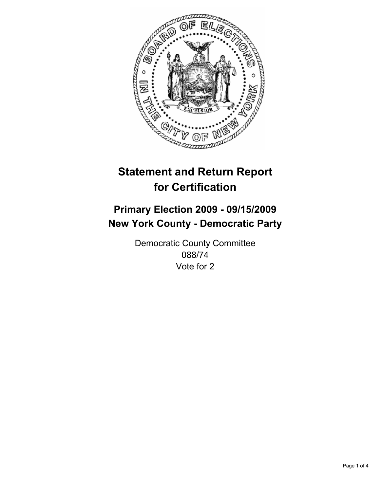

# **Primary Election 2009 - 09/15/2009 New York County - Democratic Party**

Democratic County Committee 088/74 Vote for 2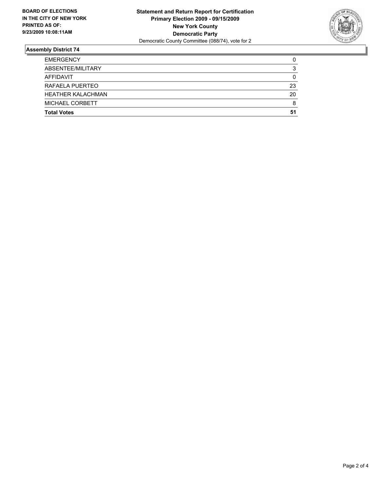

| <b>EMERGENCY</b>         | 0  |
|--------------------------|----|
| ABSENTEE/MILITARY        | 3  |
| AFFIDAVIT                | 0  |
| RAFAELA PUERTEO          | 23 |
| <b>HEATHER KALACHMAN</b> | 20 |
| MICHAEL CORBETT          | 8  |
| <b>Total Votes</b>       | 51 |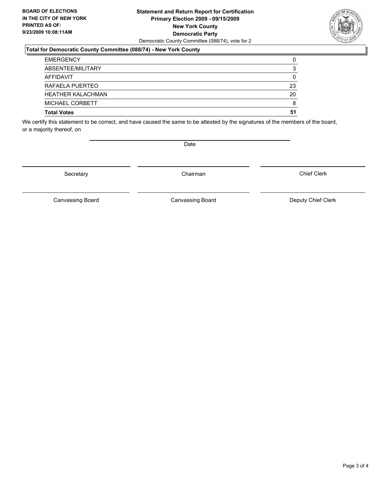#### **Statement and Return Report for Certification Primary Election 2009 - 09/15/2009 New York County Democratic Party** Democratic County Committee (088/74), vote for 2

## **Total for Democratic County Committee (088/74) - New York County**

| <b>EMERGENCY</b>         | 0  |
|--------------------------|----|
| ABSENTEE/MILITARY        | 3  |
| AFFIDAVIT                | 0  |
| RAFAELA PUERTEO          | 23 |
| <b>HEATHER KALACHMAN</b> | 20 |
| MICHAEL CORBETT          | 8  |
| <b>Total Votes</b>       | 51 |

We certify this statement to be correct, and have caused the same to be attested by the signatures of the members of the board, or a majority thereof, on

Secretary **Chairman** 

Canvassing Board **Canvassing Board** Canvassing Board **Deputy Chief Clerk** 

Canvassing Board

Chief Clerk

Page 3 of 4



Date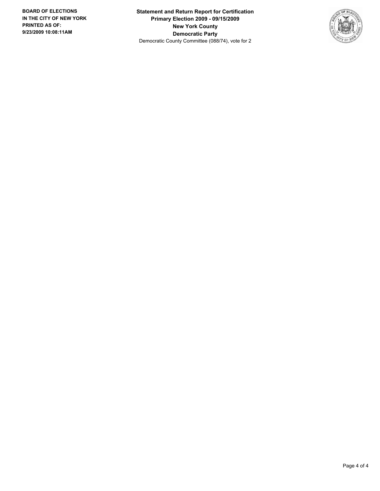**Statement and Return Report for Certification Primary Election 2009 - 09/15/2009 New York County Democratic Party** Democratic County Committee (088/74), vote for 2

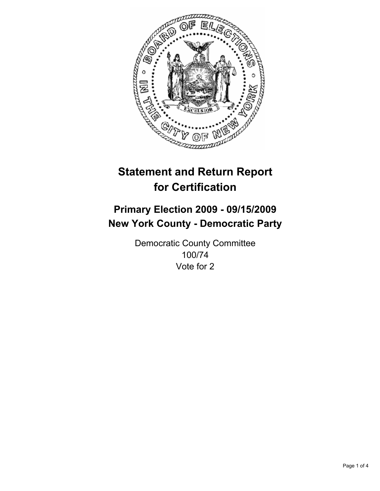

# **Primary Election 2009 - 09/15/2009 New York County - Democratic Party**

Democratic County Committee 100/74 Vote for 2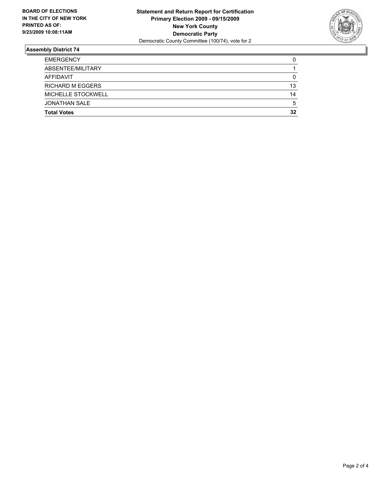

| <b>EMERGENCY</b>        | 0  |
|-------------------------|----|
| ABSENTEE/MILITARY       |    |
| AFFIDAVIT               | 0  |
| <b>RICHARD M EGGERS</b> | 13 |
| MICHELLE STOCKWELL      | 14 |
| <b>JONATHAN SALE</b>    | 5  |
| <b>Total Votes</b>      | 32 |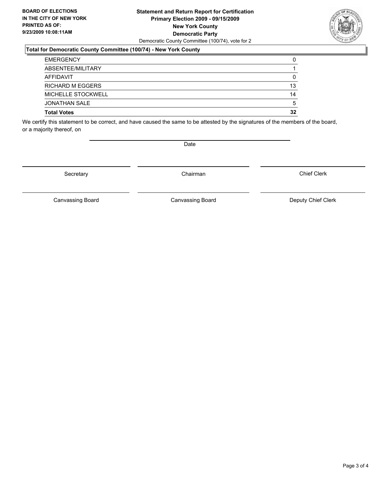#### **Statement and Return Report for Certification Primary Election 2009 - 09/15/2009 New York County Democratic Party** Democratic County Committee (100/74), vote for 2

## **Total for Democratic County Committee (100/74) - New York County**

| <b>EMERGENCY</b>          | 0  |
|---------------------------|----|
| ABSENTEE/MILITARY         |    |
| AFFIDAVIT                 | 0  |
| <b>RICHARD M EGGERS</b>   | 13 |
| <b>MICHELLE STOCKWELL</b> | 14 |
| <b>JONATHAN SALE</b>      | 5  |
| <b>Total Votes</b>        | 32 |

We certify this statement to be correct, and have caused the same to be attested by the signatures of the members of the board, or a majority thereof, on

Secretary **Chairman** 

Canvassing Board **Canvassing Board** Canvassing Board **Deputy Chief Clerk** 

Canvassing Board

Chief Clerk

Page 3 of 4



Date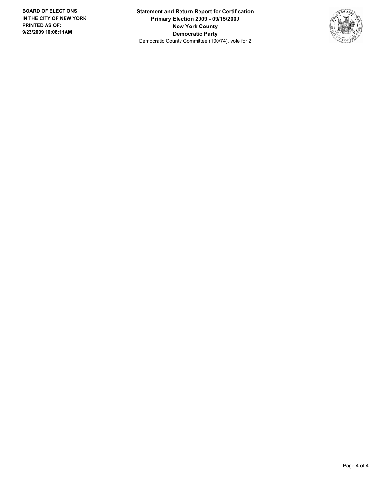**Statement and Return Report for Certification Primary Election 2009 - 09/15/2009 New York County Democratic Party** Democratic County Committee (100/74), vote for 2

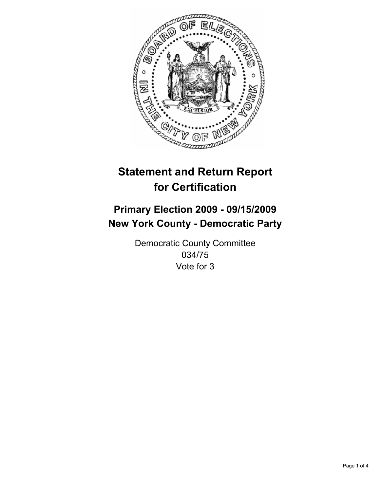

# **Primary Election 2009 - 09/15/2009 New York County - Democratic Party**

Democratic County Committee 034/75 Vote for 3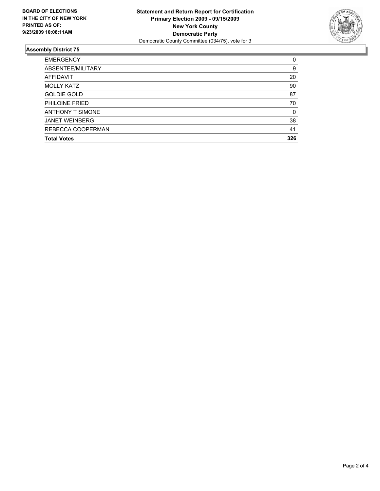

| <b>EMERGENCY</b>        | 0   |
|-------------------------|-----|
| ABSENTEE/MILITARY       | 9   |
| <b>AFFIDAVIT</b>        | 20  |
| <b>MOLLY KATZ</b>       | 90  |
| <b>GOLDIE GOLD</b>      | 87  |
| PHILOINE FRIED          | 70  |
| <b>ANTHONY T SIMONE</b> | 0   |
| <b>JANET WEINBERG</b>   | 38  |
| REBECCA COOPERMAN       | 41  |
| <b>Total Votes</b>      | 326 |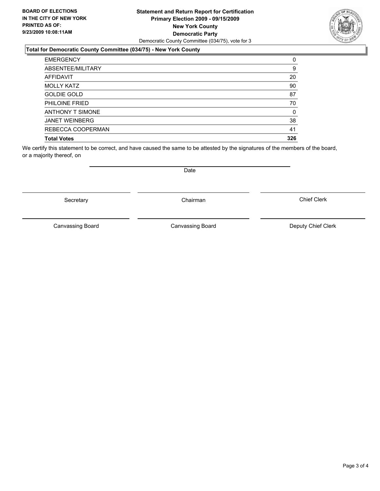#### **Statement and Return Report for Certification Primary Election 2009 - 09/15/2009 New York County Democratic Party** Democratic County Committee (034/75), vote for 3

### **Total for Democratic County Committee (034/75) - New York County**

| <b>EMERGENCY</b>        | 0   |
|-------------------------|-----|
| ABSENTEE/MILITARY       | 9   |
| AFFIDAVIT               | 20  |
| <b>MOLLY KATZ</b>       | 90  |
| <b>GOLDIE GOLD</b>      | 87  |
| PHILOINE FRIED          | 70  |
| <b>ANTHONY T SIMONE</b> | 0   |
| <b>JANET WEINBERG</b>   | 38  |
| REBECCA COOPERMAN       | 41  |
| <b>Total Votes</b>      | 326 |

We certify this statement to be correct, and have caused the same to be attested by the signatures of the members of the board, or a majority thereof, on

Date

Secretary **Chairman** 

Canvassing Board Canvassing Board **Canvassing Board** Canvassing Board **Deputy Chief Clerk** 

Chief Clerk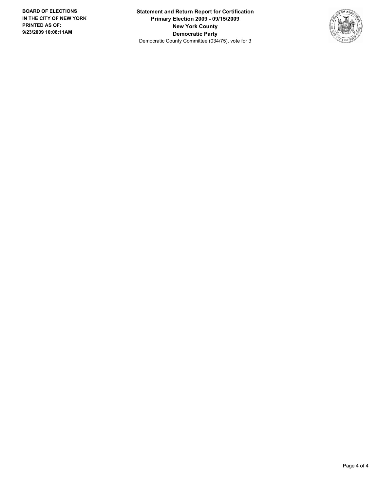**Statement and Return Report for Certification Primary Election 2009 - 09/15/2009 New York County Democratic Party** Democratic County Committee (034/75), vote for 3

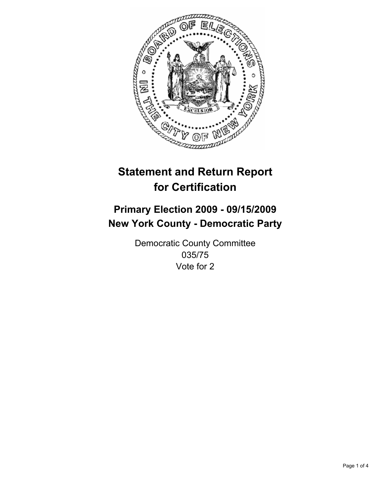

# **Primary Election 2009 - 09/15/2009 New York County - Democratic Party**

Democratic County Committee 035/75 Vote for 2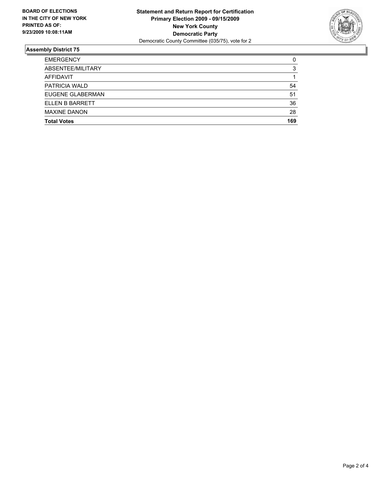

| <b>Total Votes</b>   | 169 |
|----------------------|-----|
| <b>MAXINE DANON</b>  | 28  |
| ELLEN B BARRETT      | 36  |
| EUGENE GLABERMAN     | 51  |
| <b>PATRICIA WALD</b> | 54  |
| <b>AFFIDAVIT</b>     |     |
| ABSENTEE/MILITARY    | 3   |
| <b>EMERGENCY</b>     | 0   |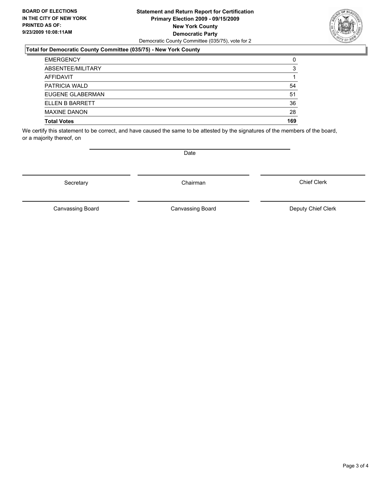#### **Statement and Return Report for Certification Primary Election 2009 - 09/15/2009 New York County Democratic Party** Democratic County Committee (035/75), vote for 2

## **Total for Democratic County Committee (035/75) - New York County**

| <b>EMERGENCY</b>     | 0   |
|----------------------|-----|
| ABSENTEE/MILITARY    | 3   |
| <b>AFFIDAVIT</b>     |     |
| <b>PATRICIA WALD</b> | 54  |
| EUGENE GLABERMAN     | 51  |
| ELLEN B BARRETT      | 36  |
| <b>MAXINE DANON</b>  | 28  |
| <b>Total Votes</b>   | 169 |

We certify this statement to be correct, and have caused the same to be attested by the signatures of the members of the board, or a majority thereof, on

Secretary **Chairman** 

Canvassing Board

Canvassing Board Canvassing Board Canvassing Canvassing Board Deputy Chief Clerk

Chief Clerk

Page 3 of 4

**Date**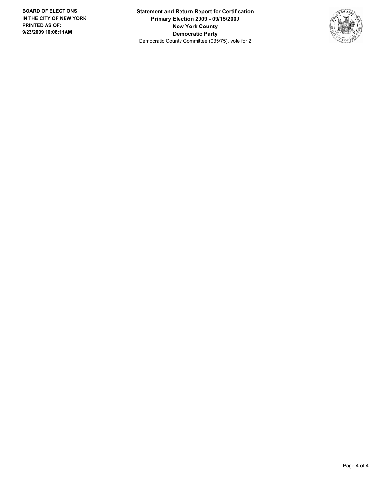**Statement and Return Report for Certification Primary Election 2009 - 09/15/2009 New York County Democratic Party** Democratic County Committee (035/75), vote for 2

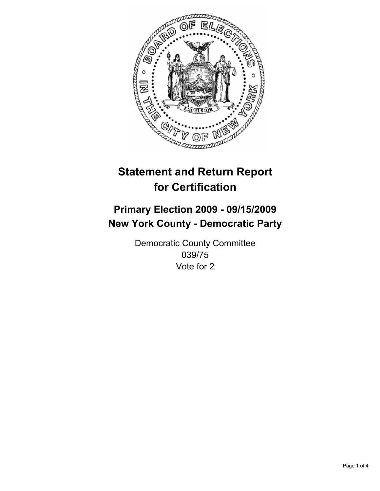

# **Primary Election 2009 - 09/15/2009 New York County - Democratic Party**

Democratic County Committee 039/75 Vote for 2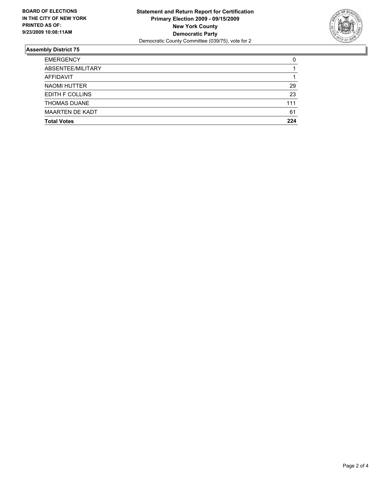

| <b>EMERGENCY</b>       | 0   |
|------------------------|-----|
| ABSENTEE/MILITARY      |     |
| AFFIDAVIT              |     |
| <b>NAOMI HUTTER</b>    | 29  |
| <b>EDITH F COLLINS</b> | 23  |
| <b>THOMAS DUANE</b>    | 111 |
| <b>MAARTEN DE KADT</b> | 61  |
| <b>Total Votes</b>     | 224 |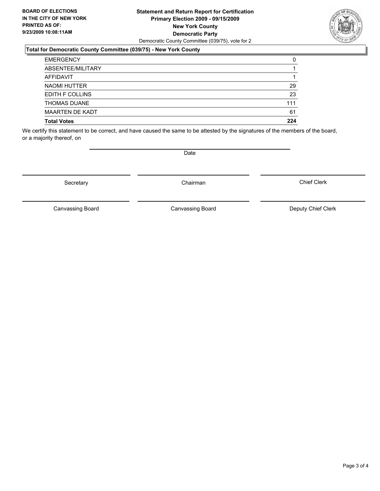#### **Statement and Return Report for Certification Primary Election 2009 - 09/15/2009 New York County Democratic Party** Democratic County Committee (039/75), vote for 2

### **Total for Democratic County Committee (039/75) - New York County**

| <b>EMERGENCY</b>       | 0   |
|------------------------|-----|
| ABSENTEE/MILITARY      |     |
| <b>AFFIDAVIT</b>       |     |
| NAOMI HUTTER           | 29  |
| <b>EDITH F COLLINS</b> | 23  |
| <b>THOMAS DUANE</b>    | 111 |
| <b>MAARTEN DE KADT</b> | 61  |
| <b>Total Votes</b>     | 224 |

We certify this statement to be correct, and have caused the same to be attested by the signatures of the members of the board, or a majority thereof, on

Secretary **Chairman** 

Canvassing Board Canvassing Board Canvassing Canvassing Board Deputy Chief Clerk

Chief Clerk

Canvassing Board



**Date**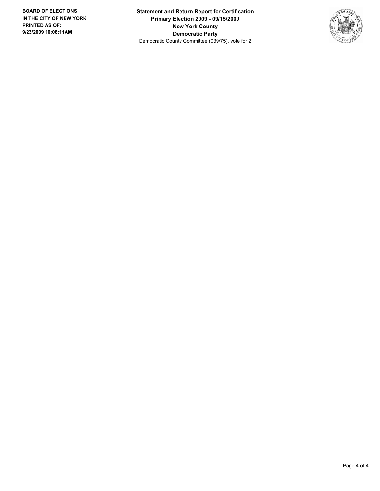**Statement and Return Report for Certification Primary Election 2009 - 09/15/2009 New York County Democratic Party** Democratic County Committee (039/75), vote for 2

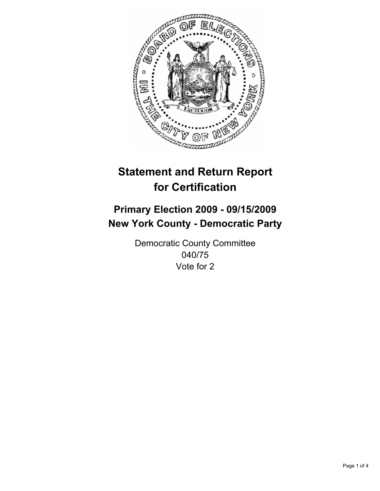

# **Primary Election 2009 - 09/15/2009 New York County - Democratic Party**

Democratic County Committee 040/75 Vote for 2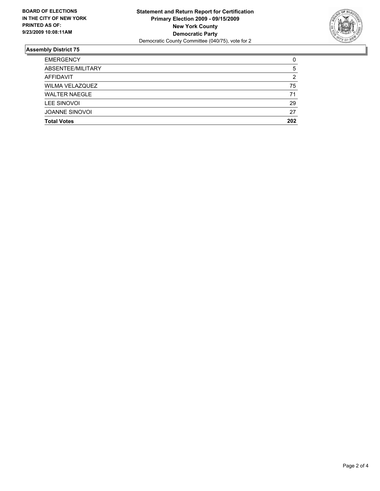

| <b>Total Votes</b>     | 202 |
|------------------------|-----|
| <b>JOANNE SINOVOI</b>  | 27  |
| LEE SINOVOI            | 29  |
| <b>WALTER NAEGLE</b>   | 71  |
| <b>WILMA VELAZQUEZ</b> | 75  |
| <b>AFFIDAVIT</b>       | 2   |
| ABSENTEE/MILITARY      | 5   |
| <b>EMERGENCY</b>       | 0   |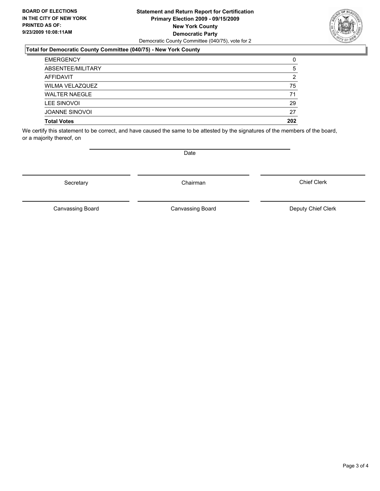#### **Statement and Return Report for Certification Primary Election 2009 - 09/15/2009 New York County Democratic Party** Democratic County Committee (040/75), vote for 2

## **Total for Democratic County Committee (040/75) - New York County**

| <b>EMERGENCY</b>       | 0   |
|------------------------|-----|
| ABSENTEE/MILITARY      | 5   |
| AFFIDAVIT              | 2   |
| <b>WILMA VELAZQUEZ</b> | 75  |
| <b>WALTER NAEGLE</b>   | 71  |
| LEE SINOVOI            | 29  |
| <b>JOANNE SINOVOL</b>  | 27  |
| <b>Total Votes</b>     | 202 |

We certify this statement to be correct, and have caused the same to be attested by the signatures of the members of the board, or a majority thereof, on

Secretary **Chairman** 

Canvassing Board

Canvassing Board Canvassing Board Canvassing Canvassing Board Deputy Chief Clerk

Chief Clerk



**Date**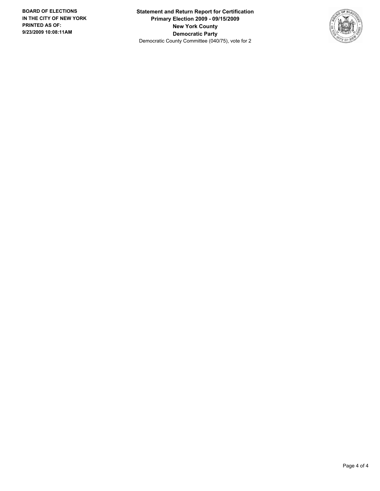**Statement and Return Report for Certification Primary Election 2009 - 09/15/2009 New York County Democratic Party** Democratic County Committee (040/75), vote for 2

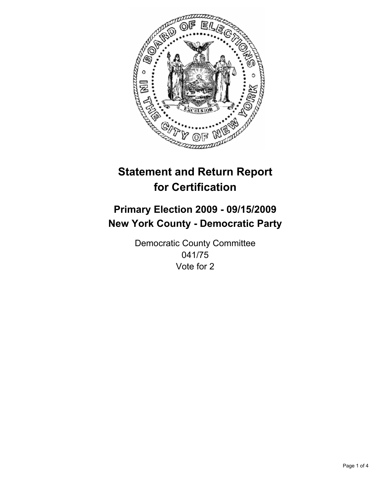

# **Primary Election 2009 - 09/15/2009 New York County - Democratic Party**

Democratic County Committee 041/75 Vote for 2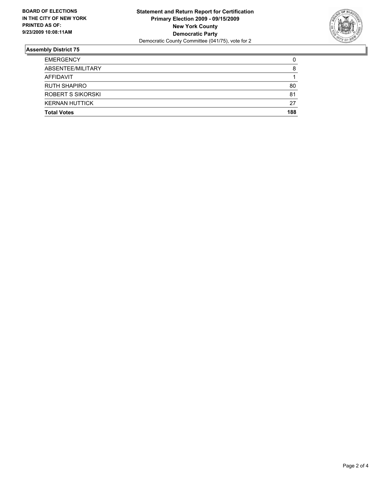

| <b>EMERGENCY</b>      | 0   |
|-----------------------|-----|
| ABSENTEE/MILITARY     | 8   |
| AFFIDAVIT             |     |
| <b>RUTH SHAPIRO</b>   | 80  |
| ROBERT S SIKORSKI     | 81  |
| <b>KERNAN HUTTICK</b> | 27  |
| <b>Total Votes</b>    | 188 |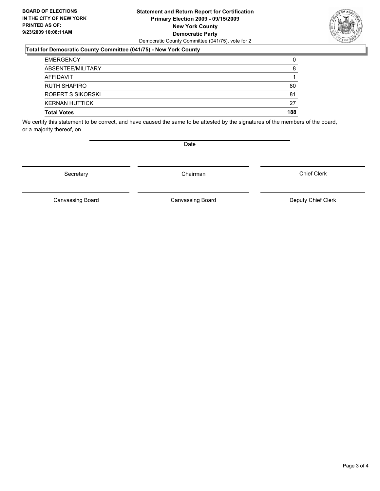#### **Statement and Return Report for Certification Primary Election 2009 - 09/15/2009 New York County Democratic Party** Democratic County Committee (041/75), vote for 2

## **Total for Democratic County Committee (041/75) - New York County**

| <b>EMERGENCY</b>         | 0   |
|--------------------------|-----|
| ABSENTEE/MILITARY        | 8   |
| AFFIDAVIT                |     |
| <b>RUTH SHAPIRO</b>      | 80  |
| <b>ROBERT S SIKORSKI</b> | 81  |
| <b>KERNAN HUTTICK</b>    | 27  |
| <b>Total Votes</b>       | 188 |

We certify this statement to be correct, and have caused the same to be attested by the signatures of the members of the board, or a majority thereof, on

Secretary **Chairman** 

Canvassing Board **Canvassing Board** Canvassing Board **Deputy Chief Clerk** 

Canvassing Board

Chief Clerk



Date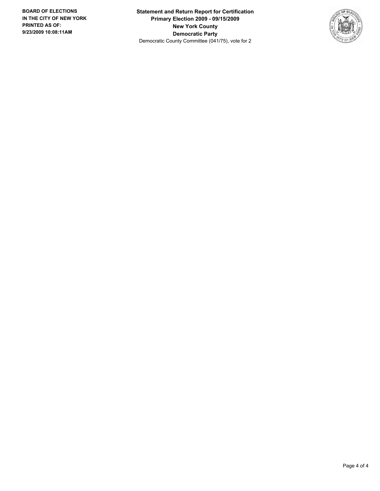**Statement and Return Report for Certification Primary Election 2009 - 09/15/2009 New York County Democratic Party** Democratic County Committee (041/75), vote for 2

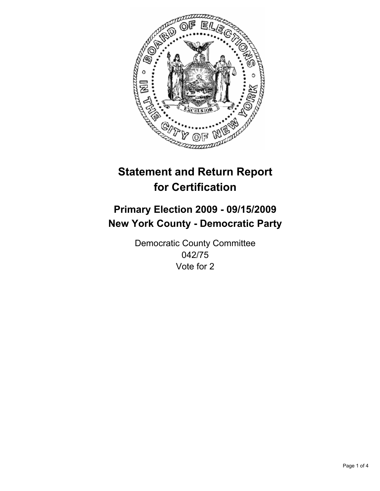

# **Statement and Return Report for Certification**

## **Primary Election 2009 - 09/15/2009 New York County - Democratic Party**

Democratic County Committee 042/75 Vote for 2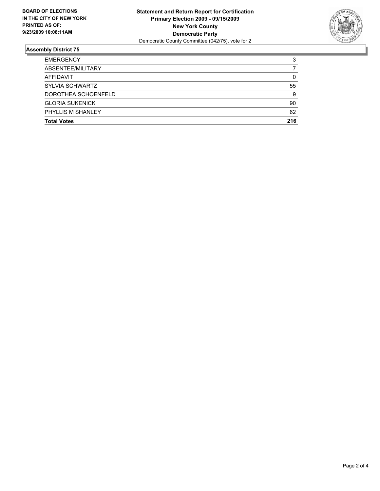

### **Assembly District 75**

| <b>Total Votes</b>     | 216 |
|------------------------|-----|
| PHYLLIS M SHANLEY      | 62  |
| <b>GLORIA SUKENICK</b> | 90  |
| DOROTHEA SCHOENFELD    | 9   |
| <b>SYLVIA SCHWARTZ</b> | 55  |
| AFFIDAVIT              | 0   |
| ABSENTEE/MILITARY      |     |
| <b>EMERGENCY</b>       | 3   |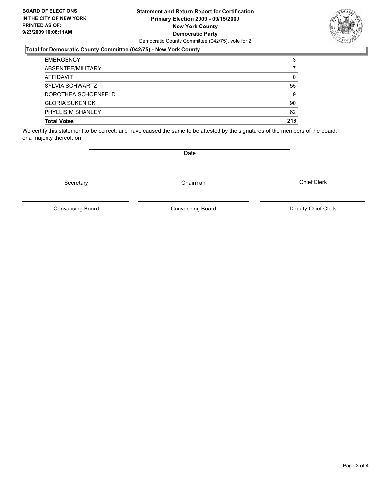#### **Statement and Return Report for Certification Primary Election 2009 - 09/15/2009 New York County Democratic Party** Democratic County Committee (042/75), vote for 2

### **Total for Democratic County Committee (042/75) - New York County**

| <b>EMERGENCY</b>       | 3   |
|------------------------|-----|
| ABSENTEE/MILITARY      |     |
| AFFIDAVIT              | 0   |
| SYLVIA SCHWARTZ        | 55  |
| DOROTHEA SCHOENFELD    | 9   |
| <b>GLORIA SUKENICK</b> | 90  |
| PHYLLIS M SHANLEY      | 62  |
| <b>Total Votes</b>     | 216 |

We certify this statement to be correct, and have caused the same to be attested by the signatures of the members of the board, or a majority thereof, on

Secretary **Chairman** 

Canvassing Board

Canvassing Board Canvassing Board Canvassing Canvassing Board Deputy Chief Clerk

Chief Clerk



**Date**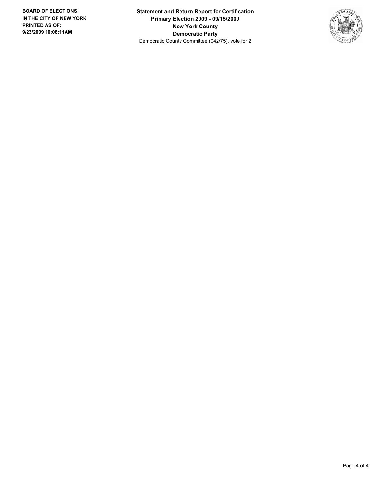**Statement and Return Report for Certification Primary Election 2009 - 09/15/2009 New York County Democratic Party** Democratic County Committee (042/75), vote for 2

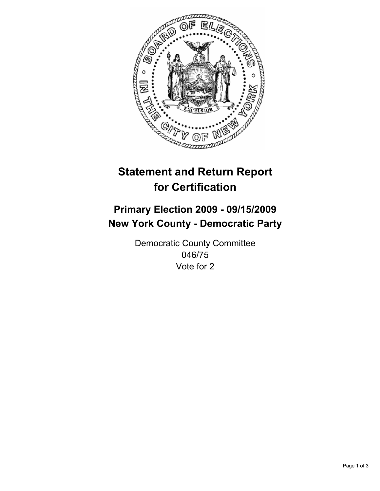

# **Statement and Return Report for Certification**

## **Primary Election 2009 - 09/15/2009 New York County - Democratic Party**

Democratic County Committee 046/75 Vote for 2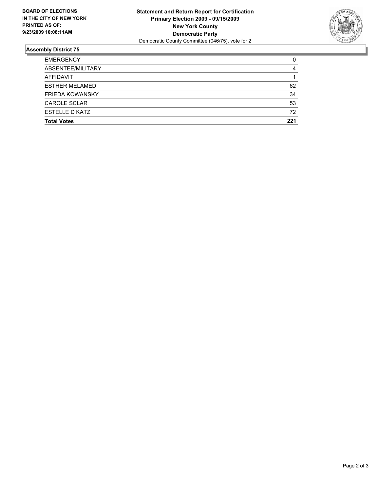

### **Assembly District 75**

| <b>Total Votes</b>     | 221 |
|------------------------|-----|
| ESTELLE D KATZ         | 72  |
| <b>CAROLE SCLAR</b>    | 53  |
| <b>FRIEDA KOWANSKY</b> | 34  |
| <b>ESTHER MELAMED</b>  | 62  |
| <b>AFFIDAVIT</b>       |     |
| ABSENTEE/MILITARY      | 4   |
| <b>EMERGENCY</b>       | 0   |